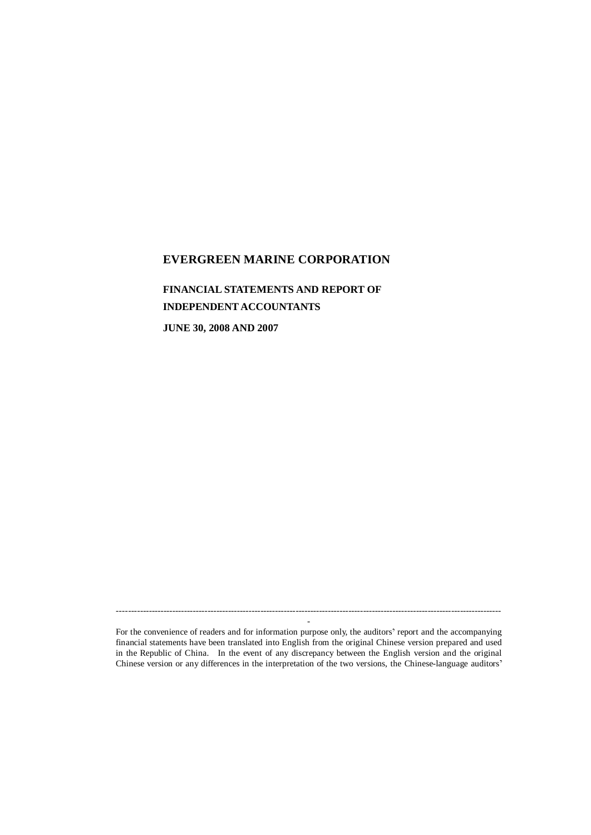## **EVERGREEN MARINE CORPORATION**

**FINANCIAL STATEMENTS AND REPORT OF INDEPENDENT ACCOUNTANTS JUNE 30, 2008 AND 2007**

----------------------------------------------------------------------------------------------------------------------------------- - For the convenience of readers and for information purpose only, the auditors' report and the accompanying

financial statements have been translated into English from the original Chinese version prepared and used in the Republic of China. In the event of any discrepancy between the English version and the original Chinese version or any differences in the interpretation of the two versions, the Chinese-language auditors'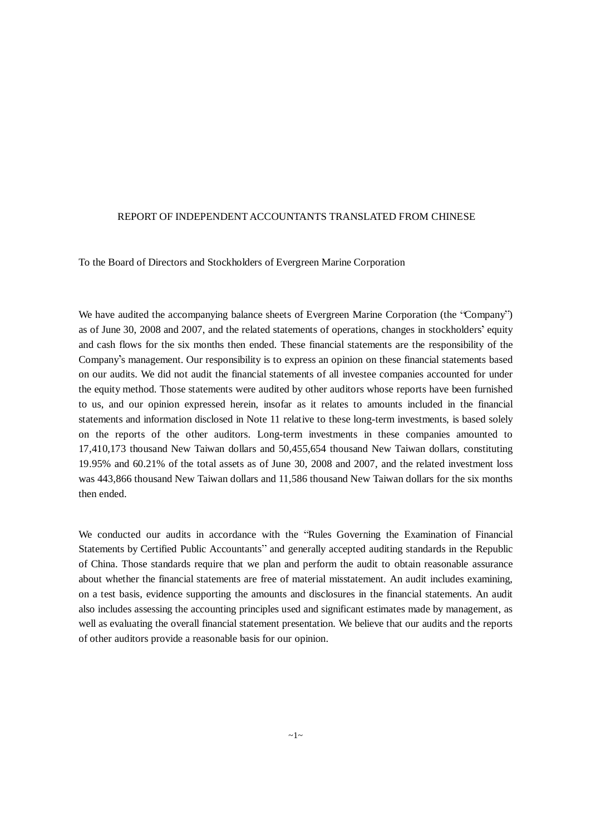#### REPORT OF INDEPENDENT ACCOUNTANTS TRANSLATED FROM CHINESE

To the Board of Directors and Stockholders of Evergreen Marine Corporation

We have audited the accompanying balance sheets of Evergreen Marine Corporation (the "Company") as of June 30, 2008 and 2007, and the related statements of operations, changes in stockholders' equity and cash flows for the six months then ended. These financial statements are the responsibility of the Company s management. Our responsibility is to express an opinion on these financial statements based on our audits. We did not audit the financial statements of all investee companies accounted for under the equity method. Those statements were audited by other auditors whose reports have been furnished to us, and our opinion expressed herein, insofar as it relates to amounts included in the financial statements and information disclosed in Note 11 relative to these long-term investments, is based solely on the reports of the other auditors. Long-term investments in these companies amounted to 17,410,173 thousand New Taiwan dollars and 50,455,654 thousand New Taiwan dollars, constituting 19.95% and 60.21% of the total assets as of June 30, 2008 and 2007, and the related investment loss was 443,866 thousand New Taiwan dollars and 11,586 thousand New Taiwan dollars for the six months then ended.

We conducted our audits in accordance with the "Rules Governing the Examination of Financial Statements by Certified Public Accountants" and generally accepted auditing standards in the Republic of China. Those standards require that we plan and perform the audit to obtain reasonable assurance about whether the financial statements are free of material misstatement. An audit includes examining, on a test basis, evidence supporting the amounts and disclosures in the financial statements. An audit also includes assessing the accounting principles used and significant estimates made by management, as well as evaluating the overall financial statement presentation. We believe that our audits and the reports of other auditors provide a reasonable basis for our opinion.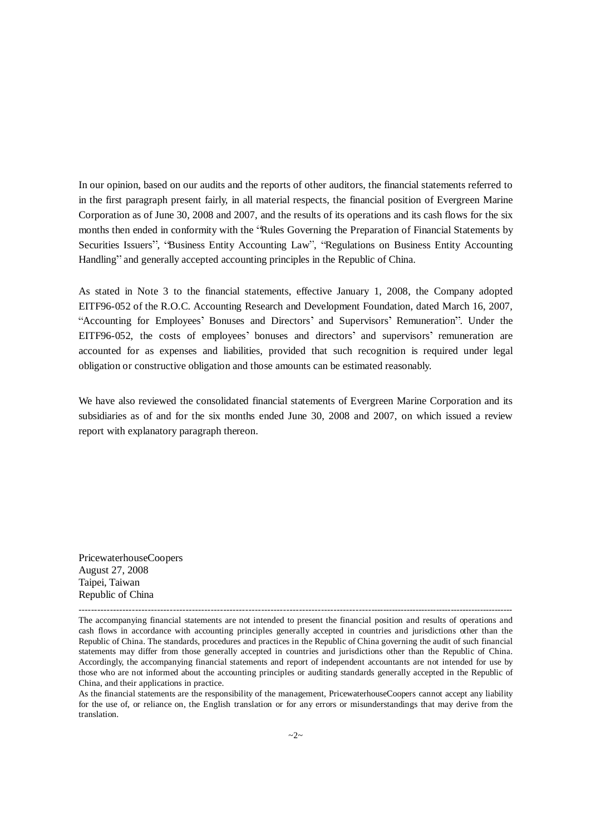In our opinion, based on our audits and the reports of other auditors, the financial statements referred to in the first paragraph present fairly, in all material respects, the financial position of Evergreen Marine Corporation as of June 30, 2008 and 2007, and the results of its operations and its cash flows for the six months then ended in conformity with the 'Rules Governing the Preparation of Financial Statements by Securities Issuers", "Business Entity Accounting Law", "Regulations on Business Entity Accounting Handling" and generally accepted accounting principles in the Republic of China.

As stated in Note 3 to the financial statements, effective January 1, 2008, the Company adopted EITF96-052 of the R.O.C. Accounting Research and Development Foundation, dated March 16, 2007, "Accounting for Employees' Bonuses and Directors' and Supervisors' Remuneration". Under the EITF96-052, the costs of employees' bonuses and directors' and supervisors' remuneration are accounted for as expenses and liabilities, provided that such recognition is required under legal obligation or constructive obligation and those amounts can be estimated reasonably.

We have also reviewed the consolidated financial statements of Evergreen Marine Corporation and its subsidiaries as of and for the six months ended June 30, 2008 and 2007, on which issued a review report with explanatory paragraph thereon.

PricewaterhouseCoopers August 27, 2008 Taipei, Taiwan Republic of China

<sup>---------------------------------------------------------------------------------------------------------------------------------------------</sup> The accompanying financial statements are not intended to present the financial position and results of operations and cash flows in accordance with accounting principles generally accepted in countries and jurisdictions other than the Republic of China. The standards, procedures and practices in the Republic of China governing the audit of such financial statements may differ from those generally accepted in countries and jurisdictions other than the Republic of China. Accordingly, the accompanying financial statements and report of independent accountants are not intended for use by those who are not informed about the accounting principles or auditing standards generally accepted in the Republic of China, and their applications in practice.

As the financial statements are the responsibility of the management, PricewaterhouseCoopers cannot accept any liability for the use of, or reliance on, the English translation or for any errors or misunderstandings that may derive from the translation.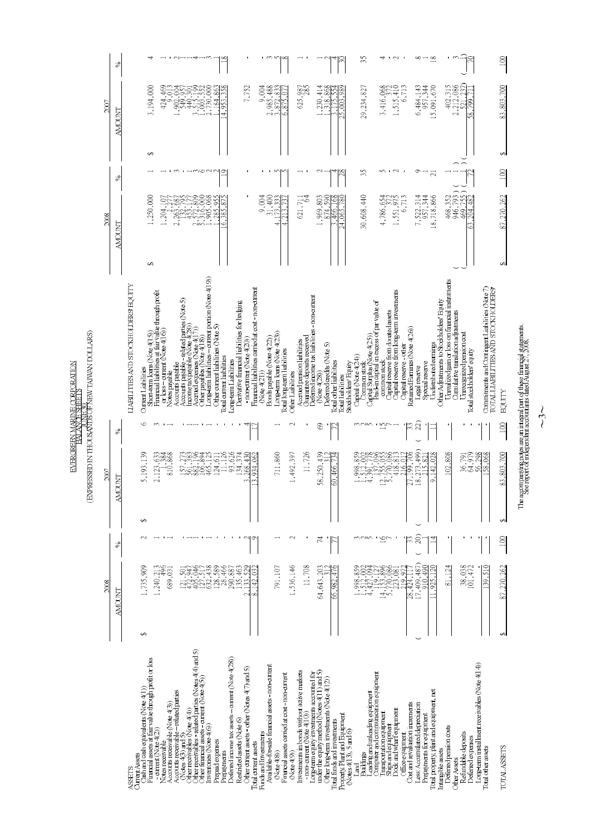|                                                                                              |      | $\mathcal{S}_0$     |                                     |                                                                                                |                                                                                                                       |                                                     |                                                               | ↤                                                                                                                                    |                                                                                                                                           |                                    | ∞                                                                |                                             |                                                                                | ొ                                                                          | v                            | x                                                               |                                                                        |                                                                                           |                                                | Z                                                            |                                             | 35                                           |                                                                                                     | $\mathcal{L}$                                                                     |                                                            | ∞                                                           | $\frac{8}{18}$                           | ٣                                                                                             |                                                                                               |                                                                                       | $\overline{5}$ |
|----------------------------------------------------------------------------------------------|------|---------------------|-------------------------------------|------------------------------------------------------------------------------------------------|-----------------------------------------------------------------------------------------------------------------------|-----------------------------------------------------|---------------------------------------------------------------|--------------------------------------------------------------------------------------------------------------------------------------|-------------------------------------------------------------------------------------------------------------------------------------------|------------------------------------|------------------------------------------------------------------|---------------------------------------------|--------------------------------------------------------------------------------|----------------------------------------------------------------------------|------------------------------|-----------------------------------------------------------------|------------------------------------------------------------------------|-------------------------------------------------------------------------------------------|------------------------------------------------|--------------------------------------------------------------|---------------------------------------------|----------------------------------------------|-----------------------------------------------------------------------------------------------------|-----------------------------------------------------------------------------------|------------------------------------------------------------|-------------------------------------------------------------|------------------------------------------|-----------------------------------------------------------------------------------------------|-----------------------------------------------------------------------------------------------|---------------------------------------------------------------------------------------|----------------|
|                                                                                              | 2007 | MOL                 |                                     | 3,194,000                                                                                      |                                                                                                                       | 424,469<br>σ                                        | Š<br>$-902, 0$                                                | -<br>44                                                                                                                              | 3,515,199<br>1,003,522<br>2,730,000                                                                                                       | 86.<br>84                          | 38<br>4.953                                                      |                                             | 7,752                                                                          | 9,004<br>2,985,488                                                         | 3,872,833                    | 6,875,0                                                         | 625,987<br>285                                                         |                                                                                           | , 230, 414<br>.318,868                         | 25.003.98<br>Ÿ<br>75                                         |                                             | 29,234,827                                   | 3,416,068                                                                                           | 1,515,410                                                                         | 6,713                                                      | 6,484,143<br>957,344                                        | 15,091,670                               | 402, 315<br>2, 212, 086                                                                       | 58.799.7<br>501                                                                               |                                                                                       | 83,803,700     |
|                                                                                              |      |                     |                                     | $\leftrightarrow$                                                                              |                                                                                                                       |                                                     |                                                               | m I HMONN                                                                                                                            |                                                                                                                                           |                                    |                                                                  |                                             |                                                                                |                                                                            | v                            |                                                                 |                                                                        |                                                                                           |                                                |                                                              |                                             |                                              | n                                                                                                   | $\mathbf{\sim}$                                                                   |                                                            | ᡡ                                                           |                                          |                                                                                               |                                                                                               |                                                                                       | G              |
|                                                                                              |      | న                   |                                     |                                                                                                |                                                                                                                       |                                                     |                                                               |                                                                                                                                      |                                                                                                                                           |                                    | ≘                                                                |                                             |                                                                                |                                                                            |                              |                                                                 |                                                                        |                                                                                           |                                                | 28                                                           |                                             | 35                                           |                                                                                                     |                                                                                   |                                                            |                                                             | $\overline{21}$                          |                                                                                               |                                                                                               |                                                                                       | 100            |
|                                                                                              | 2008 | AMOUNT <sub>1</sub> |                                     | 1,250,000<br>÷,                                                                                |                                                                                                                       | ਠ<br>1,204,1                                        | 82<br>2,263.                                                  | 453                                                                                                                                  | ,905,068<br>g<br>2,572,8                                                                                                                  | Ś,<br>285.                         | ত্ৰ<br>6.385                                                     |                                             |                                                                                | 9,004<br>,400                                                              | 33<br>$\tilde{z}$<br>d       | đ                                                               | E<br>621,71                                                            | 1,969,803                                                                                 | 590<br>874                                     | ĉ<br>466<br>44.065                                           |                                             | 30,608,440                                   | 4,786,654                                                                                           | 1,551,975                                                                         | 6,711                                                      | 7,522,314<br>957,344                                        | 18,718,866                               | 468,352                                                                                       | 946,793<br>204.482<br>469.<br>ć                                                               |                                                                                       | 87,270,262     |
| RESSED IN THOUSANDS OF NEW TAIWAN DOLLARS)<br>EVERGREEN MARINE CORPORATION<br>BALANCE SHEETS |      |                     | LIABILITIES AND STOCKHOLDERS EQUITY | Current Liabilities                                                                            | Short-term Loans (Note 4(15))<br>Firancial liabilities at fair value through profit<br>or loss – current (Note 4(16)) | Notes payable                                       |                                                               | Accourirs payable<br>Accourirs payable – related parties (Note 5)<br>Income tax payable (Note 4(28)<br>Accrued experses (Note 4(17)) | Long term liabilities - current portion (Note 4(19))<br>Other payables (Note 4(18)                                                        | Other current liabilities (Note 5) | Total current liabilities<br>Long term Liabilities               | Denvative financial liabilities for hedging | Financial liabilities carried at cost - non-current<br>non current (Note 4(20) | Bonds payable (Note 4(22))<br>(Note4(21))                                  | Long-term loans (Note 4(23)) | Total long-term liabilities<br>Other Labilities                 | Guarantee deposits received<br>Acqued persion liabilities              | Deterred income tax liabilities non-current<br>(Note4(28))                                | Deferred aredits (Note 5)                      | <b>Total other liabilities</b><br><b>Cotal liabilities</b>   | Capital (Note 4(24))<br>Stockholders Equity | Common stock<br>Capital Surplus (Note 4(25)) | Paid in capital in excess of parvalue of<br>common stock                                            | Capital reserve from long-term investments<br>Capital reserve from donated assets | Retained Earnings (Note 4(26))<br>Capital reserve - other  | Special reserve<br>Legal reserve                            | Undistributed earnings                   | Urrealized gain or loss on financial instruments<br>Other Adjustments to Stockholders' Equity | Cumulative translation adjustments<br>Unreorgnized pension cost<br>Total stockholders' equity | Commitments and Contingent Liabilities (Note 7)<br>TOTAL LIABILITIES AND STOCKHOLDERS | EQUITY         |
|                                                                                              |      | %                   |                                     |                                                                                                |                                                                                                                       |                                                     |                                                               |                                                                                                                                      |                                                                                                                                           |                                    |                                                                  |                                             |                                                                                |                                                                            |                              |                                                                 |                                                                        |                                                                                           | 8                                              |                                                              |                                             | nan                                          | $\vec{c}$                                                                                           |                                                                                   | ς                                                          | 22)                                                         |                                          |                                                                                               |                                                                                               |                                                                                       | 100            |
| EXP                                                                                          | 2007 | INL<br>ă            |                                     | 5,193,139                                                                                      |                                                                                                                       | $2,123,633$<br>$810,868$                            |                                                               | 15738841<br>1582.3894<br>1582.994                                                                                                    | 465,125                                                                                                                                   | .24, 611                           | 11,126<br>93,626                                                 | ,374<br>$^{430}$<br>34.<br>268.             | 934,062                                                                        |                                                                            | 711,860                      | 1,492,397                                                       | 11,726                                                                 | 58,250,439                                                                                |                                                | .466<br>8                                                    | 998,859                                     | 612,002                                      | 4,391,778<br>137,096<br>12,755,0885<br>5,7770,0885                                                  | 418,813                                                                           | 27,199,706<br>ನ<br>G                                       | 18, 273, 499)<br>215, 821                                   | 142,028<br>$\circ$                       | 02,808                                                                                        | 64,979<br>36,791                                                                              | 56,298<br>58.068                                                                      | 83,803,700     |
|                                                                                              |      |                     |                                     | ↔                                                                                              |                                                                                                                       |                                                     |                                                               |                                                                                                                                      |                                                                                                                                           |                                    |                                                                  |                                             |                                                                                |                                                                            |                              |                                                                 |                                                                        |                                                                                           |                                                |                                                              |                                             |                                              |                                                                                                     |                                                                                   |                                                            |                                                             |                                          |                                                                                               |                                                                                               |                                                                                       |                |
|                                                                                              |      | న                   |                                     | N                                                                                              |                                                                                                                       |                                                     |                                                               |                                                                                                                                      |                                                                                                                                           |                                    |                                                                  | $\mathbf{\sim}$                             | σ                                                                              |                                                                            |                              | 2                                                               |                                                                        |                                                                                           | 74                                             |                                                              |                                             | nan :                                        | $\frac{16}{7}$                                                                                      |                                                                                   | ς                                                          | බ                                                           |                                          |                                                                                               |                                                                                               |                                                                                       | $\overline{5}$ |
|                                                                                              | 2008 | Z<br><b>AMOL</b>    |                                     | .,735,909                                                                                      | .240, 21                                                                                                              | 496<br>689,03                                       | $\overline{50}$<br>$\overline{21}$                            | 472,947<br>405,946<br>127,438<br>632,438<br>ंद्र                                                                                     |                                                                                                                                           | 128,589                            | 28,466<br>290,887                                                | 135,463<br>529<br>à.<br>ċ                   | Ë<br>42,<br>∞                                                                  |                                                                            | 791,107                      | 1,536,146                                                       | 11,708                                                                 |                                                                                           | 64,643,203                                     | 476<br>982<br>S                                              |                                             | $1,998,859$<br>$1,512,002$<br>$4,427,094$    |                                                                                                     | $14,153,896$<br>$5,770,086$<br>$5,770,086$                                        | S<br>28,424,11<br>219                                      | 17, 409, 487<br>ą.<br><u>بہ او</u>                          | 925,120                                  | .124<br>$\overline{\infty}$                                                                   | 38,038<br>101,472                                                                             | 39.510                                                                                | ,270,262<br>87 |
|                                                                                              |      |                     |                                     | GA                                                                                             |                                                                                                                       |                                                     |                                                               |                                                                                                                                      |                                                                                                                                           |                                    |                                                                  |                                             |                                                                                |                                                                            |                              |                                                                 |                                                                        |                                                                                           |                                                |                                                              |                                             |                                              |                                                                                                     |                                                                                   |                                                            |                                                             |                                          |                                                                                               |                                                                                               |                                                                                       | GP.            |
|                                                                                              |      |                     | Current Assets<br>ASSETS            | Financial assets at fair value through profit or loss<br>Cash and cash equivalents (Note 4(1)) | current (Note $4(2)$ )                                                                                                | Accounts receivable (Note 4(3))<br>Notes receivable | Accounts receivable - related parties<br>(Notes $4(3)$ and 5) | Other receivables (Note 4(4))                                                                                                        | Other receivables - related parties (Notes $4(4)$ and 5)<br>Other financial assets - current (Note $4(5)$ )<br>Inventories $(N$ de $4(6)$ | Prepaid expenses                   | Deferred income tax assets - current (Note 4(28))<br>Prepayments | Restricted assets (Note 6)                  | Other current assets - other (Notes $4(7)$ and 5)<br>Total current assets      | Available-for-sale financial assets - non-current<br>Funds and Investments | $N$ ote $4(8)$               | Financial assets carried at cost non-current<br>$($ Note $4(9)$ | Investments in bonds without active markets<br>non-current (Note 4(10) | Long-term equity investments accounted for<br>under the equity method (Notes 4(11) and 5) | Other long-term investments $(N$ ote $4(12)$ ) | Property, Plant and Equipment<br>Total funds and investments | $N$ otes $4(13)$ , 5 and 6)<br>Land         | Buildings                                    | Loading and unloading equipment<br>Computer and communication equipment<br>Transportation equipment | Dock and what equipment<br>Ships and equipment                                    | Cost and revaluation increments<br><b>Office</b> equipment | Less. Accumulated depreciation<br>Prepayments for equipment | Total property, plant and equipment, net | Deferred persion costs<br>Intangible assets                                                   | Refundable deposits<br>Deferred expenses<br><b>Other Assets</b>                               | Long-term installment receivables (Note 4(14))<br>Total other assets                  | TOTAL ASSETS   |

The accompanying notes are an integral part of these financial statements. See report of independent accountants dated August  $27,2008$ .

 $\sim$ 3 $\sim$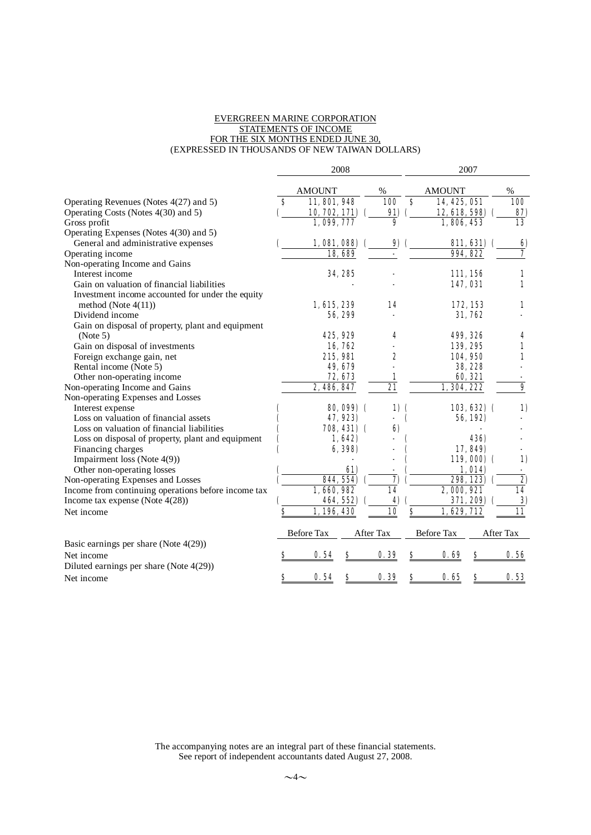#### EVERGREEN MARINE CORPORATION STATEMENTS OF INCOME FOR THE SIX MONTHS ENDED JUNE 30, (EXPRESSED IN THOUSANDS OF NEW TAIWAN DOLLARS)

|                                                     |    |                   | 2008        |                  |            |                  | 2007              |                    |                         |
|-----------------------------------------------------|----|-------------------|-------------|------------------|------------|------------------|-------------------|--------------------|-------------------------|
|                                                     |    | <b>AMOUNT</b>     |             | $\%$             |            |                  | <b>AMOUNT</b>     |                    | %                       |
| Operating Revenues (Notes 4(27) and 5)              | S  | 11, 801, 948      |             |                  | <b>100</b> | \$               | 14, 425, 051      |                    | 100                     |
| Operating Costs (Notes 4(30) and 5)                 |    | 10, 702, 171) (   |             |                  | 91)        |                  | 12, 618, 598)     |                    | 87)                     |
| Gross profit                                        |    | 1,099,777         |             |                  | 9          |                  | 1,806,453         |                    | 13                      |
| Operating Expenses (Notes 4(30) and 5)              |    |                   |             |                  |            |                  |                   |                    |                         |
| General and administrative expenses                 |    | 1,081,088         |             |                  | 9)         |                  |                   | <b>811, 631)</b> ( | 6)                      |
| Operating income                                    |    |                   | 18,689      |                  |            |                  | 994, 822          |                    | 7                       |
| Non-operating Income and Gains                      |    |                   |             |                  |            |                  |                   |                    |                         |
| Interest income                                     |    |                   | 34, 285     |                  |            |                  | 111, 156          |                    | 1                       |
| Gain on valuation of financial liabilities          |    |                   |             |                  |            |                  | 147,031           |                    | 1                       |
| Investment income accounted for under the equity    |    |                   |             |                  |            |                  |                   |                    |                         |
| method (Note $4(11)$ )                              |    | 1, 615, 239       |             |                  | 14         |                  |                   | 172, 153           | 1                       |
| Dividend income                                     |    |                   | 56, 299     |                  |            |                  |                   | 31,762             |                         |
| Gain on disposal of property, plant and equipment   |    |                   |             |                  |            |                  |                   |                    |                         |
| (Note 5)                                            |    |                   | 425, 929    |                  | 4          |                  | 499, 326          |                    | 4                       |
| Gain on disposal of investments                     |    |                   | 16,762      |                  |            |                  | 139, 295          |                    | 1                       |
| Foreign exchange gain, net                          |    | 215,981           |             |                  | 2          |                  | 104.950           |                    | $\mathbf{1}$            |
| Rental income (Note 5)                              |    |                   | 49, 679     |                  |            |                  |                   | 38, 228            |                         |
| Other non-operating income                          |    |                   | 72, 673     |                  | 1          |                  |                   | 60, 321            |                         |
| Non-operating Income and Gains                      |    | 2, 486, 847       |             |                  | 21         |                  | 1, 304, 222       |                    | $\overline{\mathbf{9}}$ |
| Non-operating Expenses and Losses                   |    |                   |             |                  |            |                  |                   |                    |                         |
| Interest expense                                    |    |                   | 80,099) (   |                  | 1)         | $\mathbf \Gamma$ |                   | $103,632)$ (       | 1)                      |
| Loss on valuation of financial assets               |    |                   | 47, 923)    |                  |            | C                |                   | 56, 192)           |                         |
| Loss on valuation of financial liabilities          |    |                   | 708, 431) ( |                  | 6)         |                  |                   |                    |                         |
| Loss on disposal of property, plant and equipment   |    |                   | 1,642)      |                  |            |                  |                   | <b>436)</b>        |                         |
| Financing charges                                   |    |                   | 6, 398)     |                  |            |                  |                   | 17,849)            |                         |
| Impairment loss (Note 4(9))                         |    |                   |             |                  |            |                  |                   | 119,000(           | 1)                      |
| Other non-operating losses                          |    |                   | 61)         |                  |            |                  |                   | 1,014              | $\blacksquare$          |
| Non-operating Expenses and Losses                   |    |                   | 844, 554)   |                  | 7)         |                  |                   | 298, 123)          | $\overline{2}$          |
| Income from continuing operations before income tax |    | 1,660,982         |             |                  | 14         |                  | 2,000,921         |                    | 14                      |
| Income tax expense (Note $4(28)$ )                  |    |                   | 464, 552)   |                  | 4)         |                  |                   | 371, 209) (        | 3)                      |
| Net income                                          | \$ | 1,196,430         |             |                  | 10         | \$               | 1,629,712         |                    | 11                      |
|                                                     |    | <b>Before Tax</b> |             | <b>After Tax</b> |            |                  | <b>Before Tax</b> |                    | <b>After Tax</b>        |
| Basic earnings per share (Note $4(29)$ )            |    |                   |             |                  |            |                  |                   |                    |                         |
| Net income                                          |    | 0.54              |             |                  | 0.39       | s                | 0.69              | s                  | 0.56                    |
| Diluted earnings per share (Note 4(29))             |    |                   |             |                  |            |                  |                   |                    |                         |
| Net income                                          | S  | 0.54              | S           |                  | 0.39       | \$               | 0.65              | S                  | 0.53                    |

The accompanying notes are an integral part of these financial statements. See report of independent accountants dated August 27, 2008.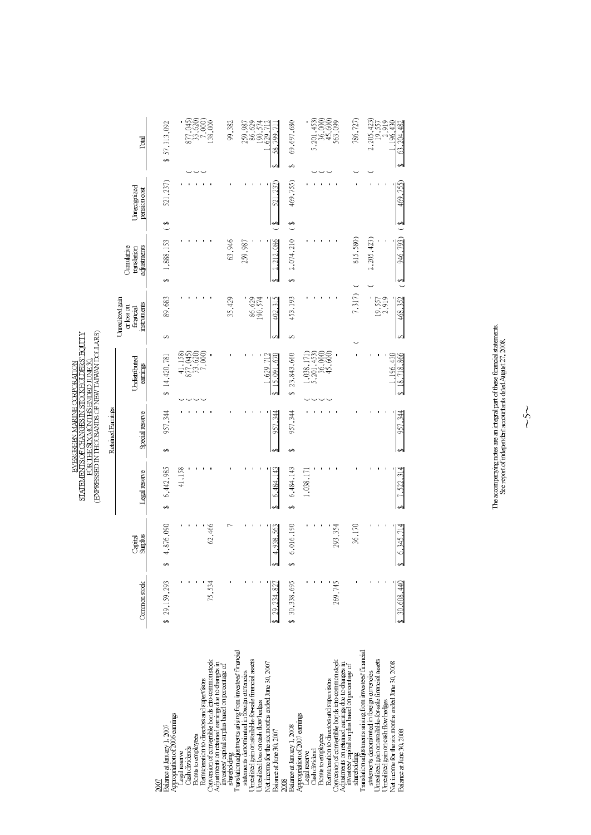|                                                                                                                                                                                                                   |               |                    |                  | (EXPRESSED IN THOUSANDS OF NEW TAIWAN DOLLARS)<br>STATEMENTS OF CHANGES IN STOCKHOLDERS' EQUITY<br>FOR THE SIX MONTHS ENDED JUNE 30.<br>EVERGREEN MARINE CORPORATION |                                                                               |                                                           |                                          |                            |                                                                                          |
|-------------------------------------------------------------------------------------------------------------------------------------------------------------------------------------------------------------------|---------------|--------------------|------------------|----------------------------------------------------------------------------------------------------------------------------------------------------------------------|-------------------------------------------------------------------------------|-----------------------------------------------------------|------------------------------------------|----------------------------|------------------------------------------------------------------------------------------|
|                                                                                                                                                                                                                   |               |                    |                  | Retained Earnings                                                                                                                                                    |                                                                               |                                                           |                                          |                            |                                                                                          |
|                                                                                                                                                                                                                   | Common stock  | Surplus<br>Capital | Legal reserve    | Special reserve                                                                                                                                                      | Undistributed<br>earnings                                                     | Urrealized gain<br>instruments<br>or loss on<br>financial | Cunulative<br>adjustments<br>translation | Umecognized<br>pensionoost | Total                                                                                    |
| Balance at January 1, 2007<br>2007                                                                                                                                                                                | \$ 29,159,293 | 4,876,090<br>e     | 6,442,985<br>ĠĄ, | 957,344<br>Ø                                                                                                                                                         | \$14,420,781                                                                  | 89,683<br>S                                               | 1,888,153<br>Ø                           | 521,237)<br>S)             | \$57,313,092                                                                             |
| Appropriation of 2006 earnings<br>Cash dividends<br>Legal reserve                                                                                                                                                 |               |                    | 41,158           |                                                                                                                                                                      | $\begin{array}{c} 41,158 \\ 877,045 \\ 33,620 \\ 7,060 \\ \end{array}$        |                                                           |                                          |                            |                                                                                          |
| Conversion of convertible bonds into common stock<br>Adjustments on retained earnings due to changes in<br>Remuneration to directors and supervisors<br>Bonus to employees                                        |               | 62,466             |                  |                                                                                                                                                                      |                                                                               |                                                           |                                          |                            | $\begin{array}{c} 877,045 \\ 33,620 \\ 7,000 \\ 138,000 \end{array}$                     |
| investees capital surplus based on percentage of<br>shareholding                                                                                                                                                  |               |                    |                  |                                                                                                                                                                      |                                                                               | 35,429                                                    | 63,946                                   |                            | 99,382                                                                                   |
| Translation adjustments arising from investees' financial<br>Jurealized gain on available-for-sale financial assets<br>statements denominated in foreign currencies<br><b>Jurealized</b> loss on cash flow hedges |               |                    |                  |                                                                                                                                                                      |                                                                               | 86,629<br>190,574                                         | 259,987                                  |                            | 259,987<br>86,629<br>190,574                                                             |
| Vet income for the six months ended June 30, 2007<br>Balance at June 30, 2007                                                                                                                                     |               | 4,938,563          | 6.484.143        | 344<br>957                                                                                                                                                           | .629.712<br>15.091                                                            | 402,315                                                   | $\frac{212.086}{212.086}$                | 237.<br>Ş                  | 629.<br>799.<br>$\frac{8}{5}$                                                            |
| Balance at January 1, 2008<br>2008                                                                                                                                                                                | \$30,338,695  | 6,016,190          | 6,484,143<br>ĠĄ, | 957,344<br>ĠĄ,                                                                                                                                                       | 23,843,660<br>Ø                                                               | 453,193<br>Ø                                              | 2,074,210<br>Ğ,                          | 469,755)<br>S)             | 69,697,680<br>Ø                                                                          |
| Appropriation of 2007 earnings<br>Cash dividend<br>Legal reserve                                                                                                                                                  |               |                    | 1,038,171        |                                                                                                                                                                      |                                                                               |                                                           |                                          |                            |                                                                                          |
| Remuneration to directors and supervisors<br>Bonus to employees                                                                                                                                                   |               |                    |                  |                                                                                                                                                                      | $\begin{array}{c} 1,038,171) \\ 5,201,453) \\ 36,000) \\ 45,600) \end{array}$ |                                                           |                                          |                            | $\begin{array}{c} 5\,, 201\,, 453 \\ 36\,, 000) \\ 45\,, 600) \\ 563\,, 099 \end{array}$ |
| Conversion of convertible bonds into common stock<br>Adjustments on retained earnings due to changes in                                                                                                           | 269,745       | 293,354            |                  |                                                                                                                                                                      |                                                                               |                                                           |                                          |                            |                                                                                          |
| investees capital surplus based on percentage of<br>shareholding                                                                                                                                                  |               | 36,170             |                  |                                                                                                                                                                      |                                                                               | 7,317)                                                    | 815,580)                                 |                            | 786,727)                                                                                 |
| ranslation adjustments anising from investees' financial<br>statements denominated in foreign currencies                                                                                                          |               |                    |                  |                                                                                                                                                                      |                                                                               |                                                           | 2,205,423)                               |                            | $2,205,423$<br>$19,557$                                                                  |
| Jurealized gain on available-for-sale financial assets<br>Jurealized gain on cash flow hedges                                                                                                                     |               |                    |                  |                                                                                                                                                                      |                                                                               | 19,557<br>2,919                                           |                                          |                            |                                                                                          |
| Net income for the six months ended June 30, 2008                                                                                                                                                                 |               |                    |                  |                                                                                                                                                                      | 1,196,430                                                                     |                                                           |                                          |                            | 2,919<br>196.430                                                                         |
| Balance at June 30, 2008                                                                                                                                                                                          | 30,608,440    | 6,345,714          | 7,522,314        | 957,344                                                                                                                                                              | \$18,718,866                                                                  | 468,352                                                   | 946,793)<br>$\frac{8}{3}$                | 469,755)<br>↮              | 63, 204, 482<br>Ğ,                                                                       |

The accompanying notes are an integral part of these financial statements. See report of independent accountants dated August 27, 2008.

 $\sim5$ ~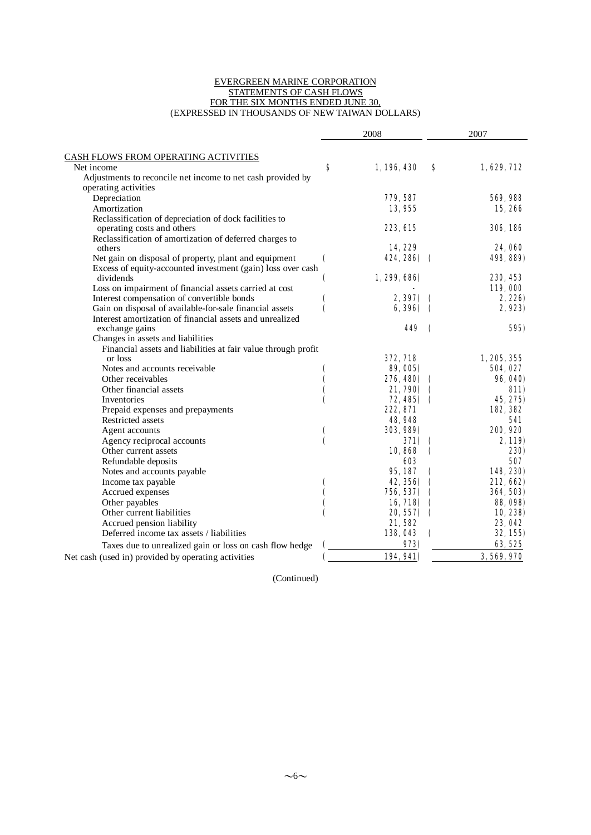#### EVERGREEN MARINE CORPORATION STATEMENTS OF CASH FLOWS FOR THE SIX MONTHS ENDED JUNE 30, (EXPRESSED IN THOUSANDS OF NEW TAIWAN DOLLARS)

| CASH FLOWS FROM OPERATING ACTIVITIES<br>S<br>1,196,430<br>1,629,712<br>Net income<br>s<br>Adjustments to reconcile net income to net cash provided by<br>operating activities<br>Depreciation<br>779, 587<br>Amortization<br>13,955<br>Reclassification of depreciation of dock facilities to<br>223, 615<br>306, 186<br>operating costs and others<br>Reclassification of amortization of deferred charges to<br>14,229<br>others<br>Net gain on disposal of property, plant and equipment<br>424, 286)<br>€<br>498, 889)<br>$\epsilon$<br>Excess of equity-accounted investment (gain) loss over cash<br>dividends<br>1, 299, 686)<br>230, 453<br>€<br>Loss on impairment of financial assets carried at cost<br>119,000<br>Interest compensation of convertible bonds<br>2.397)<br>t<br>Gain on disposal of available-for-sale financial assets<br>(<br>6,396)<br>$\mathbf \epsilon$<br>Interest amortization of financial assets and unrealized<br>449<br>exchange gains<br>$\mathbf \epsilon$<br>Changes in assets and liabilities<br>Financial assets and liabilities at fair value through profit<br>372, 718<br>1, 205, 355<br>or loss<br>Notes and accounts receivable<br>89, 005)<br>Other receivables<br>276, 480)<br>€<br>Other financial assets<br>21, 790)<br>Inventories<br>72, 485)<br>Prepaid expenses and prepayments<br>222, 871<br><b>Restricted assets</b><br>48,948<br>Agent accounts<br>303, 989)<br>Agency reciprocal accounts<br>(<br>371)<br>10,868<br>Other current assets<br>$\mathbf \epsilon$<br>603<br>Refundable deposits<br>Notes and accounts payable<br>95, 187<br>Income tax payable<br>42, 356)<br>Accrued expenses<br>756, 537)<br>Other payables<br>16, 718)<br>Other current liabilities<br>20, 557)<br>$\mathbf \epsilon$ |                           | 2008   | 2007            |
|--------------------------------------------------------------------------------------------------------------------------------------------------------------------------------------------------------------------------------------------------------------------------------------------------------------------------------------------------------------------------------------------------------------------------------------------------------------------------------------------------------------------------------------------------------------------------------------------------------------------------------------------------------------------------------------------------------------------------------------------------------------------------------------------------------------------------------------------------------------------------------------------------------------------------------------------------------------------------------------------------------------------------------------------------------------------------------------------------------------------------------------------------------------------------------------------------------------------------------------------------------------------------------------------------------------------------------------------------------------------------------------------------------------------------------------------------------------------------------------------------------------------------------------------------------------------------------------------------------------------------------------------------------------------------------------------------------------------------------------------------------------------|---------------------------|--------|-----------------|
|                                                                                                                                                                                                                                                                                                                                                                                                                                                                                                                                                                                                                                                                                                                                                                                                                                                                                                                                                                                                                                                                                                                                                                                                                                                                                                                                                                                                                                                                                                                                                                                                                                                                                                                                                                    |                           |        |                 |
|                                                                                                                                                                                                                                                                                                                                                                                                                                                                                                                                                                                                                                                                                                                                                                                                                                                                                                                                                                                                                                                                                                                                                                                                                                                                                                                                                                                                                                                                                                                                                                                                                                                                                                                                                                    |                           |        |                 |
|                                                                                                                                                                                                                                                                                                                                                                                                                                                                                                                                                                                                                                                                                                                                                                                                                                                                                                                                                                                                                                                                                                                                                                                                                                                                                                                                                                                                                                                                                                                                                                                                                                                                                                                                                                    |                           |        |                 |
|                                                                                                                                                                                                                                                                                                                                                                                                                                                                                                                                                                                                                                                                                                                                                                                                                                                                                                                                                                                                                                                                                                                                                                                                                                                                                                                                                                                                                                                                                                                                                                                                                                                                                                                                                                    |                           |        |                 |
|                                                                                                                                                                                                                                                                                                                                                                                                                                                                                                                                                                                                                                                                                                                                                                                                                                                                                                                                                                                                                                                                                                                                                                                                                                                                                                                                                                                                                                                                                                                                                                                                                                                                                                                                                                    |                           |        |                 |
|                                                                                                                                                                                                                                                                                                                                                                                                                                                                                                                                                                                                                                                                                                                                                                                                                                                                                                                                                                                                                                                                                                                                                                                                                                                                                                                                                                                                                                                                                                                                                                                                                                                                                                                                                                    |                           |        | 569, 988        |
|                                                                                                                                                                                                                                                                                                                                                                                                                                                                                                                                                                                                                                                                                                                                                                                                                                                                                                                                                                                                                                                                                                                                                                                                                                                                                                                                                                                                                                                                                                                                                                                                                                                                                                                                                                    |                           |        | 15,266          |
|                                                                                                                                                                                                                                                                                                                                                                                                                                                                                                                                                                                                                                                                                                                                                                                                                                                                                                                                                                                                                                                                                                                                                                                                                                                                                                                                                                                                                                                                                                                                                                                                                                                                                                                                                                    |                           |        |                 |
|                                                                                                                                                                                                                                                                                                                                                                                                                                                                                                                                                                                                                                                                                                                                                                                                                                                                                                                                                                                                                                                                                                                                                                                                                                                                                                                                                                                                                                                                                                                                                                                                                                                                                                                                                                    |                           |        |                 |
|                                                                                                                                                                                                                                                                                                                                                                                                                                                                                                                                                                                                                                                                                                                                                                                                                                                                                                                                                                                                                                                                                                                                                                                                                                                                                                                                                                                                                                                                                                                                                                                                                                                                                                                                                                    |                           |        | 24,060          |
|                                                                                                                                                                                                                                                                                                                                                                                                                                                                                                                                                                                                                                                                                                                                                                                                                                                                                                                                                                                                                                                                                                                                                                                                                                                                                                                                                                                                                                                                                                                                                                                                                                                                                                                                                                    |                           |        |                 |
|                                                                                                                                                                                                                                                                                                                                                                                                                                                                                                                                                                                                                                                                                                                                                                                                                                                                                                                                                                                                                                                                                                                                                                                                                                                                                                                                                                                                                                                                                                                                                                                                                                                                                                                                                                    |                           |        |                 |
|                                                                                                                                                                                                                                                                                                                                                                                                                                                                                                                                                                                                                                                                                                                                                                                                                                                                                                                                                                                                                                                                                                                                                                                                                                                                                                                                                                                                                                                                                                                                                                                                                                                                                                                                                                    |                           |        |                 |
|                                                                                                                                                                                                                                                                                                                                                                                                                                                                                                                                                                                                                                                                                                                                                                                                                                                                                                                                                                                                                                                                                                                                                                                                                                                                                                                                                                                                                                                                                                                                                                                                                                                                                                                                                                    |                           |        |                 |
|                                                                                                                                                                                                                                                                                                                                                                                                                                                                                                                                                                                                                                                                                                                                                                                                                                                                                                                                                                                                                                                                                                                                                                                                                                                                                                                                                                                                                                                                                                                                                                                                                                                                                                                                                                    |                           |        |                 |
|                                                                                                                                                                                                                                                                                                                                                                                                                                                                                                                                                                                                                                                                                                                                                                                                                                                                                                                                                                                                                                                                                                                                                                                                                                                                                                                                                                                                                                                                                                                                                                                                                                                                                                                                                                    |                           |        | 2, 226)         |
|                                                                                                                                                                                                                                                                                                                                                                                                                                                                                                                                                                                                                                                                                                                                                                                                                                                                                                                                                                                                                                                                                                                                                                                                                                                                                                                                                                                                                                                                                                                                                                                                                                                                                                                                                                    |                           |        | 2,923)          |
|                                                                                                                                                                                                                                                                                                                                                                                                                                                                                                                                                                                                                                                                                                                                                                                                                                                                                                                                                                                                                                                                                                                                                                                                                                                                                                                                                                                                                                                                                                                                                                                                                                                                                                                                                                    |                           |        |                 |
|                                                                                                                                                                                                                                                                                                                                                                                                                                                                                                                                                                                                                                                                                                                                                                                                                                                                                                                                                                                                                                                                                                                                                                                                                                                                                                                                                                                                                                                                                                                                                                                                                                                                                                                                                                    |                           |        | 595)            |
|                                                                                                                                                                                                                                                                                                                                                                                                                                                                                                                                                                                                                                                                                                                                                                                                                                                                                                                                                                                                                                                                                                                                                                                                                                                                                                                                                                                                                                                                                                                                                                                                                                                                                                                                                                    |                           |        |                 |
|                                                                                                                                                                                                                                                                                                                                                                                                                                                                                                                                                                                                                                                                                                                                                                                                                                                                                                                                                                                                                                                                                                                                                                                                                                                                                                                                                                                                                                                                                                                                                                                                                                                                                                                                                                    |                           |        |                 |
|                                                                                                                                                                                                                                                                                                                                                                                                                                                                                                                                                                                                                                                                                                                                                                                                                                                                                                                                                                                                                                                                                                                                                                                                                                                                                                                                                                                                                                                                                                                                                                                                                                                                                                                                                                    |                           |        |                 |
|                                                                                                                                                                                                                                                                                                                                                                                                                                                                                                                                                                                                                                                                                                                                                                                                                                                                                                                                                                                                                                                                                                                                                                                                                                                                                                                                                                                                                                                                                                                                                                                                                                                                                                                                                                    |                           |        | 504, 027        |
|                                                                                                                                                                                                                                                                                                                                                                                                                                                                                                                                                                                                                                                                                                                                                                                                                                                                                                                                                                                                                                                                                                                                                                                                                                                                                                                                                                                                                                                                                                                                                                                                                                                                                                                                                                    |                           |        | <b>96, 040)</b> |
|                                                                                                                                                                                                                                                                                                                                                                                                                                                                                                                                                                                                                                                                                                                                                                                                                                                                                                                                                                                                                                                                                                                                                                                                                                                                                                                                                                                                                                                                                                                                                                                                                                                                                                                                                                    |                           |        | 811)            |
|                                                                                                                                                                                                                                                                                                                                                                                                                                                                                                                                                                                                                                                                                                                                                                                                                                                                                                                                                                                                                                                                                                                                                                                                                                                                                                                                                                                                                                                                                                                                                                                                                                                                                                                                                                    |                           |        | 45, 275)        |
|                                                                                                                                                                                                                                                                                                                                                                                                                                                                                                                                                                                                                                                                                                                                                                                                                                                                                                                                                                                                                                                                                                                                                                                                                                                                                                                                                                                                                                                                                                                                                                                                                                                                                                                                                                    |                           |        | 182, 382        |
|                                                                                                                                                                                                                                                                                                                                                                                                                                                                                                                                                                                                                                                                                                                                                                                                                                                                                                                                                                                                                                                                                                                                                                                                                                                                                                                                                                                                                                                                                                                                                                                                                                                                                                                                                                    |                           |        | 541             |
|                                                                                                                                                                                                                                                                                                                                                                                                                                                                                                                                                                                                                                                                                                                                                                                                                                                                                                                                                                                                                                                                                                                                                                                                                                                                                                                                                                                                                                                                                                                                                                                                                                                                                                                                                                    |                           |        | 200, 920        |
|                                                                                                                                                                                                                                                                                                                                                                                                                                                                                                                                                                                                                                                                                                                                                                                                                                                                                                                                                                                                                                                                                                                                                                                                                                                                                                                                                                                                                                                                                                                                                                                                                                                                                                                                                                    |                           |        | 2,119)          |
|                                                                                                                                                                                                                                                                                                                                                                                                                                                                                                                                                                                                                                                                                                                                                                                                                                                                                                                                                                                                                                                                                                                                                                                                                                                                                                                                                                                                                                                                                                                                                                                                                                                                                                                                                                    |                           |        | <b>230)</b>     |
|                                                                                                                                                                                                                                                                                                                                                                                                                                                                                                                                                                                                                                                                                                                                                                                                                                                                                                                                                                                                                                                                                                                                                                                                                                                                                                                                                                                                                                                                                                                                                                                                                                                                                                                                                                    |                           |        | 507             |
|                                                                                                                                                                                                                                                                                                                                                                                                                                                                                                                                                                                                                                                                                                                                                                                                                                                                                                                                                                                                                                                                                                                                                                                                                                                                                                                                                                                                                                                                                                                                                                                                                                                                                                                                                                    |                           |        | 148, 230)       |
|                                                                                                                                                                                                                                                                                                                                                                                                                                                                                                                                                                                                                                                                                                                                                                                                                                                                                                                                                                                                                                                                                                                                                                                                                                                                                                                                                                                                                                                                                                                                                                                                                                                                                                                                                                    |                           |        | 212,662)        |
|                                                                                                                                                                                                                                                                                                                                                                                                                                                                                                                                                                                                                                                                                                                                                                                                                                                                                                                                                                                                                                                                                                                                                                                                                                                                                                                                                                                                                                                                                                                                                                                                                                                                                                                                                                    |                           |        | 364, 503)       |
|                                                                                                                                                                                                                                                                                                                                                                                                                                                                                                                                                                                                                                                                                                                                                                                                                                                                                                                                                                                                                                                                                                                                                                                                                                                                                                                                                                                                                                                                                                                                                                                                                                                                                                                                                                    |                           |        | <b>88, 098)</b> |
|                                                                                                                                                                                                                                                                                                                                                                                                                                                                                                                                                                                                                                                                                                                                                                                                                                                                                                                                                                                                                                                                                                                                                                                                                                                                                                                                                                                                                                                                                                                                                                                                                                                                                                                                                                    |                           |        | 10, 238)        |
|                                                                                                                                                                                                                                                                                                                                                                                                                                                                                                                                                                                                                                                                                                                                                                                                                                                                                                                                                                                                                                                                                                                                                                                                                                                                                                                                                                                                                                                                                                                                                                                                                                                                                                                                                                    | Accrued pension liability | 21,582 | 23,042          |
| Deferred income tax assets / liabilities<br>138,043<br>(                                                                                                                                                                                                                                                                                                                                                                                                                                                                                                                                                                                                                                                                                                                                                                                                                                                                                                                                                                                                                                                                                                                                                                                                                                                                                                                                                                                                                                                                                                                                                                                                                                                                                                           |                           |        | 32, 155)        |
| 973)<br>Taxes due to unrealized gain or loss on cash flow hedge                                                                                                                                                                                                                                                                                                                                                                                                                                                                                                                                                                                                                                                                                                                                                                                                                                                                                                                                                                                                                                                                                                                                                                                                                                                                                                                                                                                                                                                                                                                                                                                                                                                                                                    |                           |        | 63, 525         |
| 194, 941)<br>Net cash (used in) provided by operating activities                                                                                                                                                                                                                                                                                                                                                                                                                                                                                                                                                                                                                                                                                                                                                                                                                                                                                                                                                                                                                                                                                                                                                                                                                                                                                                                                                                                                                                                                                                                                                                                                                                                                                                   |                           |        | 3, 569, 970     |

(Continued)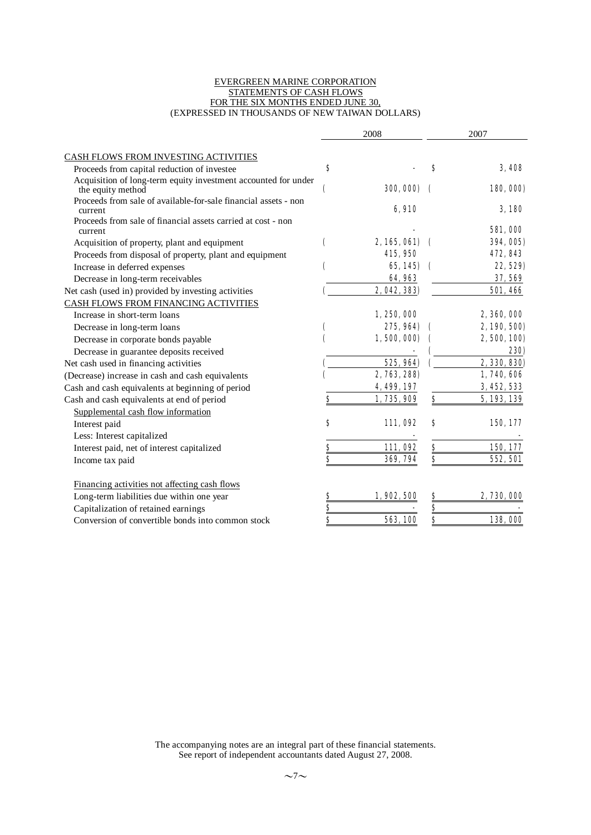#### EVERGREEN MARINE CORPORATION STATEMENTS OF CASH FLOWS FOR THE SIX MONTHS ENDED JUNE 30, (EXPRESSED IN THOUSANDS OF NEW TAIWAN DOLLARS)

|                                                                                     |                         | 2008             |               | 2007            |
|-------------------------------------------------------------------------------------|-------------------------|------------------|---------------|-----------------|
| CASH FLOWS FROM INVESTING ACTIVITIES                                                |                         |                  |               |                 |
| Proceeds from capital reduction of investee                                         | S                       |                  | S             | 3.408           |
| Acquisition of long-term equity investment accounted for under<br>the equity method | C                       | <b>300, 000)</b> |               | 180, 000)       |
| Proceeds from sale of available-for-sale financial assets - non<br>current          |                         | 6,910            |               | 3.180           |
| Proceeds from sale of financial assets carried at cost - non<br>current             |                         |                  |               | <b>581,000</b>  |
| Acquisition of property, plant and equipment                                        | C                       | 2, 165, 061)     |               | 394, 005)       |
| Proceeds from disposal of property, plant and equipment                             |                         | 415,950          |               | 472, 843        |
| Increase in deferred expenses                                                       |                         | $65,145$ (       |               | 22, 529)        |
| Decrease in long-term receivables                                                   |                         | 64,963           |               | 37, 569         |
| Net cash (used in) provided by investing activities                                 |                         | 2, 042, 383)     |               | <b>501, 466</b> |
| CASH FLOWS FROM FINANCING ACTIVITIES                                                |                         |                  |               |                 |
| Increase in short-term loans                                                        |                         | 1, 250, 000      |               | 2,360,000       |
| Decrease in long-term loans                                                         |                         | 275, 964)        |               | 2, 190, 500)    |
| Decrease in corporate bonds payable                                                 |                         | 1,500,000)       |               | 2,500,100)      |
| Decrease in guarantee deposits received                                             |                         |                  |               | <b>230)</b>     |
| Net cash used in financing activities                                               |                         | 525, 964)        |               | 2, 330, 830)    |
| (Decrease) increase in cash and cash equivalents                                    |                         | 2, 763, 288)     |               | 1, 740, 606     |
| Cash and cash equivalents at beginning of period                                    |                         | 4, 499, 197      |               | 3, 452, 533     |
| Cash and cash equivalents at end of period                                          | S                       | 1,735,909        | \$            | 5, 193, 139     |
| Supplemental cash flow information                                                  |                         |                  |               |                 |
| Interest paid                                                                       | S                       | 111,092          | S             | 150, 177        |
| Less: Interest capitalized                                                          |                         |                  |               |                 |
| Interest paid, net of interest capitalized                                          |                         | 111,092          |               | 150, 177        |
| Income tax paid                                                                     | $\bf{s}$                | 369, 794         | \$            | 552, 501        |
| Financing activities not affecting cash flows                                       |                         |                  |               |                 |
| Long-term liabilities due within one year                                           | $\frac{8}{2}$           | 1,902,500        | <u>\$</u>     | 2, 730, 000     |
| Capitalization of retained earnings                                                 |                         |                  | $\frac{3}{5}$ |                 |
| Conversion of convertible bonds into common stock                                   | $\overline{\mathbf{s}}$ | 563, 100         | \$            | 138,000         |

The accompanying notes are an integral part of these financial statements. See report of independent accountants dated August 27, 2008.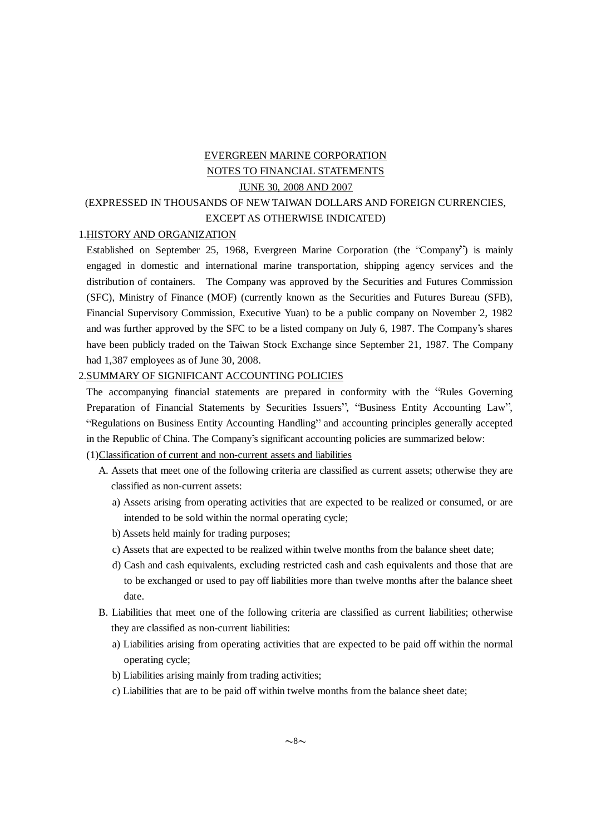# EVERGREEN MARINE CORPORATION NOTES TO FINANCIAL STATEMENTS JUNE 30, 2008 AND 2007

## (EXPRESSED IN THOUSANDS OF NEW TAIWAN DOLLARS AND FOREIGN CURRENCIES, EXCEPT AS OTHERWISE INDICATED)

#### 1.HISTORY AND ORGANIZATION

Established on September 25, 1968, Evergreen Marine Corporation (the "Company") is mainly engaged in domestic and international marine transportation, shipping agency services and the distribution of containers. The Company was approved by the Securities and Futures Commission (SFC), Ministry of Finance (MOF) (currently known as the Securities and Futures Bureau (SFB), Financial Supervisory Commission, Executive Yuan) to be a public company on November 2, 1982 and was further approved by the SFC to be a listed company on July 6, 1987. The Company's shares have been publicly traded on the Taiwan Stock Exchange since September 21, 1987. The Company had 1,387 employees as of June 30, 2008.

#### 2.SUMMARY OF SIGNIFICANT ACCOUNTING POLICIES

The accompanying financial statements are prepared in conformity with the "Rules Governing" Preparation of Financial Statements by Securities Issuers", "Business Entity Accounting Law", "Regulations on Business Entity Accounting Handling" and accounting principles generally accepted in the Republic of China. The Company's significant accounting policies are summarized below:

## (1)Classification of current and non-current assets and liabilities

- A. Assets that meet one of the following criteria are classified as current assets; otherwise they are classified as non-current assets:
	- a) Assets arising from operating activities that are expected to be realized or consumed, or are intended to be sold within the normal operating cycle;
	- b) Assets held mainly for trading purposes;
	- c) Assets that are expected to be realized within twelve months from the balance sheet date;
	- d) Cash and cash equivalents, excluding restricted cash and cash equivalents and those that are to be exchanged or used to pay off liabilities more than twelve months after the balance sheet date.
- B. Liabilities that meet one of the following criteria are classified as current liabilities; otherwise they are classified as non-current liabilities:
	- a) Liabilities arising from operating activities that are expected to be paid off within the normal operating cycle;
	- b) Liabilities arising mainly from trading activities;
	- c) Liabilities that are to be paid off within twelve months from the balance sheet date;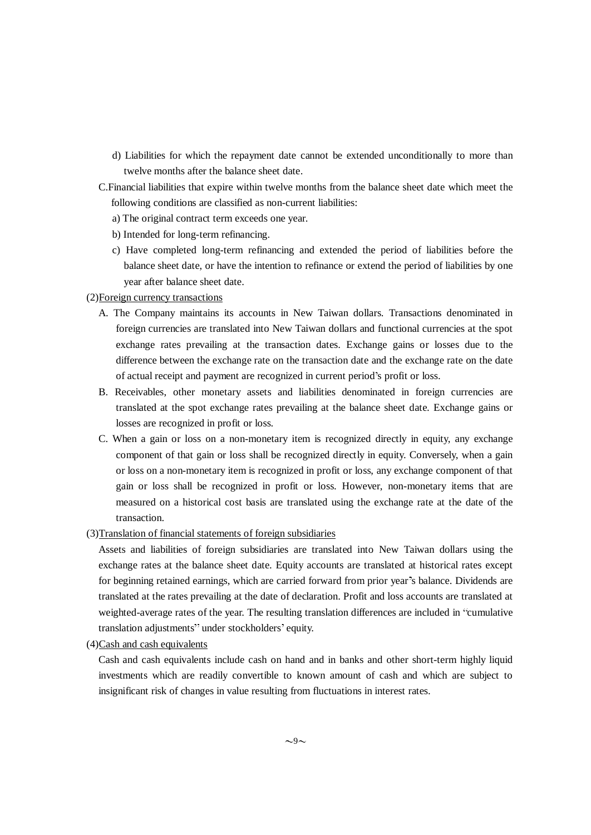- d) Liabilities for which the repayment date cannot be extended unconditionally to more than twelve months after the balance sheet date.
- C.Financial liabilities that expire within twelve months from the balance sheet date which meet the following conditions are classified as non-current liabilities:
	- a) The original contract term exceeds one year.
	- b) Intended for long-term refinancing.
	- c) Have completed long-term refinancing and extended the period of liabilities before the balance sheet date, or have the intention to refinance or extend the period of liabilities by one year after balance sheet date.

### (2)Foreign currency transactions

- A. The Company maintains its accounts in New Taiwan dollars. Transactions denominated in foreign currencies are translated into New Taiwan dollars and functional currencies at the spot exchange rates prevailing at the transaction dates. Exchange gains or losses due to the difference between the exchange rate on the transaction date and the exchange rate on the date of actual receipt and payment are recognized in current period's profit or loss.
- B. Receivables, other monetary assets and liabilities denominated in foreign currencies are translated at the spot exchange rates prevailing at the balance sheet date. Exchange gains or losses are recognized in profit or loss.
- C. When a gain or loss on a non-monetary item is recognized directly in equity, any exchange component of that gain or loss shall be recognized directly in equity. Conversely, when a gain or loss on a non-monetary item is recognized in profit or loss, any exchange component of that gain or loss shall be recognized in profit or loss. However, non-monetary items that are measured on a historical cost basis are translated using the exchange rate at the date of the transaction.
- (3)Translation of financial statements of foreign subsidiaries

Assets and liabilities of foreign subsidiaries are translated into New Taiwan dollars using the exchange rates at the balance sheet date. Equity accounts are translated at historical rates except for beginning retained earnings, which are carried forward from prior year's balance. Dividends are translated at the rates prevailing at the date of declaration. Profit and loss accounts are translated at weighted-average rates of the year. The resulting translation differences are included in "cumulative" translation adjustments" under stockholders' equity.

(4)Cash and cash equivalents

Cash and cash equivalents include cash on hand and in banks and other short-term highly liquid investments which are readily convertible to known amount of cash and which are subject to insignificant risk of changes in value resulting from fluctuations in interest rates.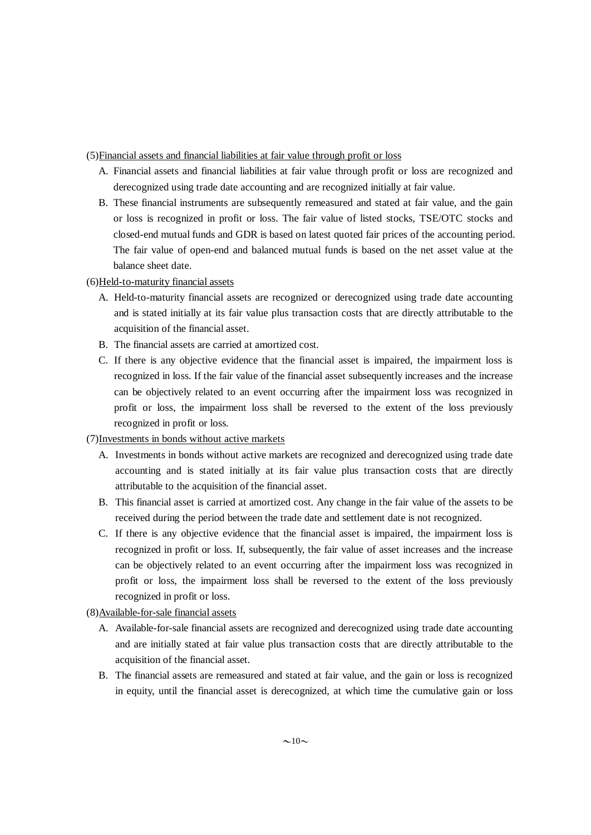(5)Financial assets and financial liabilities at fair value through profit or loss

- A. Financial assets and financial liabilities at fair value through profit or loss are recognized and derecognized using trade date accounting and are recognized initially at fair value.
- B. These financial instruments are subsequently remeasured and stated at fair value, and the gain or loss is recognized in profit or loss. The fair value of listed stocks, TSE/OTC stocks and closed-end mutual funds and GDR is based on latest quoted fair prices of the accounting period. The fair value of open-end and balanced mutual funds is based on the net asset value at the balance sheet date.
- (6)Held-to-maturity financial assets
	- A. Held-to-maturity financial assets are recognized or derecognized using trade date accounting and is stated initially at its fair value plus transaction costs that are directly attributable to the acquisition of the financial asset.
	- B. The financial assets are carried at amortized cost.
	- C. If there is any objective evidence that the financial asset is impaired, the impairment loss is recognized in loss. If the fair value of the financial asset subsequently increases and the increase can be objectively related to an event occurring after the impairment loss was recognized in profit or loss, the impairment loss shall be reversed to the extent of the loss previously recognized in profit or loss.

### (7)Investments in bonds without active markets

- A. Investments in bonds without active markets are recognized and derecognized using trade date accounting and is stated initially at its fair value plus transaction costs that are directly attributable to the acquisition of the financial asset.
- B. This financial asset is carried at amortized cost. Any change in the fair value of the assets to be received during the period between the trade date and settlement date is not recognized.
- C. If there is any objective evidence that the financial asset is impaired, the impairment loss is recognized in profit or loss. If, subsequently, the fair value of asset increases and the increase can be objectively related to an event occurring after the impairment loss was recognized in profit or loss, the impairment loss shall be reversed to the extent of the loss previously recognized in profit or loss.

## (8)Available-for-sale financial assets

- A. Available-for-sale financial assets are recognized and derecognized using trade date accounting and are initially stated at fair value plus transaction costs that are directly attributable to the acquisition of the financial asset.
- B. The financial assets are remeasured and stated at fair value, and the gain or loss is recognized in equity, until the financial asset is derecognized, at which time the cumulative gain or loss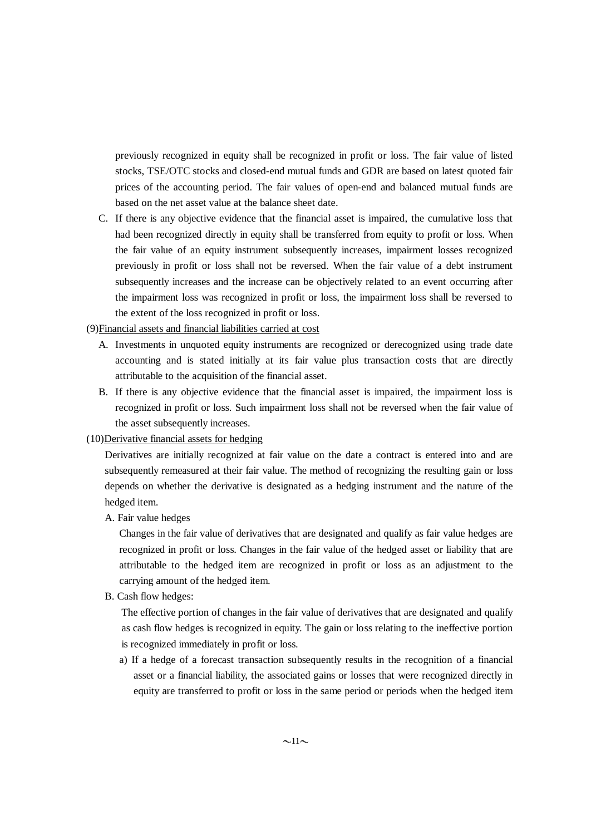previously recognized in equity shall be recognized in profit or loss. The fair value of listed stocks, TSE/OTC stocks and closed-end mutual funds and GDR are based on latest quoted fair prices of the accounting period. The fair values of open-end and balanced mutual funds are based on the net asset value at the balance sheet date.

C. If there is any objective evidence that the financial asset is impaired, the cumulative loss that had been recognized directly in equity shall be transferred from equity to profit or loss. When the fair value of an equity instrument subsequently increases, impairment losses recognized previously in profit or loss shall not be reversed. When the fair value of a debt instrument subsequently increases and the increase can be objectively related to an event occurring after the impairment loss was recognized in profit or loss, the impairment loss shall be reversed to the extent of the loss recognized in profit or loss.

(9)Financial assets and financial liabilities carried at cost

- A. Investments in unquoted equity instruments are recognized or derecognized using trade date accounting and is stated initially at its fair value plus transaction costs that are directly attributable to the acquisition of the financial asset.
- B. If there is any objective evidence that the financial asset is impaired, the impairment loss is recognized in profit or loss. Such impairment loss shall not be reversed when the fair value of the asset subsequently increases.

### (10)Derivative financial assets for hedging

Derivatives are initially recognized at fair value on the date a contract is entered into and are subsequently remeasured at their fair value. The method of recognizing the resulting gain or loss depends on whether the derivative is designated as a hedging instrument and the nature of the hedged item.

A. Fair value hedges

Changes in the fair value of derivatives that are designated and qualify as fair value hedges are recognized in profit or loss. Changes in the fair value of the hedged asset or liability that are attributable to the hedged item are recognized in profit or loss as an adjustment to the carrying amount of the hedged item.

B. Cash flow hedges:

The effective portion of changes in the fair value of derivatives that are designated and qualify as cash flow hedges is recognized in equity. The gain or loss relating to the ineffective portion is recognized immediately in profit or loss.

a) If a hedge of a forecast transaction subsequently results in the recognition of a financial asset or a financial liability, the associated gains or losses that were recognized directly in equity are transferred to profit or loss in the same period or periods when the hedged item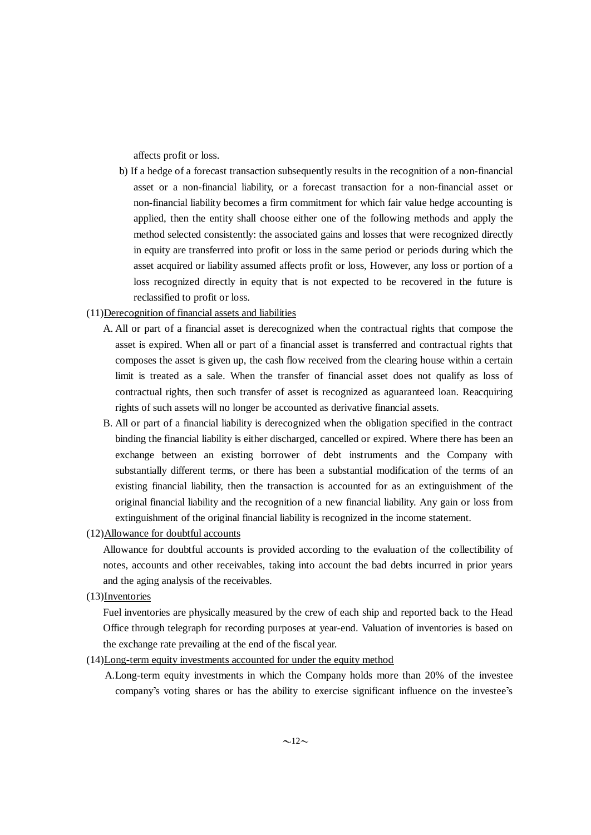affects profit or loss.

- b) If a hedge of a forecast transaction subsequently results in the recognition of a non-financial asset or a non-financial liability, or a forecast transaction for a non-financial asset or non-financial liability becomes a firm commitment for which fair value hedge accounting is applied, then the entity shall choose either one of the following methods and apply the method selected consistently: the associated gains and losses that were recognized directly in equity are transferred into profit or loss in the same period or periods during which the asset acquired or liability assumed affects profit or loss, However, any loss or portion of a loss recognized directly in equity that is not expected to be recovered in the future is reclassified to profit or loss.
- (11)Derecognition of financial assets and liabilities
	- A. All or part of a financial asset is derecognized when the contractual rights that compose the asset is expired. When all or part of a financial asset is transferred and contractual rights that composes the asset is given up, the cash flow received from the clearing house within a certain limit is treated as a sale. When the transfer of financial asset does not qualify as loss of contractual rights, then such transfer of asset is recognized as aguaranteed loan. Reacquiring rights of such assets will no longer be accounted as derivative financial assets.
	- B. All or part of a financial liability is derecognized when the obligation specified in the contract binding the financial liability is either discharged, cancelled or expired. Where there has been an exchange between an existing borrower of debt instruments and the Company with substantially different terms, or there has been a substantial modification of the terms of an existing financial liability, then the transaction is accounted for as an extinguishment of the original financial liability and the recognition of a new financial liability. Any gain or loss from extinguishment of the original financial liability is recognized in the income statement.
- (12)Allowance for doubtful accounts

Allowance for doubtful accounts is provided according to the evaluation of the collectibility of notes, accounts and other receivables, taking into account the bad debts incurred in prior years and the aging analysis of the receivables.

(13)Inventories

Fuel inventories are physically measured by the crew of each ship and reported back to the Head Office through telegraph for recording purposes at year-end. Valuation of inventories is based on the exchange rate prevailing at the end of the fiscal year.

(14)Long-term equity investments accounted for under the equity method

A.Long-term equity investments in which the Company holds more than 20% of the investee company's voting shares or has the ability to exercise significant influence on the investee's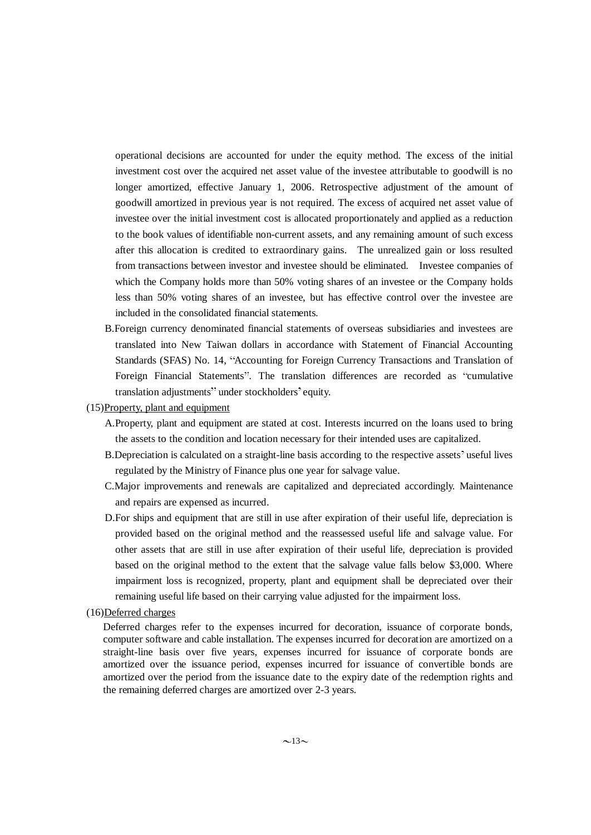operational decisions are accounted for under the equity method. The excess of the initial investment cost over the acquired net asset value of the investee attributable to goodwill is no longer amortized, effective January 1, 2006. Retrospective adjustment of the amount of goodwill amortized in previous year is not required. The excess of acquired net asset value of investee over the initial investment cost is allocated proportionately and applied as a reduction to the book values of identifiable non-current assets, and any remaining amount of such excess after this allocation is credited to extraordinary gains. The unrealized gain or loss resulted from transactions between investor and investee should be eliminated. Investee companies of which the Company holds more than 50% voting shares of an investee or the Company holds less than 50% voting shares of an investee, but has effective control over the investee are included in the consolidated financial statements.

- B.Foreign currency denominated financial statements of overseas subsidiaries and investees are translated into New Taiwan dollars in accordance with Statement of Financial Accounting Standards (SFAS) No. 14, "Accounting for Foreign Currency Transactions and Translation of Foreign Financial Statements". The translation differences are recorded as "cumulative translation adjustments" under stockholders' equity.
- (15)Property, plant and equipment
	- A.Property, plant and equipment are stated at cost. Interests incurred on the loans used to bring the assets to the condition and location necessary for their intended uses are capitalized.
	- B.Depreciation is calculated on a straight-line basis according to the respective assets' useful lives regulated by the Ministry of Finance plus one year for salvage value.
	- C.Major improvements and renewals are capitalized and depreciated accordingly. Maintenance and repairs are expensed as incurred.
	- D.For ships and equipment that are still in use after expiration of their useful life, depreciation is provided based on the original method and the reassessed useful life and salvage value. For other assets that are still in use after expiration of their useful life, depreciation is provided based on the original method to the extent that the salvage value falls below \$3,000. Where impairment loss is recognized, property, plant and equipment shall be depreciated over their remaining useful life based on their carrying value adjusted for the impairment loss.

#### (16)Deferred charges

Deferred charges refer to the expenses incurred for decoration, issuance of corporate bonds, computer software and cable installation. The expenses incurred for decoration are amortized on a straight-line basis over five years, expenses incurred for issuance of corporate bonds are amortized over the issuance period, expenses incurred for issuance of convertible bonds are amortized over the period from the issuance date to the expiry date of the redemption rights and the remaining deferred charges are amortized over 2-3 years.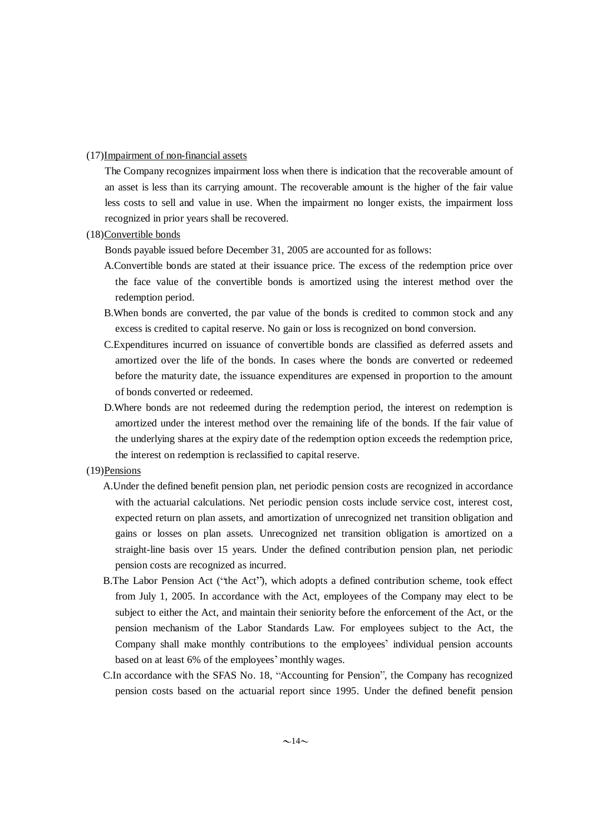(17)Impairment of non-financial assets

The Company recognizes impairment loss when there is indication that the recoverable amount of an asset is less than its carrying amount. The recoverable amount is the higher of the fair value less costs to sell and value in use. When the impairment no longer exists, the impairment loss recognized in prior years shall be recovered.

#### (18)Convertible bonds

Bonds payable issued before December 31, 2005 are accounted for as follows:

- A.Convertible bonds are stated at their issuance price. The excess of the redemption price over the face value of the convertible bonds is amortized using the interest method over the redemption period.
- B.When bonds are converted, the par value of the bonds is credited to common stock and any excess is credited to capital reserve. No gain or loss is recognized on bond conversion.
- C.Expenditures incurred on issuance of convertible bonds are classified as deferred assets and amortized over the life of the bonds. In cases where the bonds are converted or redeemed before the maturity date, the issuance expenditures are expensed in proportion to the amount of bonds converted or redeemed.
- D.Where bonds are not redeemed during the redemption period, the interest on redemption is amortized under the interest method over the remaining life of the bonds. If the fair value of the underlying shares at the expiry date of the redemption option exceeds the redemption price, the interest on redemption is reclassified to capital reserve.

#### (19)Pensions

- A.Under the defined benefit pension plan, net periodic pension costs are recognized in accordance with the actuarial calculations. Net periodic pension costs include service cost, interest cost, expected return on plan assets, and amortization of unrecognized net transition obligation and gains or losses on plan assets. Unrecognized net transition obligation is amortized on a straight-line basis over 15 years. Under the defined contribution pension plan, net periodic pension costs are recognized as incurred.
- B.The Labor Pension Act ("the Act"), which adopts a defined contribution scheme, took effect from July 1, 2005. In accordance with the Act, employees of the Company may elect to be subject to either the Act, and maintain their seniority before the enforcement of the Act, or the pension mechanism of the Labor Standards Law. For employees subject to the Act, the Company shall make monthly contributions to the employees' individual pension accounts based on at least 6% of the employees' monthly wages.
- C.In accordance with the SFAS No. 18, "Accounting for Pension", the Company has recognized pension costs based on the actuarial report since 1995. Under the defined benefit pension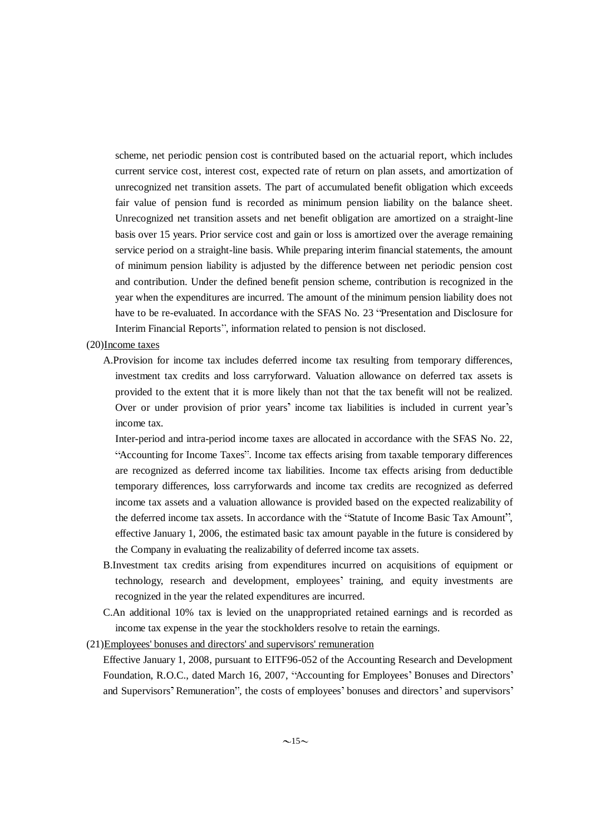scheme, net periodic pension cost is contributed based on the actuarial report, which includes current service cost, interest cost, expected rate of return on plan assets, and amortization of unrecognized net transition assets. The part of accumulated benefit obligation which exceeds fair value of pension fund is recorded as minimum pension liability on the balance sheet. Unrecognized net transition assets and net benefit obligation are amortized on a straight-line basis over 15 years. Prior service cost and gain or loss is amortized over the average remaining service period on a straight-line basis. While preparing interim financial statements, the amount of minimum pension liability is adjusted by the difference between net periodic pension cost and contribution. Under the defined benefit pension scheme, contribution is recognized in the year when the expenditures are incurred. The amount of the minimum pension liability does not have to be re-evaluated. In accordance with the SFAS No. 23 "Presentation and Disclosure for Interim Financial Reports", information related to pension is not disclosed.

#### (20)Income taxes

A.Provision for income tax includes deferred income tax resulting from temporary differences, investment tax credits and loss carryforward. Valuation allowance on deferred tax assets is provided to the extent that it is more likely than not that the tax benefit will not be realized. Over or under provision of prior years' income tax liabilities is included in current year's income tax.

Inter-period and intra-period income taxes are allocated in accordance with the SFAS No. 22, "Accounting for Income Taxes". Income tax effects arising from taxable temporary differences are recognized as deferred income tax liabilities. Income tax effects arising from deductible temporary differences, loss carryforwards and income tax credits are recognized as deferred income tax assets and a valuation allowance is provided based on the expected realizability of the deferred income tax assets. In accordance with the "Statute of Income Basic Tax Amount", effective January 1, 2006, the estimated basic tax amount payable in the future is considered by the Company in evaluating the realizability of deferred income tax assets.

- B.Investment tax credits arising from expenditures incurred on acquisitions of equipment or technology, research and development, employees' training, and equity investments are recognized in the year the related expenditures are incurred.
- C.An additional 10% tax is levied on the unappropriated retained earnings and is recorded as income tax expense in the year the stockholders resolve to retain the earnings.
- (21)Employees' bonuses and directors' and supervisors' remuneration

Effective January 1, 2008, pursuant to EITF96-052 of the Accounting Research and Development Foundation, R.O.C., dated March 16, 2007, "Accounting for Employees' Bonuses and Directors' and Supervisors' Remuneration", the costs of employees' bonuses and directors' and supervisors'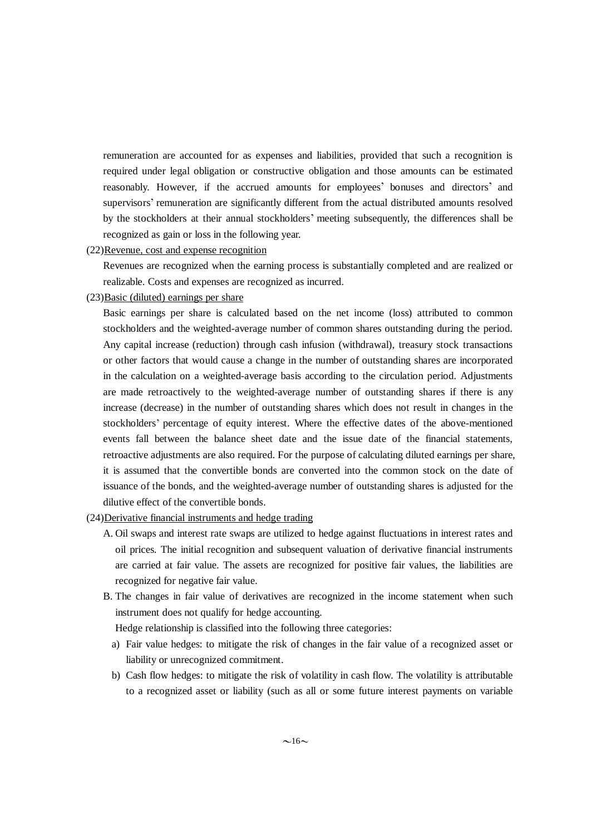remuneration are accounted for as expenses and liabilities, provided that such a recognition is required under legal obligation or constructive obligation and those amounts can be estimated reasonably. However, if the accrued amounts for employees' bonuses and directors' and supervisors' remuneration are significantly different from the actual distributed amounts resolved by the stockholders at their annual stockholders' meeting subsequently, the differences shall be recognized as gain or loss in the following year.

#### (22)Revenue, cost and expense recognition

Revenues are recognized when the earning process is substantially completed and are realized or realizable. Costs and expenses are recognized as incurred.

(23)Basic (diluted) earnings per share

Basic earnings per share is calculated based on the net income (loss) attributed to common stockholders and the weighted-average number of common shares outstanding during the period. Any capital increase (reduction) through cash infusion (withdrawal), treasury stock transactions or other factors that would cause a change in the number of outstanding shares are incorporated in the calculation on a weighted-average basis according to the circulation period. Adjustments are made retroactively to the weighted-average number of outstanding shares if there is any increase (decrease) in the number of outstanding shares which does not result in changes in the stockholders' percentage of equity interest. Where the effective dates of the above-mentioned events fall between the balance sheet date and the issue date of the financial statements, retroactive adjustments are also required. For the purpose of calculating diluted earnings per share, it is assumed that the convertible bonds are converted into the common stock on the date of issuance of the bonds, and the weighted-average number of outstanding shares is adjusted for the dilutive effect of the convertible bonds.

- (24)Derivative financial instruments and hedge trading
	- A. Oil swaps and interest rate swaps are utilized to hedge against fluctuations in interest rates and oil prices. The initial recognition and subsequent valuation of derivative financial instruments are carried at fair value. The assets are recognized for positive fair values, the liabilities are recognized for negative fair value.
	- B. The changes in fair value of derivatives are recognized in the income statement when such instrument does not qualify for hedge accounting.

Hedge relationship is classified into the following three categories:

- a) Fair value hedges: to mitigate the risk of changes in the fair value of a recognized asset or liability or unrecognized commitment.
- b) Cash flow hedges: to mitigate the risk of volatility in cash flow. The volatility is attributable to a recognized asset or liability (such as all or some future interest payments on variable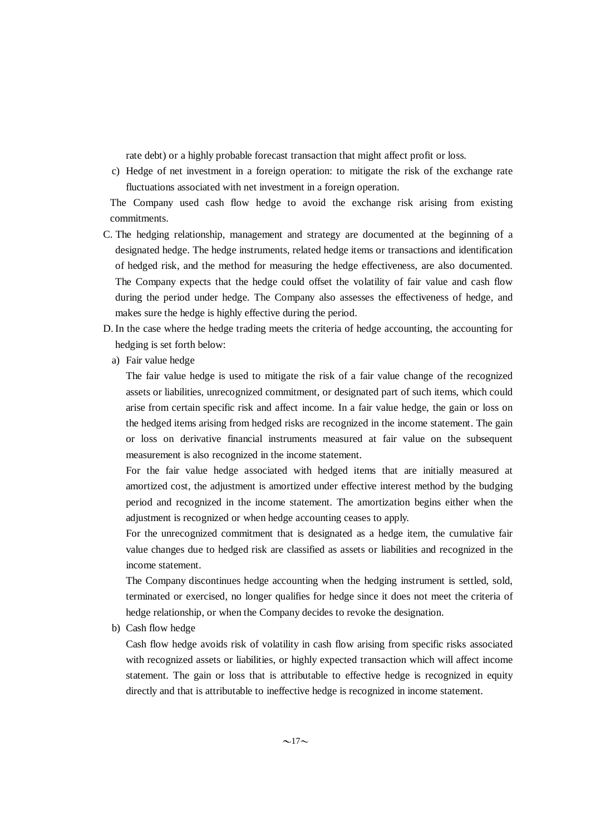rate debt) or a highly probable forecast transaction that might affect profit or loss.

c) Hedge of net investment in a foreign operation: to mitigate the risk of the exchange rate fluctuations associated with net investment in a foreign operation.

The Company used cash flow hedge to avoid the exchange risk arising from existing commitments.

- C. The hedging relationship, management and strategy are documented at the beginning of a designated hedge. The hedge instruments, related hedge items or transactions and identification of hedged risk, and the method for measuring the hedge effectiveness, are also documented. The Company expects that the hedge could offset the volatility of fair value and cash flow during the period under hedge. The Company also assesses the effectiveness of hedge, and makes sure the hedge is highly effective during the period.
- D. In the case where the hedge trading meets the criteria of hedge accounting, the accounting for hedging is set forth below:
	- a) Fair value hedge

The fair value hedge is used to mitigate the risk of a fair value change of the recognized assets or liabilities, unrecognized commitment, or designated part of such items, which could arise from certain specific risk and affect income. In a fair value hedge, the gain or loss on the hedged items arising from hedged risks are recognized in the income statement. The gain or loss on derivative financial instruments measured at fair value on the subsequent measurement is also recognized in the income statement.

For the fair value hedge associated with hedged items that are initially measured at amortized cost, the adjustment is amortized under effective interest method by the budging period and recognized in the income statement. The amortization begins either when the adjustment is recognized or when hedge accounting ceases to apply.

For the unrecognized commitment that is designated as a hedge item, the cumulative fair value changes due to hedged risk are classified as assets or liabilities and recognized in the income statement.

The Company discontinues hedge accounting when the hedging instrument is settled, sold, terminated or exercised, no longer qualifies for hedge since it does not meet the criteria of hedge relationship, or when the Company decides to revoke the designation.

b) Cash flow hedge

Cash flow hedge avoids risk of volatility in cash flow arising from specific risks associated with recognized assets or liabilities, or highly expected transaction which will affect income statement. The gain or loss that is attributable to effective hedge is recognized in equity directly and that is attributable to ineffective hedge is recognized in income statement.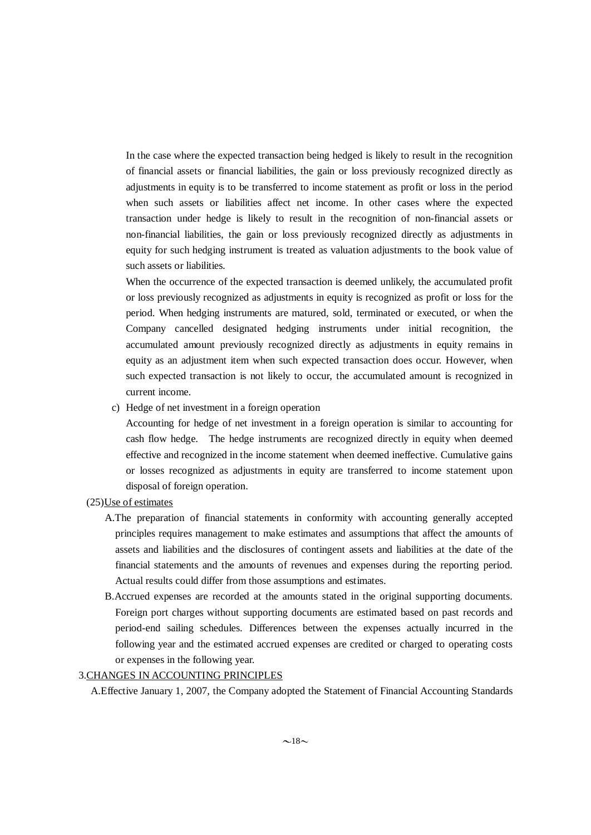In the case where the expected transaction being hedged is likely to result in the recognition of financial assets or financial liabilities, the gain or loss previously recognized directly as adjustments in equity is to be transferred to income statement as profit or loss in the period when such assets or liabilities affect net income. In other cases where the expected transaction under hedge is likely to result in the recognition of non-financial assets or non-financial liabilities, the gain or loss previously recognized directly as adjustments in equity for such hedging instrument is treated as valuation adjustments to the book value of such assets or liabilities.

When the occurrence of the expected transaction is deemed unlikely, the accumulated profit or loss previously recognized as adjustments in equity is recognized as profit or loss for the period. When hedging instruments are matured, sold, terminated or executed, or when the Company cancelled designated hedging instruments under initial recognition, the accumulated amount previously recognized directly as adjustments in equity remains in equity as an adjustment item when such expected transaction does occur. However, when such expected transaction is not likely to occur, the accumulated amount is recognized in current income.

c) Hedge of net investment in a foreign operation

Accounting for hedge of net investment in a foreign operation is similar to accounting for cash flow hedge. The hedge instruments are recognized directly in equity when deemed effective and recognized in the income statement when deemed ineffective. Cumulative gains or losses recognized as adjustments in equity are transferred to income statement upon disposal of foreign operation.

- (25)Use of estimates
	- A.The preparation of financial statements in conformity with accounting generally accepted principles requires management to make estimates and assumptions that affect the amounts of assets and liabilities and the disclosures of contingent assets and liabilities at the date of the financial statements and the amounts of revenues and expenses during the reporting period. Actual results could differ from those assumptions and estimates.
	- B.Accrued expenses are recorded at the amounts stated in the original supporting documents. Foreign port charges without supporting documents are estimated based on past records and period-end sailing schedules. Differences between the expenses actually incurred in the following year and the estimated accrued expenses are credited or charged to operating costs or expenses in the following year.

### 3.CHANGES IN ACCOUNTING PRINCIPLES

A.Effective January 1, 2007, the Company adopted the Statement of Financial Accounting Standards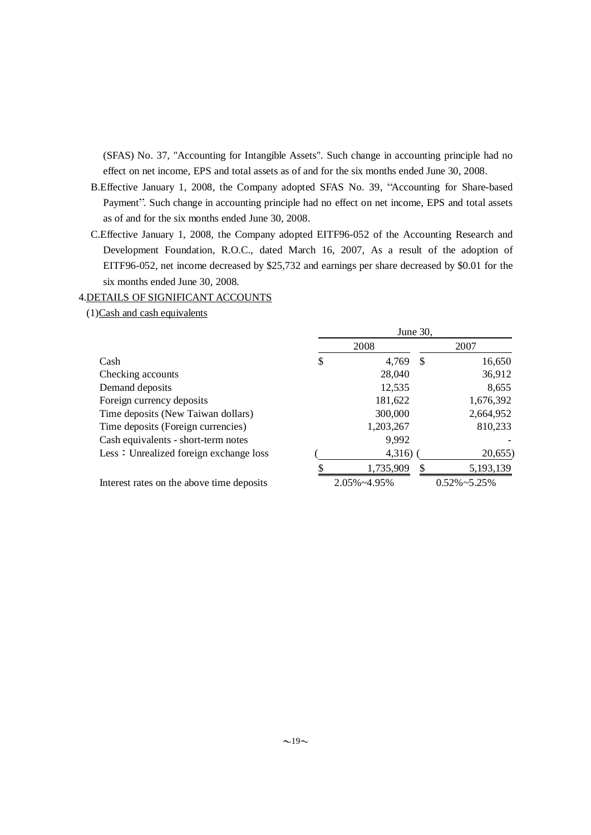(SFAS) No. 37, "Accounting for Intangible Assets". Such change in accounting principle had no effect on net income, EPS and total assets as of and for the six months ended June 30, 2008.

- B.Effective January 1, 2008, the Company adopted SFAS No. 39, "Accounting for Share-based Payment". Such change in accounting principle had no effect on net income, EPS and total assets as of and for the six months ended June 30, 2008.
- C.Effective January 1, 2008, the Company adopted EITF96-052 of the Accounting Research and Development Foundation, R.O.C., dated March 16, 2007, As a result of the adoption of EITF96-052, net income decreased by \$25,732 and earnings per share decreased by \$0.01 for the six months ended June 30, 2008.

### 4.DETAILS OF SIGNIFICANT ACCOUNTS

(1)Cash and cash equivalents

|                                           | June 30,          |    |                      |
|-------------------------------------------|-------------------|----|----------------------|
|                                           | 2008              |    | 2007                 |
| Cash                                      | \$<br>4,769       | -S | 16,650               |
| Checking accounts                         | 28,040            |    | 36,912               |
| Demand deposits                           | 12,535            |    | 8,655                |
| Foreign currency deposits                 | 181,622           |    | 1,676,392            |
| Time deposits (New Taiwan dollars)        | 300,000           |    | 2,664,952            |
| Time deposits (Foreign currencies)        | 1,203,267         |    | 810,233              |
| Cash equivalents - short-term notes       | 9,992             |    |                      |
| Less: Unrealized foreign exchange loss    | 4,316)            |    | 20,655               |
|                                           | 1,735,909         | S  | 5,193,139            |
| Interest rates on the above time deposits | $2.05\% - 4.95\%$ |    | $0.52\% \sim 5.25\%$ |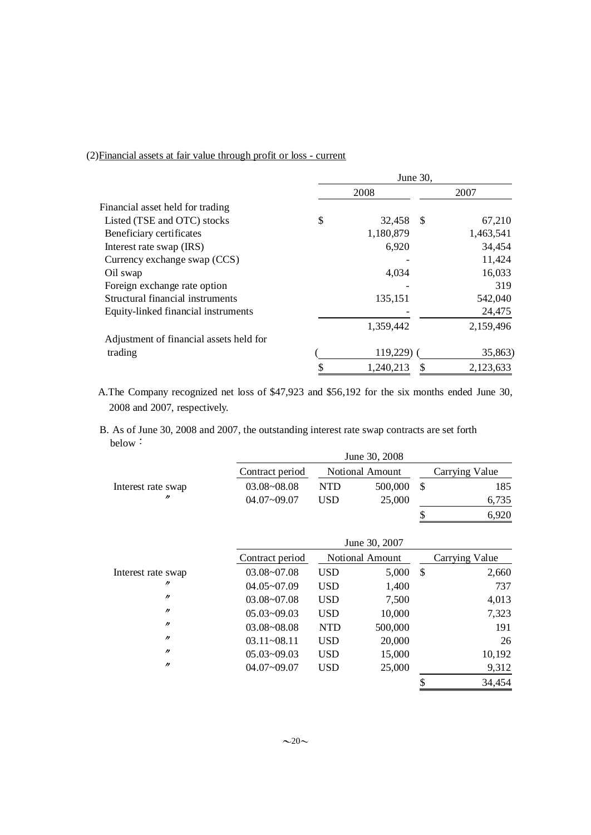# (2)Financial assets at fair value through profit or loss - current

|                                         | June 30,     |     |           |
|-----------------------------------------|--------------|-----|-----------|
|                                         | 2008         |     | 2007      |
| Financial asset held for trading        |              |     |           |
| Listed (TSE and OTC) stocks             | \$<br>32,458 | -\$ | 67,210    |
| Beneficiary certificates                | 1,180,879    |     | 1,463,541 |
| Interest rate swap (IRS)                | 6,920        |     | 34,454    |
| Currency exchange swap (CCS)            |              |     | 11,424    |
| Oil swap                                | 4,034        |     | 16,033    |
| Foreign exchange rate option            |              |     | 319       |
| Structural financial instruments        | 135,151      |     | 542,040   |
| Equity-linked financial instruments     |              |     | 24,475    |
|                                         | 1,359,442    |     | 2,159,496 |
| Adjustment of financial assets held for |              |     |           |
| trading                                 | 119,229)     |     | 35,863)   |
|                                         | 1,240,213    |     | 2,123,633 |
|                                         |              |     |           |

A.The Company recognized net loss of \$47,923 and \$56,192 for the six months ended June 30, 2008 and 2007, respectively.

B. As of June 30, 2008 and 2007, the outstanding interest rate swap contracts are set forth below:

|                    |                 |            | June 30, 2008          |               |                |
|--------------------|-----------------|------------|------------------------|---------------|----------------|
|                    | Contract period |            | <b>Notional Amount</b> |               | Carrying Value |
| Interest rate swap | 03.08~08.08     | <b>NTD</b> | 500,000                | $\mathcal{S}$ | 185            |
| n                  | $04.07 - 09.07$ | <b>USD</b> | 25,000                 |               | 6,735          |
|                    |                 |            |                        | \$            | 6,920          |
|                    |                 |            | June 30, 2007          |               |                |
|                    | Contract period |            | <b>Notional Amount</b> |               | Carrying Value |
| Interest rate swap | 03.08~07.08     | <b>USD</b> | 5,000                  | $\mathcal{S}$ | 2,660          |
| 11                 | $04.05 - 07.09$ | <b>USD</b> | 1,400                  |               | 737            |
| $^{\prime\prime}$  | $03.08 - 07.08$ | <b>USD</b> | 7,500                  |               | 4,013          |
| $\prime\prime$     | $05.03 - 09.03$ | <b>USD</b> | 10,000                 |               | 7,323          |
| $\prime$           | $03.08 - 08.08$ | <b>NTD</b> | 500,000                |               | 191            |
| $\prime$           | $03.11 - 08.11$ | <b>USD</b> | 20,000                 |               | 26             |
| $^{\prime\prime}$  | $05.03 - 09.03$ | <b>USD</b> | 15,000                 |               | 10,192         |
| $^{\prime\prime}$  | $04.07 - 09.07$ | <b>USD</b> | 25,000                 |               | 9,312          |
|                    |                 |            |                        | \$            | 34,454         |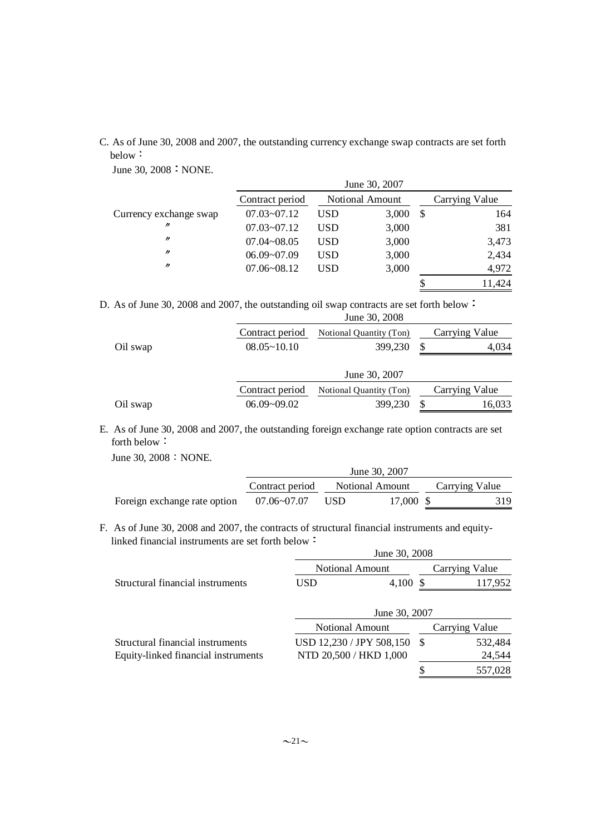C. As of June 30, 2008 and 2007, the outstanding currency exchange swap contracts are set forth below:

June 30, 2008 : NONE.

|                        |                 |     | June 30, 2007          |                |
|------------------------|-----------------|-----|------------------------|----------------|
|                        | Contract period |     | <b>Notional Amount</b> | Carrying Value |
| Currency exchange swap | $07.03 - 07.12$ | USD | 3,000                  | \$<br>164      |
| $\prime\prime$         | $07.03 - 07.12$ | USD | 3,000                  | 381            |
| $\prime$               | $07.04 - 08.05$ | USD | 3,000                  | 3,473          |
| $\prime$               | $06.09 - 07.09$ | USD | 3,000                  | 2,434          |
| $\prime$               | $07.06 - 08.12$ | USD | 3,000                  | 4,972          |
|                        |                 |     |                        | 11,424         |

D. As of June 30, 2008 and 2007, the outstanding oil swap contracts are set forth below

|          |                 | June 30, 2008           |    |                |
|----------|-----------------|-------------------------|----|----------------|
|          | Contract period | Notional Quantity (Ton) |    | Carrying Value |
| Oil swap | $08.05 - 10.10$ | 399,230                 | £. | 4.034          |
|          |                 | June 30, 2007           |    |                |
|          | Contract period | Notional Quantity (Ton) |    | Carrying Value |
| Oil swap | $06.09 - 09.02$ | 399,230                 | \$ | 16,033         |

E. As of June 30, 2008 and 2007, the outstanding foreign exchange rate option contracts are set forth below

June 30, 2008 : NONE.

|                              |                 |     | June 30, 2007   |                |
|------------------------------|-----------------|-----|-----------------|----------------|
|                              | Contract period |     | Notional Amount | Carrying Value |
| Foreign exchange rate option | $07.06 - 07.07$ | USD | 17,000 \$       | 319            |

F. As of June 30, 2008 and 2007, the contracts of structural financial instruments and equitylinked financial instruments are set forth below :  $20, 2008$ 

|                                     |                          | June 30, 2008 |    |                |
|-------------------------------------|--------------------------|---------------|----|----------------|
|                                     | <b>Notional Amount</b>   |               |    | Carrying Value |
| Structural financial instruments    | USD                      | 4,100         |    | 117,952        |
|                                     |                          | June 30, 2007 |    |                |
|                                     | <b>Notional Amount</b>   |               |    | Carrying Value |
| Structural financial instruments    | USD 12,230 / JPY 508,150 |               | -S | 532,484        |
| Equity-linked financial instruments | NTD 20,500 / HKD 1,000   |               |    | 24,544         |
|                                     |                          |               | \$ | 557,028        |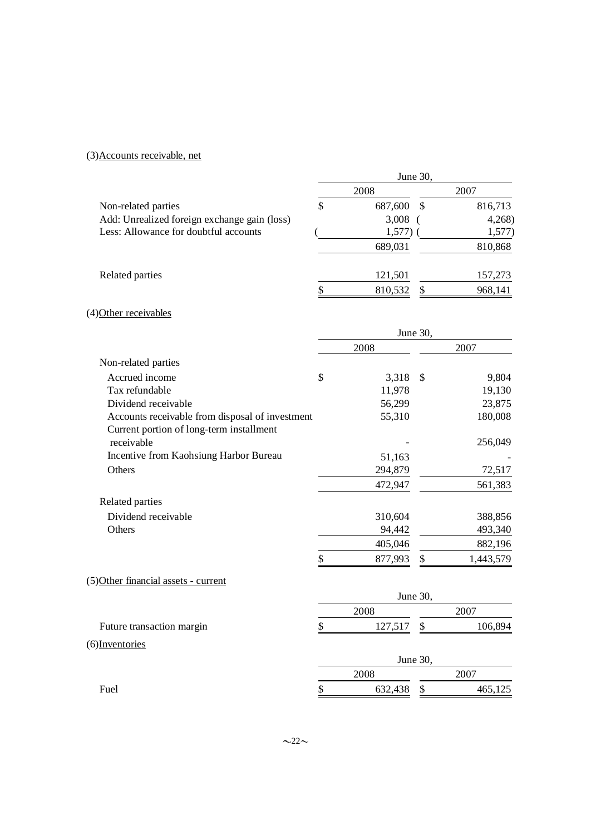# (3)Accounts receivable, net

|                                                 |               | June 30,        |
|-------------------------------------------------|---------------|-----------------|
|                                                 | 2008          | 2007            |
| Non-related parties                             | \$<br>687,600 | \$<br>816,713   |
| Add: Unrealized foreign exchange gain (loss)    | 3,008         | 4,268           |
| Less: Allowance for doubtful accounts           | 1,577)        | 1,577)          |
|                                                 | 689,031       | 810,868         |
| Related parties                                 | 121,501       | 157,273         |
|                                                 | \$<br>810,532 | 968,141<br>\$   |
| (4) Other receivables                           |               |                 |
|                                                 |               | June 30,        |
|                                                 | 2008          | 2007            |
| Non-related parties                             |               |                 |
| Accrued income                                  | \$<br>3,318   | 9,804<br>\$     |
| Tax refundable                                  | 11,978        | 19,130          |
| Dividend receivable                             | 56,299        | 23,875          |
| Accounts receivable from disposal of investment | 55,310        | 180,008         |
| Current portion of long-term installment        |               |                 |
| receivable                                      |               | 256,049         |
| Incentive from Kaohsiung Harbor Bureau          | 51,163        |                 |
| Others                                          | 294,879       | 72,517          |
|                                                 | 472,947       | 561,383         |
| Related parties                                 |               |                 |
| Dividend receivable                             | 310,604       | 388,856         |
| Others                                          | 94,442        | 493,340         |
|                                                 | 405,046       | 882,196         |
|                                                 | \$<br>877,993 | \$<br>1,443,579 |
| (5) Other financial assets - current            |               |                 |
|                                                 |               | June 30,        |
|                                                 | 2008          | 2007            |
| Future transaction margin                       | \$<br>127,517 | 106,894<br>\$   |
| $(6)$ Inventories                               |               |                 |
|                                                 |               | June 30,        |
|                                                 | 2008          | 2007            |
| Fuel                                            | \$<br>632,438 | \$<br>465,125   |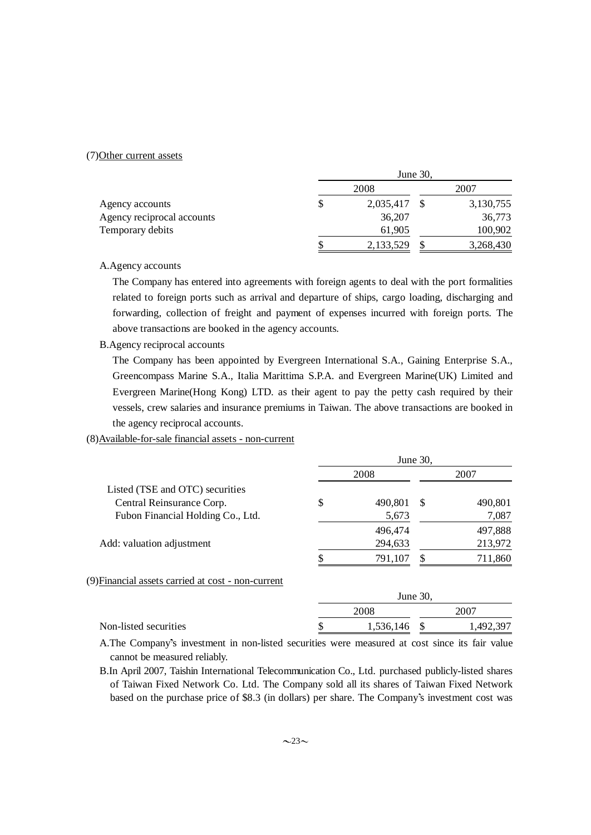### (7)Other current assets

|                            | June $30$ , |              |  |           |
|----------------------------|-------------|--------------|--|-----------|
|                            |             | 2008         |  | 2007      |
| Agency accounts            | S           | 2,035,417 \$ |  | 3,130,755 |
| Agency reciprocal accounts |             | 36,207       |  | 36,773    |
| Temporary debits           |             | 61,905       |  | 100,902   |
|                            |             | 2,133,529    |  | 3,268,430 |

A.Agency accounts

The Company has entered into agreements with foreign agents to deal with the port formalities related to foreign ports such as arrival and departure of ships, cargo loading, discharging and forwarding, collection of freight and payment of expenses incurred with foreign ports. The above transactions are booked in the agency accounts.

B.Agency reciprocal accounts

The Company has been appointed by Evergreen International S.A., Gaining Enterprise S.A., Greencompass Marine S.A., Italia Marittima S.P.A. and Evergreen Marine(UK) Limited and Evergreen Marine(Hong Kong) LTD. as their agent to pay the petty cash required by their vessels, crew salaries and insurance premiums in Taiwan. The above transactions are booked in the agency reciprocal accounts.

(8)Available-for-sale financial assets - non-current

|                                                    | June 30, |         |          |         |
|----------------------------------------------------|----------|---------|----------|---------|
|                                                    |          | 2008    |          | 2007    |
| Listed (TSE and OTC) securities                    |          |         |          |         |
| Central Reinsurance Corp.                          | \$       | 490,801 | -S       | 490,801 |
| Fubon Financial Holding Co., Ltd.                  |          | 5,673   |          | 7,087   |
|                                                    |          | 496,474 |          | 497,888 |
| Add: valuation adjustment                          |          | 294,633 |          | 213,972 |
|                                                    |          | 791,107 |          | 711,860 |
| (9) Financial assets carried at cost - non-current |          |         |          |         |
|                                                    |          |         | June 30, |         |
|                                                    |          | 2008    |          | 2007    |

| Non-listed securities                                                                          | 1,536,146 \$ | 1.492.397 |
|------------------------------------------------------------------------------------------------|--------------|-----------|
| A The Company's investment in non-listed securities were measured at cost since its fair value |              |           |

A. The Company's investment in non-listed securities were measured at cost since its fair value cannot be measured reliably.

B.In April 2007, Taishin International Telecommunication Co., Ltd. purchased publicly-listed shares of Taiwan Fixed Network Co. Ltd. The Company sold all its shares of Taiwan Fixed Network based on the purchase price of \$8.3 (in dollars) per share. The Company's investment cost was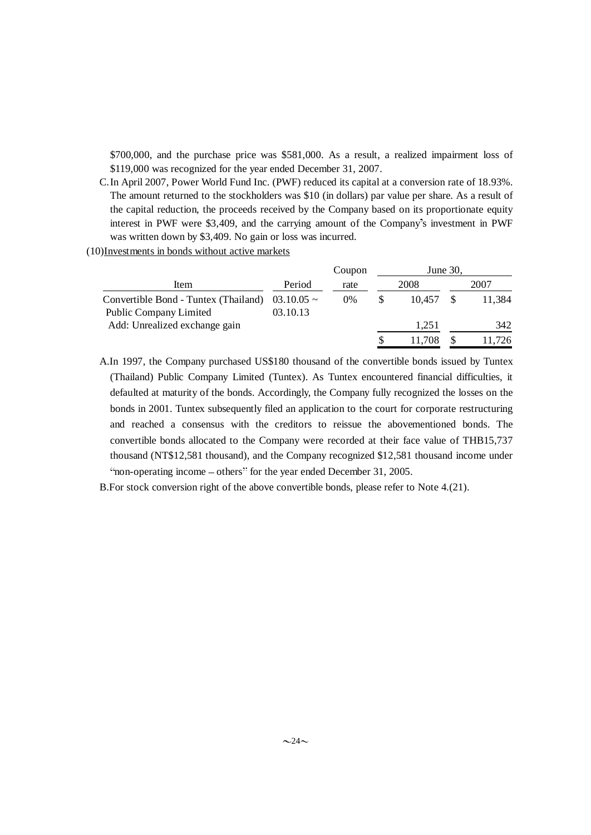\$700,000, and the purchase price was \$581,000. As a result, a realized impairment loss of \$119,000 was recognized for the year ended December 31, 2007.

C.In April 2007, Power World Fund Inc. (PWF) reduced its capital at a conversion rate of 18.93%. The amount returned to the stockholders was \$10 (in dollars) par value per share. As a result of the capital reduction, the proceeds received by the Company based on its proportionate equity interest in PWF were \$3,409, and the carrying amount of the Company's investment in PWF was written down by \$3,409. No gain or loss was incurred.

(10)Investments in bonds without active markets

|                                                         | Coupon |        |          |
|---------------------------------------------------------|--------|--------|----------|
| Period                                                  | rate   | 2008   | 2007     |
| Convertible Bond - Tuntex (Thailand)<br>$03.10.05 \sim$ | $0\%$  | 10.457 | 11.384   |
| 03.10.13                                                |        |        |          |
|                                                         |        | 1,251  | 342      |
|                                                         |        | 11.708 | 11,726   |
|                                                         |        |        | June 30, |

A.In 1997, the Company purchased US\$180 thousand of the convertible bonds issued by Tuntex (Thailand) Public Company Limited (Tuntex). As Tuntex encountered financial difficulties, it defaulted at maturity of the bonds. Accordingly, the Company fully recognized the losses on the bonds in 2001. Tuntex subsequently filed an application to the court for corporate restructuring and reached a consensus with the creditors to reissue the abovementioned bonds. The convertible bonds allocated to the Company were recorded at their face value of THB15,737 thousand (NT\$12,581 thousand), and the Company recognized \$12,581 thousand income under "non-operating income – others" for the year ended December 31, 2005.

B.For stock conversion right of the above convertible bonds, please refer to Note 4.(21).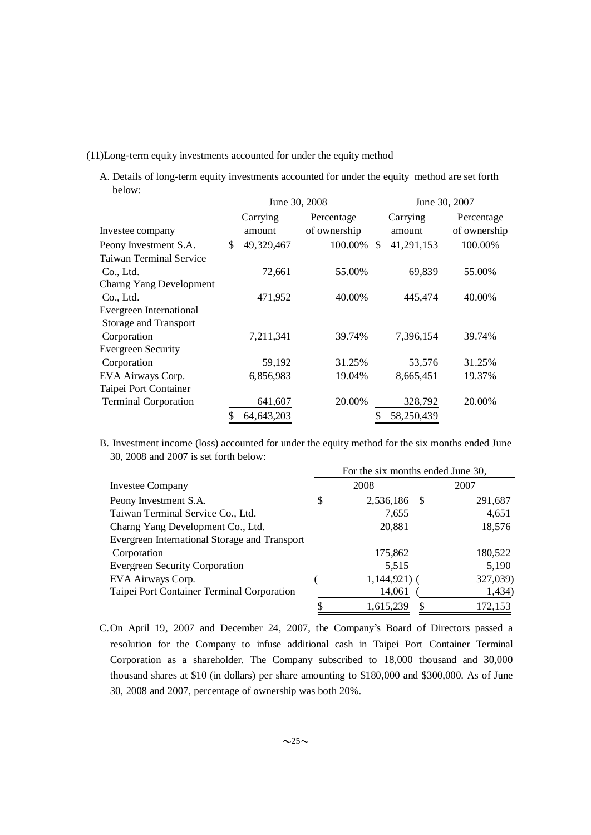## (11)Long-term equity investments accounted for under the equity method

A. Details of long-term equity investments accounted for under the equity method are set forth below:

|                                | June 30, 2008    |              |                  | June 30, 2007 |
|--------------------------------|------------------|--------------|------------------|---------------|
|                                | Carrying         | Percentage   | Carrying         | Percentage    |
| Investee company               | amount           | of ownership | amount           | of ownership  |
| Peony Investment S.A.          | \$<br>49,329,467 | 100.00%      | 41,291,153<br>\$ | 100.00%       |
| <b>Taiwan Terminal Service</b> |                  |              |                  |               |
| Co., Ltd.                      | 72,661           | 55.00%       | 69,839           | 55.00%        |
| Charng Yang Development        |                  |              |                  |               |
| Co., Ltd.                      | 471,952          | 40.00%       | 445,474          | 40.00%        |
| Evergreen International        |                  |              |                  |               |
| <b>Storage and Transport</b>   |                  |              |                  |               |
| Corporation                    | 7,211,341        | 39.74%       | 7.396.154        | 39.74%        |
| <b>Evergreen Security</b>      |                  |              |                  |               |
| Corporation                    | 59,192           | 31.25%       | 53,576           | 31.25%        |
| EVA Airways Corp.              | 6,856,983        | 19.04%       | 8,665,451        | 19.37%        |
| Taipei Port Container          |                  |              |                  |               |
| <b>Terminal Corporation</b>    | 641,607          | 20.00%       | 328,792          | 20.00%        |
|                                | 64, 643, 203     |              | 58,250,439       |               |

B. Investment income (loss) accounted for under the equity method for the six months ended June 30, 2008 and 2007 is set forth below:

|                                               | For the six months ended June 30, |               |      |          |  |  |  |
|-----------------------------------------------|-----------------------------------|---------------|------|----------|--|--|--|
| <b>Investee Company</b>                       |                                   | 2008          | 2007 |          |  |  |  |
| Peony Investment S.A.                         | \$                                | 2,536,186     | -S   | 291,687  |  |  |  |
| Taiwan Terminal Service Co., Ltd.             |                                   | 7,655         |      | 4,651    |  |  |  |
| Charng Yang Development Co., Ltd.             |                                   | 20,881        |      | 18,576   |  |  |  |
| Evergreen International Storage and Transport |                                   |               |      |          |  |  |  |
| Corporation                                   |                                   | 175,862       |      | 180,522  |  |  |  |
| <b>Evergreen Security Corporation</b>         |                                   | 5,515         |      | 5,190    |  |  |  |
| EVA Airways Corp.                             |                                   | $1,144,921$ ( |      | 327,039) |  |  |  |
| Taipei Port Container Terminal Corporation    |                                   | 14,061        |      | 1,434)   |  |  |  |
|                                               |                                   | 1,615,239     | S    | 172,153  |  |  |  |

C.On April 19, 2007 and December 24, 2007, the Company's Board of Directors passed a resolution for the Company to infuse additional cash in Taipei Port Container Terminal Corporation as a shareholder. The Company subscribed to 18,000 thousand and 30,000 thousand shares at \$10 (in dollars) per share amounting to \$180,000 and \$300,000. As of June 30, 2008 and 2007, percentage of ownership was both 20%.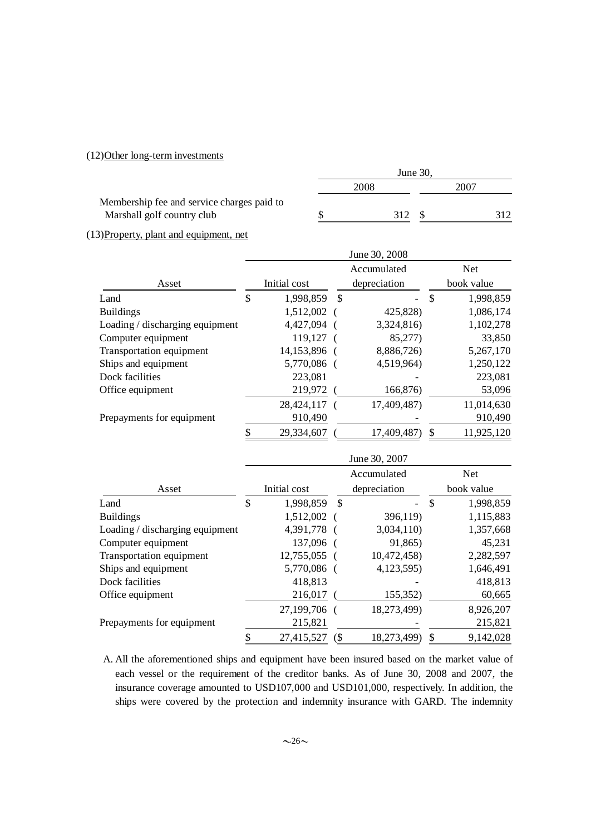### (12)Other long-term investments

|                                            | June $30.$ |      |  |      |
|--------------------------------------------|------------|------|--|------|
|                                            |            | 2008 |  | 2007 |
| Membership fee and service charges paid to |            |      |  |      |
| Marshall golf country club                 |            | 312  |  |      |

(13)Property, plant and equipment, net

|                                 | June 30, 2008 |              |               |              |    |            |
|---------------------------------|---------------|--------------|---------------|--------------|----|------------|
|                                 |               |              |               | Accumulated  |    | <b>Net</b> |
| Asset                           |               | Initial cost |               | depreciation |    | book value |
| Land                            | \$            | 1,998,859    | <sup>\$</sup> |              | \$ | 1,998,859  |
| <b>Buildings</b>                |               | 1,512,002 (  |               | 425,828)     |    | 1,086,174  |
| Loading / discharging equipment |               | 4,427,094 (  |               | 3,324,816)   |    | 1,102,278  |
| Computer equipment              |               | 119,127 (    |               | 85,277)      |    | 33,850     |
| Transportation equipment        |               | 14,153,896 ( |               | 8,886,726)   |    | 5,267,170  |
| Ships and equipment             |               | 5,770,086 (  |               | 4,519,964)   |    | 1,250,122  |
| Dock facilities                 |               | 223,081      |               |              |    | 223,081    |
| Office equipment                |               | 219,972      |               | 166,876)     |    | 53,096     |
|                                 |               | 28,424,117 ( |               | 17,409,487)  |    | 11,014,630 |
| Prepayments for equipment       |               | 910,490      |               |              |    | 910,490    |
|                                 |               | 29,334,607   |               | 17,409,487)  |    | 11,925,120 |

|                                 | June 30, 2007 |              |    |                |            |            |
|---------------------------------|---------------|--------------|----|----------------|------------|------------|
|                                 |               |              |    | Accumulated    |            | <b>Net</b> |
| Asset                           |               | Initial cost |    | depreciation   | book value |            |
| Land                            | \$            | 1,998,859    | \$ | $\overline{a}$ | \$         | 1,998,859  |
| <b>Buildings</b>                |               | 1,512,002 (  |    | 396,119)       |            | 1,115,883  |
| Loading / discharging equipment |               | 4,391,778 (  |    | 3,034,110)     |            | 1,357,668  |
| Computer equipment              |               | 137,096 (    |    | 91,865)        |            | 45,231     |
| Transportation equipment        |               | 12,755,055 ( |    | 10,472,458)    |            | 2,282,597  |
| Ships and equipment             |               | 5,770,086 (  |    | 4,123,595)     |            | 1,646,491  |
| Dock facilities                 |               | 418,813      |    |                |            | 418,813    |
| Office equipment                |               | 216,017      |    | 155,352)       |            | 60,665     |
|                                 |               | 27,199,706 ( |    | 18,273,499)    |            | 8,926,207  |
| Prepayments for equipment       |               | 215,821      |    |                |            | 215,821    |
|                                 |               | 27,415,527   | (  | 18,273,499)    | \$         | 9,142,028  |

A. All the aforementioned ships and equipment have been insured based on the market value of each vessel or the requirement of the creditor banks. As of June 30, 2008 and 2007, the insurance coverage amounted to USD107,000 and USD101,000, respectively. In addition, the ships were covered by the protection and indemnity insurance with GARD. The indemnity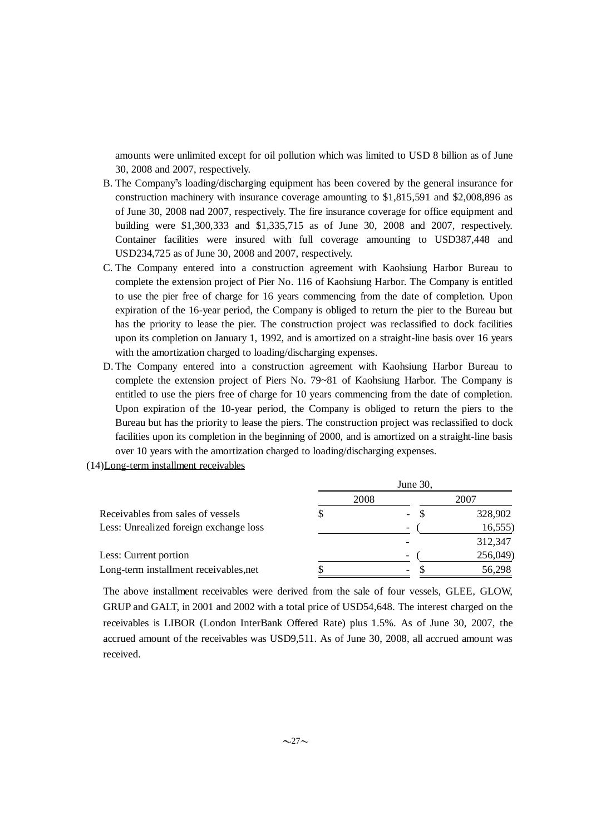amounts were unlimited except for oil pollution which was limited to USD 8 billion as of June 30, 2008 and 2007, respectively.

- B. The Company's loading/discharging equipment has been covered by the general insurance for construction machinery with insurance coverage amounting to \$1,815,591 and \$2,008,896 as of June 30, 2008 nad 2007, respectively. The fire insurance coverage for office equipment and building were \$1,300,333 and \$1,335,715 as of June 30, 2008 and 2007, respectively. Container facilities were insured with full coverage amounting to USD387,448 and USD234,725 as of June 30, 2008 and 2007, respectively.
- C. The Company entered into a construction agreement with Kaohsiung Harbor Bureau to complete the extension project of Pier No. 116 of Kaohsiung Harbor. The Company is entitled to use the pier free of charge for 16 years commencing from the date of completion. Upon expiration of the 16-year period, the Company is obliged to return the pier to the Bureau but has the priority to lease the pier. The construction project was reclassified to dock facilities upon its completion on January 1, 1992, and is amortized on a straight-line basis over 16 years with the amortization charged to loading/discharging expenses.
- D. The Company entered into a construction agreement with Kaohsiung Harbor Bureau to complete the extension project of Piers No. 79~81 of Kaohsiung Harbor. The Company is entitled to use the piers free of charge for 10 years commencing from the date of completion. Upon expiration of the 10-year period, the Company is obliged to return the piers to the Bureau but has the priority to lease the piers. The construction project was reclassified to dock facilities upon its completion in the beginning of 2000, and is amortized on a straight-line basis over 10 years with the amortization charged to loading/discharging expenses.
- (14)Long-term installment receivables

|                                        | June 30, |                                  |          |  |  |
|----------------------------------------|----------|----------------------------------|----------|--|--|
|                                        | 2008     |                                  | 2007     |  |  |
| Receivables from sales of vessels      |          | <sup>\$</sup><br>$\qquad \qquad$ | 328,902  |  |  |
| Less: Unrealized foreign exchange loss |          | $\overline{\phantom{a}}$         | 16,555   |  |  |
|                                        |          |                                  | 312,347  |  |  |
| Less: Current portion                  |          | $\overline{\phantom{a}}$         | 256,049) |  |  |
| Long-term installment receivables, net |          | -                                | 56,298   |  |  |

The above installment receivables were derived from the sale of four vessels, GLEE, GLOW, GRUP and GALT, in 2001 and 2002 with a total price of USD54,648. The interest charged on the receivables is LIBOR (London InterBank Offered Rate) plus 1.5%. As of June 30, 2007, the accrued amount of the receivables was USD9,511. As of June 30, 2008, all accrued amount was received.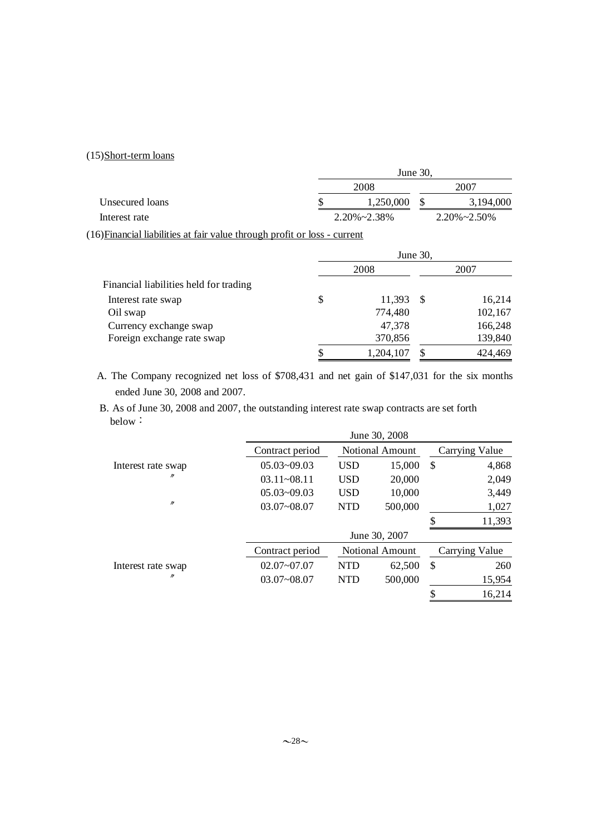## (15)Short-term loans

|                 | June 30.    |  |                      |  |  |
|-----------------|-------------|--|----------------------|--|--|
|                 | 2008        |  | 2007                 |  |  |
| Unsecured loans | 1.250.000   |  | 3,194,000            |  |  |
| Interest rate   | 2.20%~2.38% |  | $2.20\% \sim 2.50\%$ |  |  |

(16)Financial liabilities at fair value through profit or loss - current

|                                        | June 30, |           |      |         |  |
|----------------------------------------|----------|-----------|------|---------|--|
|                                        |          | 2008      | 2007 |         |  |
| Financial liabilities held for trading |          |           |      |         |  |
| Interest rate swap                     | \$       | 11,393    | -S   | 16,214  |  |
| Oil swap                               |          | 774,480   |      | 102,167 |  |
| Currency exchange swap                 |          | 47,378    |      | 166,248 |  |
| Foreign exchange rate swap             |          | 370,856   |      | 139,840 |  |
|                                        | \$       | 1,204,107 |      | 424,469 |  |

A. The Company recognized net loss of \$708,431 and net gain of \$147,031 for the six months ended June 30, 2008 and 2007.

B. As of June 30, 2008 and 2007, the outstanding interest rate swap contracts are set forth below:

|                    | June 30, 2008   |            |                        |               |                |
|--------------------|-----------------|------------|------------------------|---------------|----------------|
|                    | Contract period |            | <b>Notional Amount</b> |               | Carrying Value |
| Interest rate swap | $05.03 - 09.03$ | <b>USD</b> | 15,000                 | $\mathcal{S}$ | 4,868          |
| n                  | $03.11 - 08.11$ | <b>USD</b> | 20,000                 |               | 2,049          |
|                    | $05.03 - 09.03$ | <b>USD</b> | 10,000                 |               | 3,449          |
| $^{\prime\prime}$  | $03.07 - 08.07$ | <b>NTD</b> | 500,000                |               | 1,027          |
|                    |                 |            |                        | \$            | 11,393         |
|                    |                 |            | June 30, 2007          |               |                |
|                    | Contract period |            | <b>Notional Amount</b> |               | Carrying Value |
| Interest rate swap | $02.07 - 07.07$ | <b>NTD</b> | 62,500                 | \$            | 260            |
| n                  | $03.07 - 08.07$ | <b>NTD</b> | 500,000                |               | 15,954         |
|                    |                 |            |                        |               | 16,214         |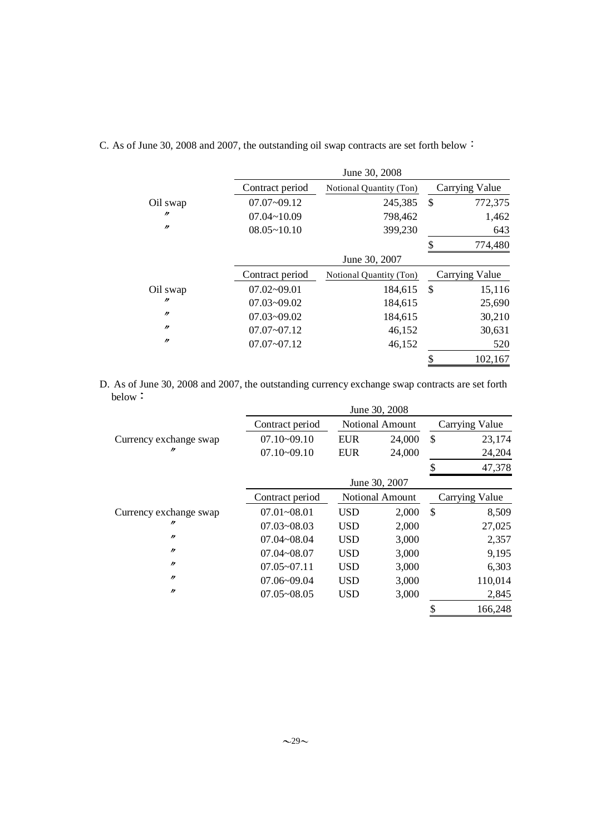|                |                 | June 30, 2008           |               |                |
|----------------|-----------------|-------------------------|---------------|----------------|
|                | Contract period | Notional Quantity (Ton) |               | Carrying Value |
| Oil swap       | $07.07 - 09.12$ | 245,385                 | \$            | 772,375        |
| $\prime$       | $07.04 - 10.09$ | 798,462                 |               | 1,462          |
| $\prime\prime$ | $08.05 - 10.10$ | 399,230                 |               | 643            |
|                |                 |                         | \$            | 774,480        |
|                |                 | June 30, 2007           |               |                |
|                | Contract period | Notional Quantity (Ton) |               | Carrying Value |
| Oil swap       | $07.02 - 09.01$ | 184,615                 | <sup>\$</sup> | 15,116         |
| $\prime$       | $07.03 - 09.02$ | 184,615                 |               | 25,690         |
| $\prime\prime$ | $07.03 - 09.02$ | 184,615                 |               | 30,210         |
| $\prime$       | $07.07 - 07.12$ | 46,152                  |               | 30,631         |
| $\prime$       | $07.07 - 07.12$ | 46,152                  |               | 520            |
|                |                 |                         |               | 102.167        |

C. As of June 30, 2008 and 2007, the outstanding oil swap contracts are set forth below

D. As of June 30, 2008 and 2007, the outstanding currency exchange swap contracts are set forth below:

|                        |                 |                        | June 30, 2008   |                |                       |  |
|------------------------|-----------------|------------------------|-----------------|----------------|-----------------------|--|
|                        | Contract period |                        | Notional Amount |                | <b>Carrying Value</b> |  |
| Currency exchange swap | $07.10 - 09.10$ | <b>EUR</b>             | 24,000          | \$             | 23,174                |  |
| "                      | $07.10 - 09.10$ | <b>EUR</b>             | 24,000          |                | 24,204                |  |
|                        |                 |                        |                 | \$             | 47,378                |  |
|                        |                 | June 30, 2007          |                 |                |                       |  |
|                        | Contract period | <b>Notional Amount</b> |                 | Carrying Value |                       |  |
| Currency exchange swap | $07.01 - 08.01$ | <b>USD</b>             | 2,000           | \$             | 8,509                 |  |
| "                      | $07.03 - 08.03$ | <b>USD</b>             | 2,000           |                | 27,025                |  |
| $\prime\prime$         | $07.04 - 08.04$ | <b>USD</b>             | 3,000           |                | 2,357                 |  |
| $\prime\prime$         | $07.04 - 08.07$ | <b>USD</b>             | 3,000           |                | 9,195                 |  |
| $\prime\prime$         | $07.05 - 07.11$ | <b>USD</b>             | 3,000           |                | 6,303                 |  |
| $^{\prime\prime}$      | $07.06 - 09.04$ | <b>USD</b>             | 3,000           |                | 110,014               |  |
| $\prime\prime$         | $07.05 - 08.05$ | <b>USD</b>             | 3,000           |                | 2,845                 |  |
|                        |                 |                        |                 | \$             | 166,248               |  |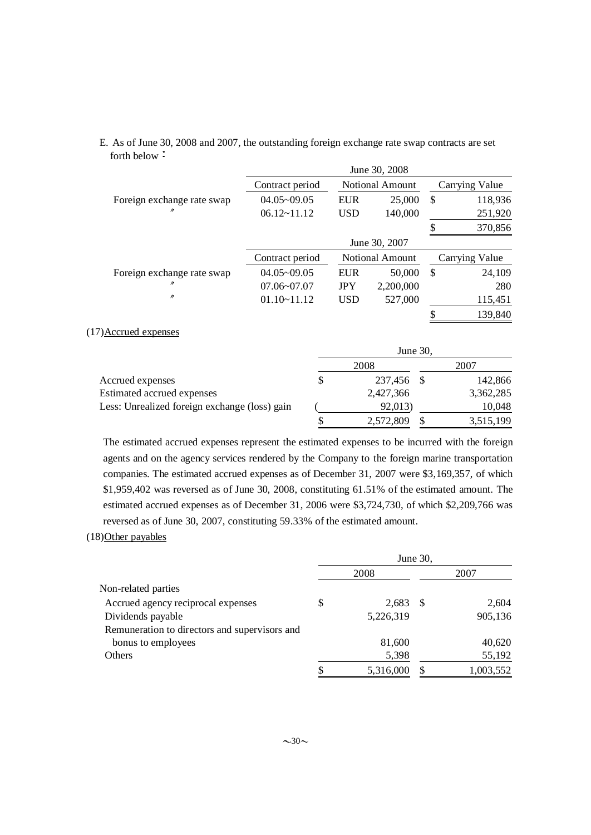|                            | June 30, 2008   |            |                 |    |                |
|----------------------------|-----------------|------------|-----------------|----|----------------|
|                            | Contract period |            | Notional Amount |    | Carrying Value |
| Foreign exchange rate swap | $04.05 - 09.05$ | <b>EUR</b> | 25,000          | \$ | 118,936        |
| n                          | $06.12 - 11.12$ | <b>USD</b> | 140,000         |    | 251,920        |
|                            |                 |            |                 | S  | 370,856        |
|                            |                 |            | June 30, 2007   |    |                |
|                            | Contract period |            | Notional Amount |    | Carrying Value |
| Foreign exchange rate swap | $04.05 - 09.05$ | EUR        | 50,000          | \$ | 24,109         |
| n                          | $07.06 - 07.07$ | <b>JPY</b> | 2,200,000       |    | 280            |
| n                          | $01.10 - 11.12$ | <b>USD</b> | 527,000         |    | 115,451        |
|                            |                 |            |                 | \$ | 139,840        |

## E. As of June 30, 2008 and 2007, the outstanding foreign exchange rate swap contracts are set forth below

### (17)Accrued expenses

|                                               | June $30$ , |            |  |           |  |
|-----------------------------------------------|-------------|------------|--|-----------|--|
|                                               |             | 2008       |  | 2007      |  |
| Accrued expenses                              | S           | 237,456 \$ |  | 142,866   |  |
| Estimated accrued expenses                    |             | 2,427,366  |  | 3,362,285 |  |
| Less: Unrealized foreign exchange (loss) gain |             | 92,013)    |  | 10,048    |  |
|                                               |             | 2,572,809  |  | 3,515,199 |  |

The estimated accrued expenses represent the estimated expenses to be incurred with the foreign agents and on the agency services rendered by the Company to the foreign marine transportation companies. The estimated accrued expenses as of December 31, 2007 were \$3,169,357, of which \$1,959,402 was reversed as of June 30, 2008, constituting 61.51% of the estimated amount. The estimated accrued expenses as of December 31, 2006 were \$3,724,730, of which \$2,209,766 was reversed as of June 30, 2007, constituting 59.33% of the estimated amount.

### (18)Other payables

|                                               | June 30, |           |    |           |
|-----------------------------------------------|----------|-----------|----|-----------|
|                                               |          | 2008      |    | 2007      |
| Non-related parties                           |          |           |    |           |
| Accrued agency reciprocal expenses            | S        | 2,683     | -S | 2,604     |
| Dividends payable                             |          | 5,226,319 |    | 905,136   |
| Remuneration to directors and supervisors and |          |           |    |           |
| bonus to employees                            |          | 81,600    |    | 40,620    |
| Others                                        |          | 5,398     |    | 55,192    |
|                                               |          | 5,316,000 |    | 1,003,552 |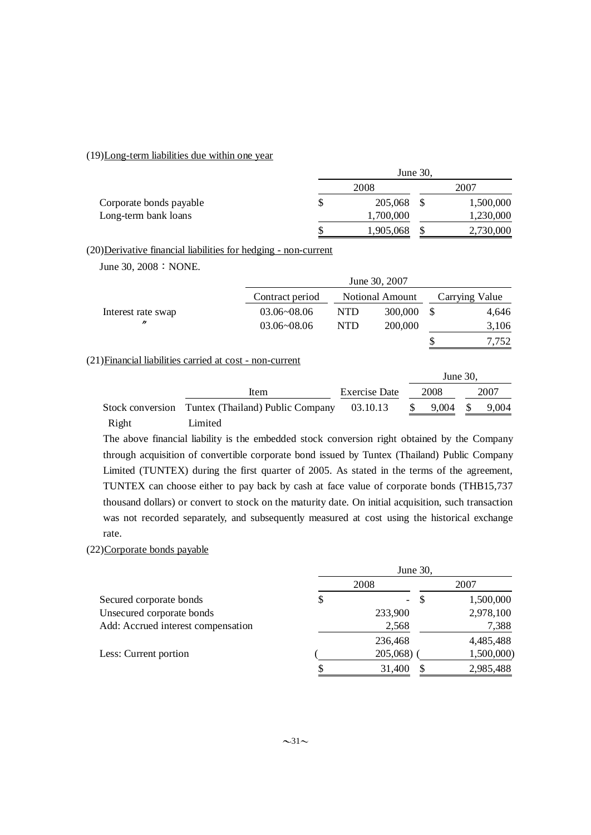## (19)Long-term liabilities due within one year

|                         | June 30, |           |  |           |  |
|-------------------------|----------|-----------|--|-----------|--|
|                         | 2008     |           |  | 2007      |  |
| Corporate bonds payable | \$       | 205,068   |  | 1,500,000 |  |
| Long-term bank loans    |          | 1,700,000 |  | 1,230,000 |  |
|                         |          | 1,905,068 |  | 2,730,000 |  |

### (20)Derivative financial liabilities for hedging - non-current

June 30, 2008 : NONE.

|                    |                 | June 30, 2007 |                 |  |                |  |  |
|--------------------|-----------------|---------------|-----------------|--|----------------|--|--|
|                    | Contract period |               | Notional Amount |  | Carrying Value |  |  |
| Interest rate swap | 03.06~08.06     | <b>NTD</b>    | 300,000         |  | 4,646          |  |  |
| "                  | $03.06 - 08.06$ | <b>NTD</b>    | 200,000         |  | 3,106          |  |  |
|                    |                 |               |                 |  | 7.752          |  |  |

## (21)Financial liabilities carried at cost - non-current

|       |                                                   |               | June $30$ . |       |
|-------|---------------------------------------------------|---------------|-------------|-------|
|       | Item                                              | Exercise Date | 2008        | 2007  |
|       | Stock conversion Tuntex (Thailand) Public Company | 03.10.13      | 9,004       | 9,004 |
| Right | Limited                                           |               |             |       |

The above financial liability is the embedded stock conversion right obtained by the Company through acquisition of convertible corporate bond issued by Tuntex (Thailand) Public Company Limited (TUNTEX) during the first quarter of 2005. As stated in the terms of the agreement, TUNTEX can choose either to pay back by cash at face value of corporate bonds (THB15,737 thousand dollars) or convert to stock on the maturity date. On initial acquisition, such transaction was not recorded separately, and subsequently measured at cost using the historical exchange rate.

### (22)Corporate bonds payable

|                                    | June 30, |              |            |  |  |
|------------------------------------|----------|--------------|------------|--|--|
|                                    |          | 2008         | 2007       |  |  |
| Secured corporate bonds            | \$       | -S<br>$\sim$ | 1,500,000  |  |  |
| Unsecured corporate bonds          |          | 233,900      | 2,978,100  |  |  |
| Add: Accrued interest compensation |          | 2,568        | 7,388      |  |  |
|                                    |          | 236,468      | 4,485,488  |  |  |
| Less: Current portion              |          | $205,068$ )  | 1,500,000) |  |  |
|                                    | \$       | 31,400       | 2,985,488  |  |  |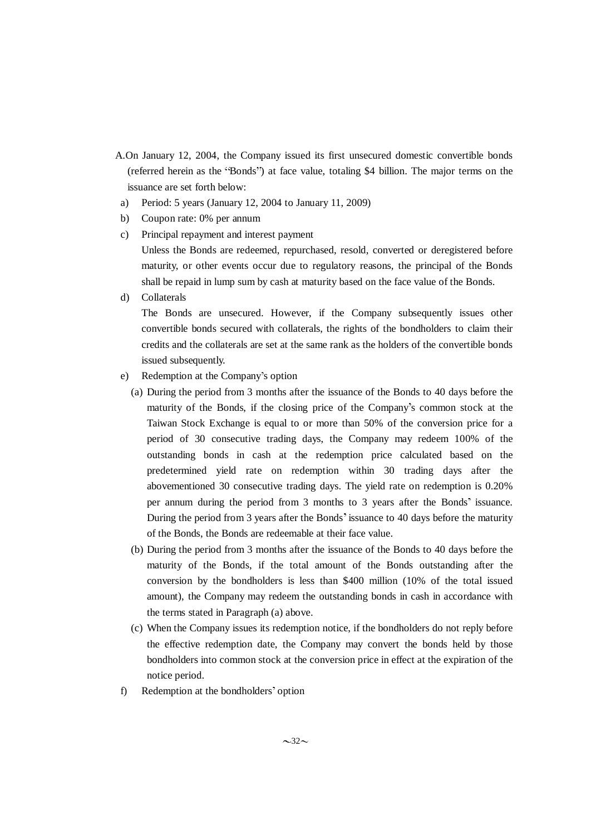- A.On January 12, 2004, the Company issued its first unsecured domestic convertible bonds (referred herein as the "Bonds") at face value, totaling \$4 billion. The major terms on the issuance are set forth below:
- a) Period: 5 years (January 12, 2004 to January 11, 2009)
- b) Coupon rate: 0% per annum
- c) Principal repayment and interest payment Unless the Bonds are redeemed, repurchased, resold, converted or deregistered before maturity, or other events occur due to regulatory reasons, the principal of the Bonds shall be repaid in lump sum by cash at maturity based on the face value of the Bonds.
- d) Collaterals

The Bonds are unsecured. However, if the Company subsequently issues other convertible bonds secured with collaterals, the rights of the bondholders to claim their credits and the collaterals are set at the same rank as the holders of the convertible bonds issued subsequently.

- e) Redemption at the Company s option
	- (a) During the period from 3 months after the issuance of the Bonds to 40 days before the maturity of the Bonds, if the closing price of the Company's common stock at the Taiwan Stock Exchange is equal to or more than 50% of the conversion price for a period of 30 consecutive trading days, the Company may redeem 100% of the outstanding bonds in cash at the redemption price calculated based on the predetermined yield rate on redemption within 30 trading days after the abovementioned 30 consecutive trading days. The yield rate on redemption is 0.20% per annum during the period from 3 months to 3 years after the Bonds' issuance. During the period from 3 years after the Bonds' issuance to 40 days before the maturity of the Bonds, the Bonds are redeemable at their face value.
	- (b) During the period from 3 months after the issuance of the Bonds to 40 days before the maturity of the Bonds, if the total amount of the Bonds outstanding after the conversion by the bondholders is less than \$400 million (10% of the total issued amount), the Company may redeem the outstanding bonds in cash in accordance with the terms stated in Paragraph (a) above.
	- (c) When the Company issues its redemption notice, if the bondholders do not reply before the effective redemption date, the Company may convert the bonds held by those bondholders into common stock at the conversion price in effect at the expiration of the notice period.
- f) Redemption at the bondholders' option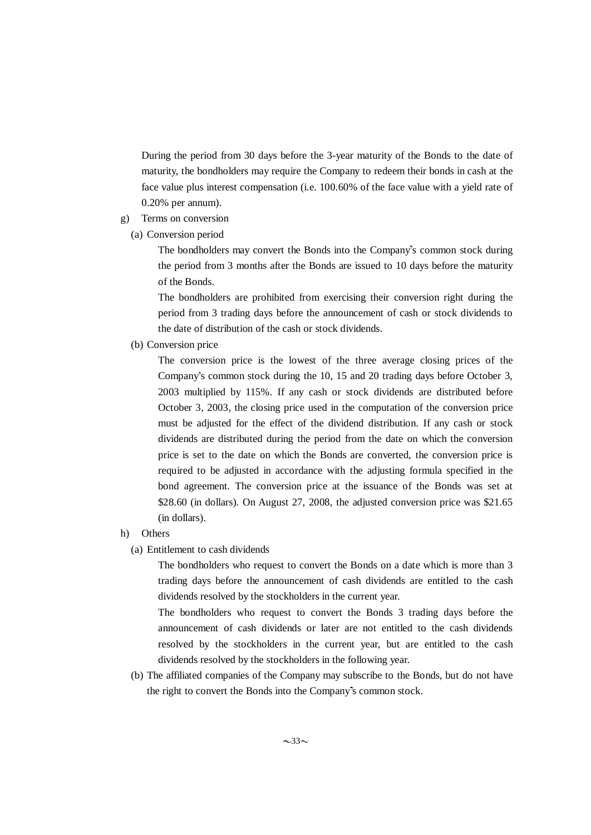During the period from 30 days before the 3-year maturity of the Bonds to the date of maturity, the bondholders may require the Company to redeem their bonds in cash at the face value plus interest compensation (i.e. 100.60% of the face value with a yield rate of 0.20% per annum).

- g) Terms on conversion
	- (a) Conversion period

The bondholders may convert the Bonds into the Company's common stock during the period from 3 months after the Bonds are issued to 10 days before the maturity of the Bonds.

The bondholders are prohibited from exercising their conversion right during the period from 3 trading days before the announcement of cash or stock dividends to the date of distribution of the cash or stock dividends.

(b) Conversion price

The conversion price is the lowest of the three average closing prices of the Company's common stock during the 10, 15 and 20 trading days before October 3, 2003 multiplied by 115%. If any cash or stock dividends are distributed before October 3, 2003, the closing price used in the computation of the conversion price must be adjusted for the effect of the dividend distribution. If any cash or stock dividends are distributed during the period from the date on which the conversion price is set to the date on which the Bonds are converted, the conversion price is required to be adjusted in accordance with the adjusting formula specified in the bond agreement. The conversion price at the issuance of the Bonds was set at \$28.60 (in dollars). On August 27, 2008, the adjusted conversion price was \$21.65 (in dollars).

- h) Others
	- (a) Entitlement to cash dividends

The bondholders who request to convert the Bonds on a date which is more than 3 trading days before the announcement of cash dividends are entitled to the cash dividends resolved by the stockholders in the current year.

The bondholders who request to convert the Bonds 3 trading days before the announcement of cash dividends or later are not entitled to the cash dividends resolved by the stockholders in the current year, but are entitled to the cash dividends resolved by the stockholders in the following year.

(b) The affiliated companies of the Company may subscribe to the Bonds, but do not have the right to convert the Bonds into the Company's common stock.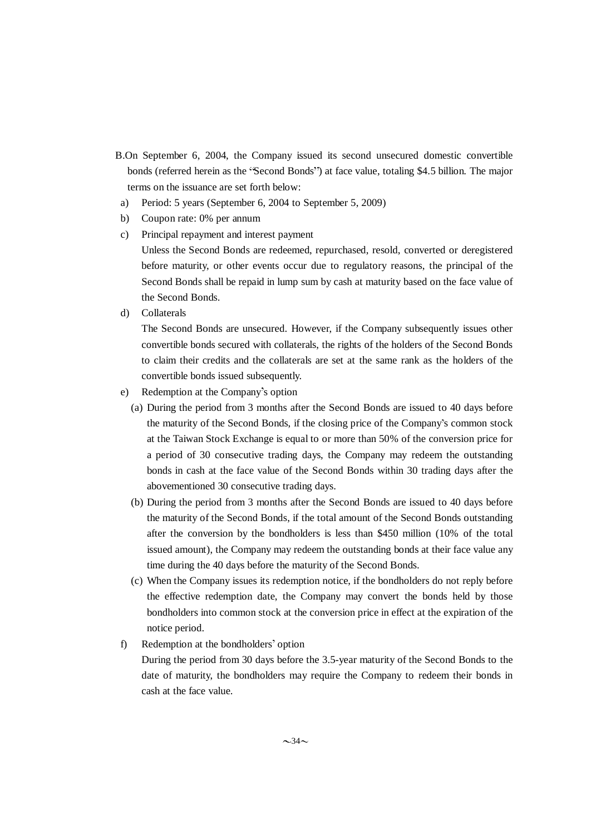- B.On September 6, 2004, the Company issued its second unsecured domestic convertible bonds (referred herein as the "Second Bonds") at face value, totaling \$4.5 billion. The major terms on the issuance are set forth below:
- a) Period: 5 years (September 6, 2004 to September 5, 2009)
- b) Coupon rate: 0% per annum
- c) Principal repayment and interest payment Unless the Second Bonds are redeemed, repurchased, resold, converted or deregistered before maturity, or other events occur due to regulatory reasons, the principal of the Second Bonds shall be repaid in lump sum by cash at maturity based on the face value of the Second Bonds.
- d) Collaterals

The Second Bonds are unsecured. However, if the Company subsequently issues other convertible bonds secured with collaterals, the rights of the holders of the Second Bonds to claim their credits and the collaterals are set at the same rank as the holders of the convertible bonds issued subsequently.

- e) Redemption at the Company s option
	- (a) During the period from 3 months after the Second Bonds are issued to 40 days before the maturity of the Second Bonds, if the closing price of the Company's common stock at the Taiwan Stock Exchange is equal to or more than 50% of the conversion price for a period of 30 consecutive trading days, the Company may redeem the outstanding bonds in cash at the face value of the Second Bonds within 30 trading days after the abovementioned 30 consecutive trading days.
	- (b) During the period from 3 months after the Second Bonds are issued to 40 days before the maturity of the Second Bonds, if the total amount of the Second Bonds outstanding after the conversion by the bondholders is less than \$450 million (10% of the total issued amount), the Company may redeem the outstanding bonds at their face value any time during the 40 days before the maturity of the Second Bonds.
	- (c) When the Company issues its redemption notice, if the bondholders do not reply before the effective redemption date, the Company may convert the bonds held by those bondholders into common stock at the conversion price in effect at the expiration of the notice period.
- f) Redemption at the bondholders' option

During the period from 30 days before the 3.5-year maturity of the Second Bonds to the date of maturity, the bondholders may require the Company to redeem their bonds in cash at the face value.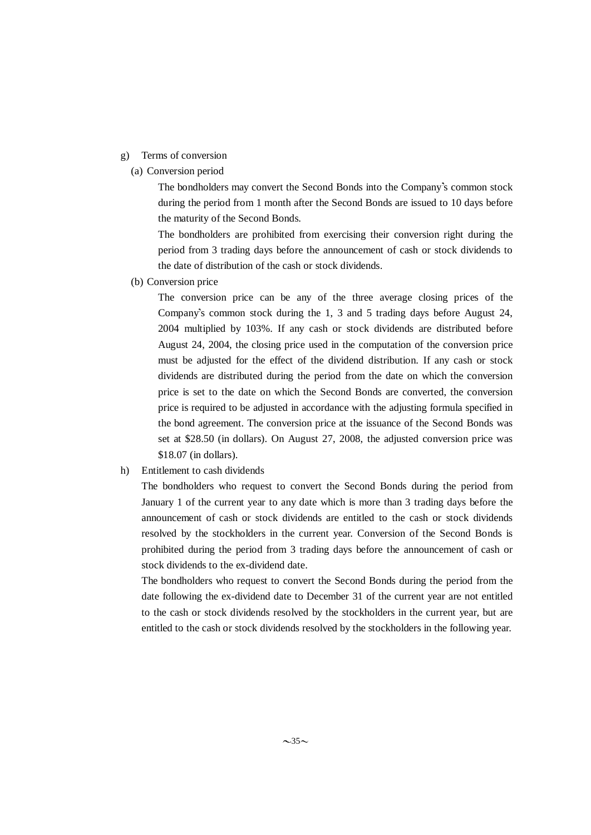## g) Terms of conversion

(a) Conversion period

The bondholders may convert the Second Bonds into the Company's common stock during the period from 1 month after the Second Bonds are issued to 10 days before the maturity of the Second Bonds.

The bondholders are prohibited from exercising their conversion right during the period from 3 trading days before the announcement of cash or stock dividends to the date of distribution of the cash or stock dividends.

(b) Conversion price

The conversion price can be any of the three average closing prices of the Company's common stock during the 1, 3 and 5 trading days before August 24, 2004 multiplied by 103%. If any cash or stock dividends are distributed before August 24, 2004, the closing price used in the computation of the conversion price must be adjusted for the effect of the dividend distribution. If any cash or stock dividends are distributed during the period from the date on which the conversion price is set to the date on which the Second Bonds are converted, the conversion price is required to be adjusted in accordance with the adjusting formula specified in the bond agreement. The conversion price at the issuance of the Second Bonds was set at \$28.50 (in dollars). On August 27, 2008, the adjusted conversion price was \$18.07 (in dollars).

h) Entitlement to cash dividends

The bondholders who request to convert the Second Bonds during the period from January 1 of the current year to any date which is more than 3 trading days before the announcement of cash or stock dividends are entitled to the cash or stock dividends resolved by the stockholders in the current year. Conversion of the Second Bonds is prohibited during the period from 3 trading days before the announcement of cash or stock dividends to the ex-dividend date.

The bondholders who request to convert the Second Bonds during the period from the date following the ex-dividend date to December 31 of the current year are not entitled to the cash or stock dividends resolved by the stockholders in the current year, but are entitled to the cash or stock dividends resolved by the stockholders in the following year.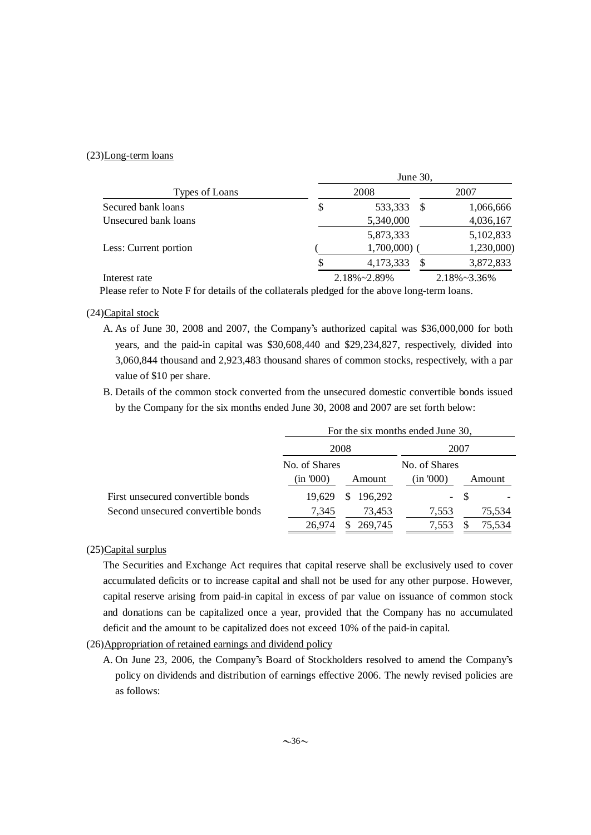## (23)Long-term loans

|                       | June 30, |               |    |                      |  |  |  |
|-----------------------|----------|---------------|----|----------------------|--|--|--|
| Types of Loans        |          | 2008          |    | 2007                 |  |  |  |
| Secured bank loans    | \$       | 533,333       | -S | 1,066,666            |  |  |  |
| Unsecured bank loans  |          | 5,340,000     |    | 4,036,167            |  |  |  |
|                       |          | 5,873,333     |    | 5,102,833            |  |  |  |
| Less: Current portion |          | $1,700,000$ ( |    | 1,230,000)           |  |  |  |
|                       |          | 4,173,333     | S  | 3,872,833            |  |  |  |
| Interest rate         |          | 2.18%~2.89%   |    | $2.18\% \sim 3.36\%$ |  |  |  |

Please refer to Note F for details of the collaterals pledged for the above long-term loans.

### (24)Capital stock

- A. As of June 30, 2008 and 2007, the Company's authorized capital was \$36,000,000 for both years, and the paid-in capital was \$30,608,440 and \$29,234,827, respectively, divided into 3,060,844 thousand and 2,923,483 thousand shares of common stocks, respectively, with a par value of \$10 per share.
- B. Details of the common stock converted from the unsecured domestic convertible bonds issued by the Company for the six months ended June 30, 2008 and 2007 are set forth below:

|                                    | For the six months ended June 30, |               |               |        |  |  |  |  |
|------------------------------------|-----------------------------------|---------------|---------------|--------|--|--|--|--|
|                                    |                                   | 2008          | 2007          |        |  |  |  |  |
|                                    | No. of Shares                     |               | No. of Shares |        |  |  |  |  |
|                                    | (in 000)                          | Amount        | (in '000)     | Amount |  |  |  |  |
| First unsecured convertible bonds  | 19.629                            | 196,292<br>S. | $\sim$        |        |  |  |  |  |
| Second unsecured convertible bonds | 7,345                             | 73,453        | 7,553         | 75,534 |  |  |  |  |
|                                    | 26,974                            | 269,745<br>S  | 7.553         | 75,534 |  |  |  |  |

### (25)Capital surplus

The Securities and Exchange Act requires that capital reserve shall be exclusively used to cover accumulated deficits or to increase capital and shall not be used for any other purpose. However, capital reserve arising from paid-in capital in excess of par value on issuance of common stock and donations can be capitalized once a year, provided that the Company has no accumulated deficit and the amount to be capitalized does not exceed 10% of the paid-in capital.

(26)Appropriation of retained earnings and dividend policy

A. On June 23, 2006, the Company's Board of Stockholders resolved to amend the Company's policy on dividends and distribution of earnings effective 2006. The newly revised policies are as follows: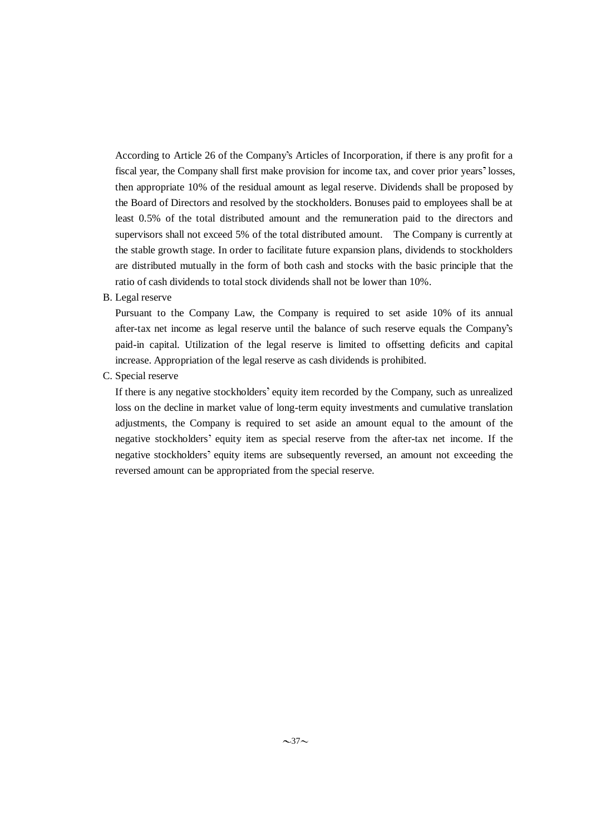According to Article 26 of the Company's Articles of Incorporation, if there is any profit for a fiscal year, the Company shall first make provision for income tax, and cover prior years' losses, then appropriate 10% of the residual amount as legal reserve. Dividends shall be proposed by the Board of Directors and resolved by the stockholders. Bonuses paid to employees shall be at least 0.5% of the total distributed amount and the remuneration paid to the directors and supervisors shall not exceed 5% of the total distributed amount. The Company is currently at the stable growth stage. In order to facilitate future expansion plans, dividends to stockholders are distributed mutually in the form of both cash and stocks with the basic principle that the ratio of cash dividends to total stock dividends shall not be lower than 10%.

### B. Legal reserve

Pursuant to the Company Law, the Company is required to set aside 10% of its annual after-tax net income as legal reserve until the balance of such reserve equals the Company s paid-in capital. Utilization of the legal reserve is limited to offsetting deficits and capital increase. Appropriation of the legal reserve as cash dividends is prohibited.

C. Special reserve

If there is any negative stockholders' equity item recorded by the Company, such as unrealized loss on the decline in market value of long-term equity investments and cumulative translation adjustments, the Company is required to set aside an amount equal to the amount of the negative stockholders' equity item as special reserve from the after-tax net income. If the negative stockholders' equity items are subsequently reversed, an amount not exceeding the reversed amount can be appropriated from the special reserve.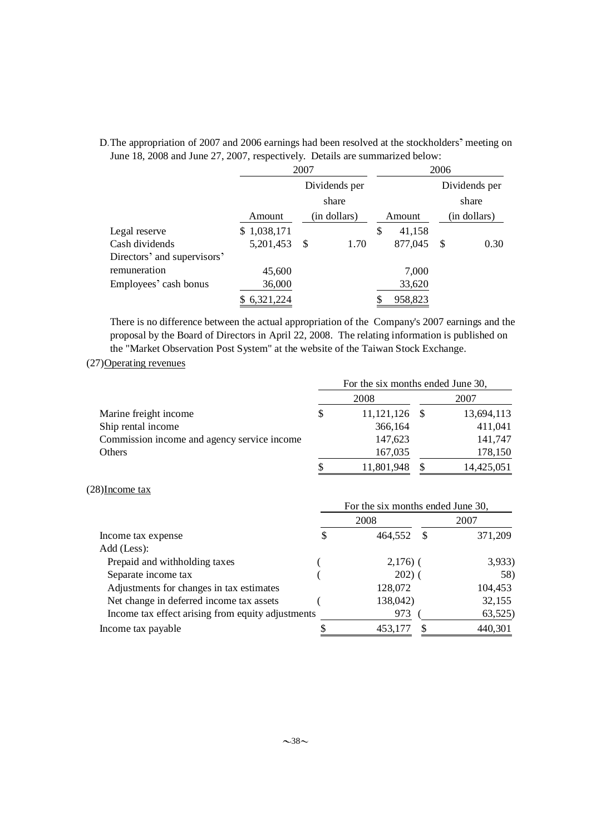|                             | 2007          |              |    | 2006    |              |               |  |
|-----------------------------|---------------|--------------|----|---------|--------------|---------------|--|
|                             | Dividends per |              |    |         |              | Dividends per |  |
|                             |               | share        |    |         |              | share         |  |
|                             | Amount        | (in dollars) |    | Amount  | (in dollars) |               |  |
| Legal reserve               | \$1,038,171   |              | \$ | 41,158  |              |               |  |
| Cash dividends              | 5,201,453     | 1.70<br>-S   |    | 877,045 | -S           | 0.30          |  |
| Directors' and supervisors' |               |              |    |         |              |               |  |
| remuneration                | 45,600        |              |    | 7,000   |              |               |  |
| Employees' cash bonus       | 36,000        |              |    | 33,620  |              |               |  |
|                             | 6,321,224     |              |    | 958,823 |              |               |  |

## D. The appropriation of 2007 and 2006 earnings had been resolved at the stockholders' meeting on June 18, 2008 and June 27, 2007, respectively. Details are summarized below:

There is no difference between the actual appropriation of the Company's 2007 earnings and the proposal by the Board of Directors in April 22, 2008. The relating information is published on the "Market Observation Post System" at the website of the Taiwan Stock Exchange.

## (27)Operating revenues

|                                             | For the six months ended June 30, |                 |  |            |  |
|---------------------------------------------|-----------------------------------|-----------------|--|------------|--|
|                                             |                                   | 2008            |  | 2007       |  |
| Marine freight income                       | \$                                | $11,121,126$ \$ |  | 13,694,113 |  |
| Ship rental income                          |                                   | 366,164         |  | 411,041    |  |
| Commission income and agency service income |                                   | 147,623         |  | 141,747    |  |
| Others                                      |                                   | 167,035         |  | 178,150    |  |
|                                             |                                   | 11,801,948      |  | 14,425,051 |  |

## (28)Income tax

|                                                   | For the six months ended June 30, |             |  |         |  |  |  |
|---------------------------------------------------|-----------------------------------|-------------|--|---------|--|--|--|
|                                                   | 2008                              |             |  | 2007    |  |  |  |
| Income tax expense                                | \$                                | 464.552     |  | 371,209 |  |  |  |
| Add (Less):                                       |                                   |             |  |         |  |  |  |
| Prepaid and withholding taxes                     |                                   | $2,176$ ) ( |  | 3,933)  |  |  |  |
| Separate income tax                               |                                   | $202)$ (    |  | 58)     |  |  |  |
| Adjustments for changes in tax estimates          |                                   | 128,072     |  | 104,453 |  |  |  |
| Net change in deferred income tax assets          |                                   | 138,042)    |  | 32,155  |  |  |  |
| Income tax effect arising from equity adjustments |                                   | 973         |  | 63,525) |  |  |  |
| Income tax payable                                |                                   | 453,177     |  | 440,301 |  |  |  |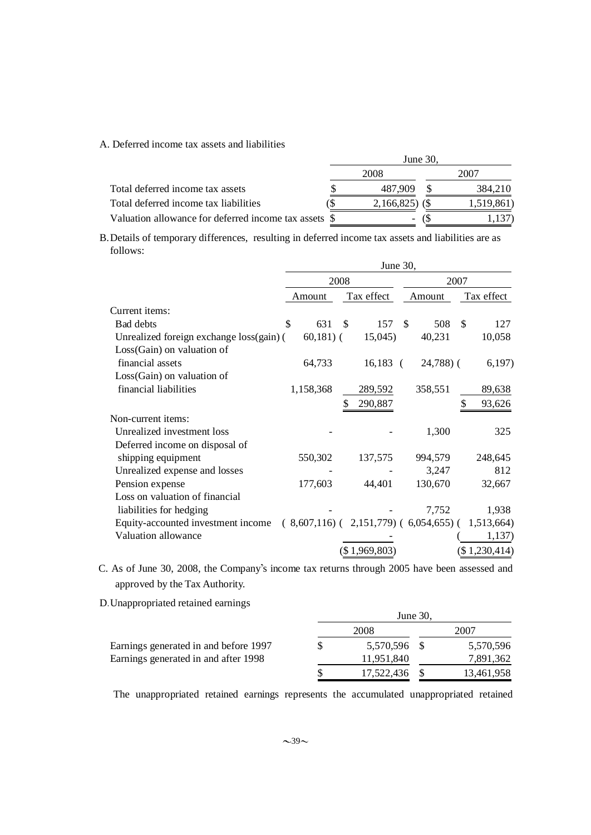### A. Deferred income tax assets and liabilities

|                                                       | June $30$ . |                  |  |            |  |
|-------------------------------------------------------|-------------|------------------|--|------------|--|
|                                                       |             | 2008             |  | 2007       |  |
| Total deferred income tax assets                      |             | 487.909          |  | 384.210    |  |
| Total deferred income tax liabilities                 |             | $2,166,825$ (\$) |  | 1,519,861) |  |
| Valuation allowance for deferred income tax assets \$ |             | -                |  |            |  |

B. Details of temporary differences, resulting in deferred income tax assets and liabilities are as follows:

|                                          | June 30, |             |               |                                                         |    |              |               |               |
|------------------------------------------|----------|-------------|---------------|---------------------------------------------------------|----|--------------|---------------|---------------|
|                                          |          | 2008        |               |                                                         |    | 2007         |               |               |
|                                          |          | Amount      |               | Tax effect                                              |    | Amount       |               | Tax effect    |
| Current items:                           |          |             |               |                                                         |    |              |               |               |
| <b>Bad</b> debts                         | \$       | 631         | <sup>\$</sup> | 157                                                     | \$ | 508          | <sup>\$</sup> | 127           |
| Unrealized foreign exchange loss(gain) ( |          | $60,181)$ ( |               | 15,045)                                                 |    | 40,231       |               | 10,058        |
| $Loss(Gain)$ on valuation of             |          |             |               |                                                         |    |              |               |               |
| financial assets                         |          | 64,733      |               | $16,183$ (                                              |    | $24,788$ ) ( |               | 6,197)        |
| Loss(Gain) on valuation of               |          |             |               |                                                         |    |              |               |               |
| financial liabilities                    |          | 1,158,368   |               | 289,592                                                 |    | 358,551      |               | 89,638        |
|                                          |          |             | \$            | 290,887                                                 |    |              |               | 93,626        |
| Non-current items:                       |          |             |               |                                                         |    |              |               |               |
| Unrealized investment loss               |          |             |               |                                                         |    | 1,300        |               | 325           |
| Deferred income on disposal of           |          |             |               |                                                         |    |              |               |               |
| shipping equipment                       |          | 550,302     |               | 137,575                                                 |    | 994,579      |               | 248,645       |
| Unrealized expense and losses            |          |             |               |                                                         |    | 3,247        |               | 812           |
| Pension expense                          |          | 177,603     |               | 44,401                                                  |    | 130,670      |               | 32,667        |
| Loss on valuation of financial           |          |             |               |                                                         |    |              |               |               |
| liabilities for hedging                  |          |             |               |                                                         |    | 7,752        |               | 1,938         |
| Equity-accounted investment income       |          |             |               | $(8,607,116)$ $(2,151,779)$ $(6,054,655)$ $(1,513,664)$ |    |              |               |               |
| Valuation allowance                      |          |             |               |                                                         |    |              |               | 1,137)        |
|                                          |          |             |               | (\$1,969,803)                                           |    |              |               | (\$1,230,414) |
|                                          |          |             |               |                                                         |    |              |               |               |

C. As of June 30, 2008, the Company's income tax returns through 2005 have been assessed and approved by the Tax Authority.

D.Unappropriated retained earnings

|                                       | June 30, |              |  |            |  |  |  |  |
|---------------------------------------|----------|--------------|--|------------|--|--|--|--|
|                                       |          | 2008         |  | 2007       |  |  |  |  |
| Earnings generated in and before 1997 |          | 5,570,596 \$ |  | 5,570,596  |  |  |  |  |
| Earnings generated in and after 1998  |          | 11,951,840   |  | 7,891,362  |  |  |  |  |
|                                       |          | 17,522,436   |  | 13,461,958 |  |  |  |  |

The unappropriated retained earnings represents the accumulated unappropriated retained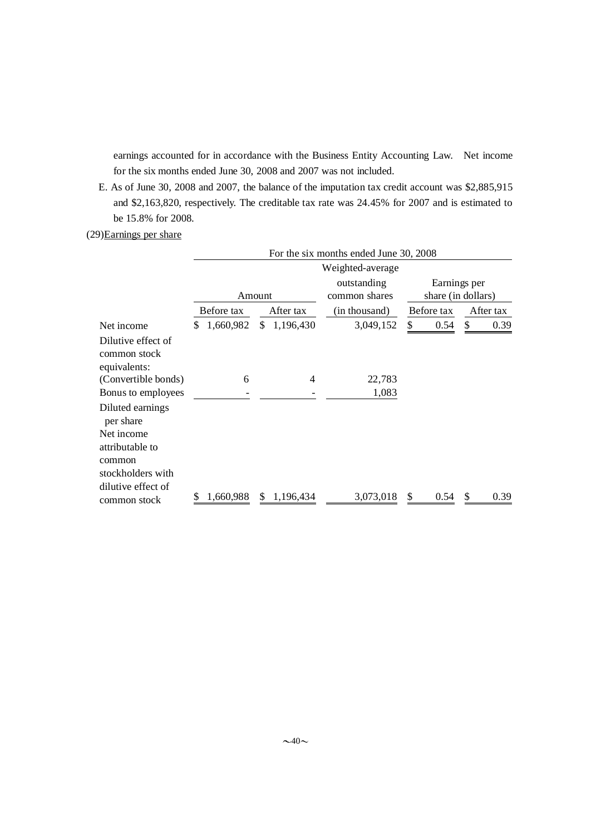earnings accounted for in accordance with the Business Entity Accounting Law. Net income for the six months ended June 30, 2008 and 2007 was not included.

E. As of June 30, 2008 and 2007, the balance of the imputation tax credit account was \$2,885,915 and \$2,163,820, respectively. The creditable tax rate was 24.45% for 2007 and is estimated to be 15.8% for 2008.

## (29)Earnings per share

|                                                    | For the six months ended June 30, 2008 |                 |                              |                                    |            |  |  |  |
|----------------------------------------------------|----------------------------------------|-----------------|------------------------------|------------------------------------|------------|--|--|--|
|                                                    |                                        |                 | Weighted-average             |                                    |            |  |  |  |
|                                                    | Amount                                 |                 | outstanding<br>common shares | Earnings per<br>share (in dollars) |            |  |  |  |
|                                                    | Before tax                             | After tax       | (in thousand)                | Before tax                         | After tax  |  |  |  |
| Net income                                         | 1,660,982<br>S                         | \$<br>1,196,430 | 3,049,152                    | \$<br>0.54                         | \$<br>0.39 |  |  |  |
| Dilutive effect of<br>common stock<br>equivalents: |                                        |                 |                              |                                    |            |  |  |  |
| (Convertible bonds)                                | 6                                      | $\overline{4}$  | 22,783                       |                                    |            |  |  |  |
| Bonus to employees                                 |                                        |                 | 1,083                        |                                    |            |  |  |  |
| Diluted earnings<br>per share                      |                                        |                 |                              |                                    |            |  |  |  |
| Net income<br>attributable to                      |                                        |                 |                              |                                    |            |  |  |  |
| common                                             |                                        |                 |                              |                                    |            |  |  |  |
| stockholders with                                  |                                        |                 |                              |                                    |            |  |  |  |
| dilutive effect of                                 |                                        |                 |                              |                                    |            |  |  |  |
| common stock                                       | 1,660,988                              | 1,196,434       | 3,073,018                    | \$<br>0.54                         | 0.39<br>S  |  |  |  |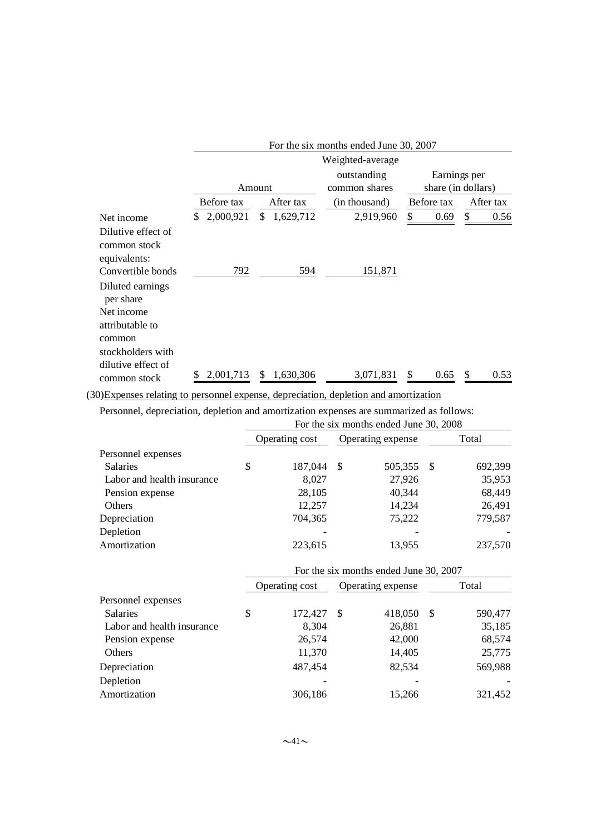|                                                                    | For the six months ended June 30, 2007 |                  |                              |                                    |            |  |  |  |
|--------------------------------------------------------------------|----------------------------------------|------------------|------------------------------|------------------------------------|------------|--|--|--|
|                                                                    |                                        |                  | Weighted-average             |                                    |            |  |  |  |
|                                                                    |                                        | Amount           | outstanding<br>common shares | Earnings per<br>share (in dollars) |            |  |  |  |
|                                                                    | Before tax                             | After tax        | (in thousand)                | Before tax                         | After tax  |  |  |  |
| Net income<br>Dilutive effect of<br>common stock                   | 2,000,921<br>\$.                       | \$.<br>1,629,712 | 2,919,960                    | \$<br>0.69                         | \$<br>0.56 |  |  |  |
| equivalents:<br>Convertible bonds<br>Diluted earnings<br>per share | 792                                    | 594              | 151,871                      |                                    |            |  |  |  |
| Net income<br>attributable to<br>common<br>stockholders with       |                                        |                  |                              |                                    |            |  |  |  |
| dilutive effect of<br>common stock                                 | 2,001,713                              | \$<br>1.630.306  | 3,071,831                    | \$<br>0.65                         | 0.53       |  |  |  |

(30)Expenses relating to personnel expense, depreciation, depletion and amortization

Personnel, depreciation, depletion and amortization expenses are summarized as follows:

|                            | For the six months ended June 30, 2008 |                |                   |         |      |         |  |  |  |
|----------------------------|----------------------------------------|----------------|-------------------|---------|------|---------|--|--|--|
|                            |                                        | Operating cost | Operating expense |         |      | Total   |  |  |  |
| Personnel expenses         |                                        |                |                   |         |      |         |  |  |  |
| <b>Salaries</b>            | \$                                     | 187,044        | -S                | 505,355 | - \$ | 692,399 |  |  |  |
| Labor and health insurance |                                        | 8.027          |                   | 27,926  |      | 35,953  |  |  |  |
| Pension expense            |                                        | 28,105         |                   | 40,344  |      | 68,449  |  |  |  |
| Others                     |                                        | 12,257         |                   | 14,234  |      | 26,491  |  |  |  |
| Depreciation               |                                        | 704,365        |                   | 75,222  |      | 779,587 |  |  |  |
| Depletion                  |                                        |                |                   |         |      |         |  |  |  |
| Amortization               |                                        | 223,615        |                   | 13,955  |      | 237,570 |  |  |  |

|                            | For the six months ended June 30, 2007 |    |                   |       |         |  |  |  |
|----------------------------|----------------------------------------|----|-------------------|-------|---------|--|--|--|
|                            | Operating cost                         |    | Operating expense | Total |         |  |  |  |
| Personnel expenses         |                                        |    |                   |       |         |  |  |  |
| <b>Salaries</b>            | \$<br>172,427                          | -S | 418,050           | S     | 590,477 |  |  |  |
| Labor and health insurance | 8,304                                  |    | 26,881            |       | 35,185  |  |  |  |
| Pension expense            | 26,574                                 |    | 42,000            |       | 68,574  |  |  |  |
| Others                     | 11,370                                 |    | 14,405            |       | 25,775  |  |  |  |
| Depreciation               | 487,454                                |    | 82,534            |       | 569,988 |  |  |  |
| Depletion                  |                                        |    |                   |       |         |  |  |  |
| Amortization               | 306,186                                |    | 15.266            |       | 321,452 |  |  |  |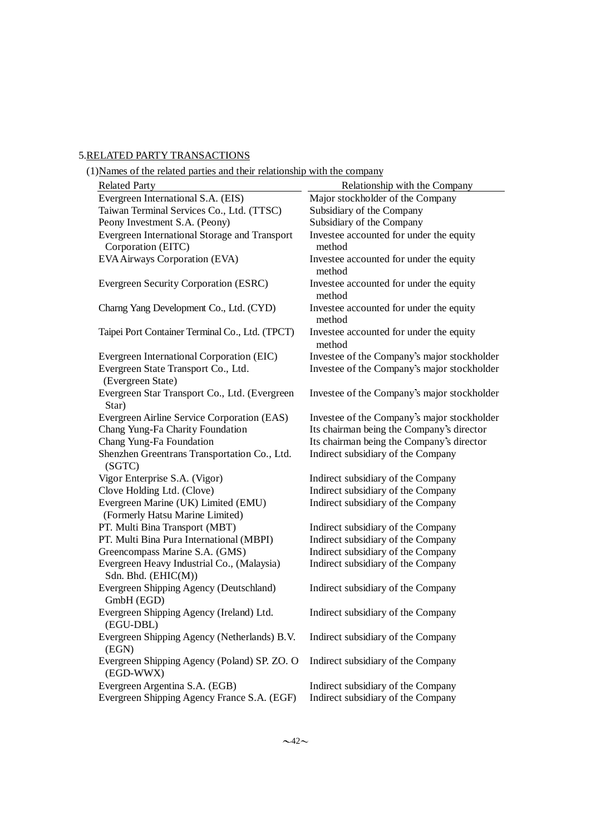# 5.RELATED PARTY TRANSACTIONS

| I JN ames of the related parties and their relationship with the company |                                                   |
|--------------------------------------------------------------------------|---------------------------------------------------|
| <b>Related Party</b>                                                     | Relationship with the Company                     |
| Evergreen International S.A. (EIS)                                       | Major stockholder of the Company                  |
| Taiwan Terminal Services Co., Ltd. (TTSC)                                | Subsidiary of the Company                         |
| Peony Investment S.A. (Peony)                                            | Subsidiary of the Company                         |
| Evergreen International Storage and Transport<br>Corporation (EITC)      | Investee accounted for under the equity<br>method |
| EVA Airways Corporation (EVA)                                            | Investee accounted for under the equity<br>method |
| Evergreen Security Corporation (ESRC)                                    | Investee accounted for under the equity<br>method |
| Charng Yang Development Co., Ltd. (CYD)                                  | Investee accounted for under the equity<br>method |
| Taipei Port Container Terminal Co., Ltd. (TPCT)                          | Investee accounted for under the equity<br>method |
| Evergreen International Corporation (EIC)                                | Investee of the Company's major stockholder       |
| Evergreen State Transport Co., Ltd.<br>(Evergreen State)                 | Investee of the Company's major stockholder       |
| Evergreen Star Transport Co., Ltd. (Evergreen<br>Star)                   | Investee of the Company's major stockholder       |
| Evergreen Airline Service Corporation (EAS)                              | Investee of the Company's major stockholder       |
| Chang Yung-Fa Charity Foundation                                         | Its chairman being the Company's director         |
| Chang Yung-Fa Foundation                                                 | Its chairman being the Company's director         |
| Shenzhen Greentrans Transportation Co., Ltd.<br>(SGTC)                   | Indirect subsidiary of the Company                |
| Vigor Enterprise S.A. (Vigor)                                            | Indirect subsidiary of the Company                |
| Clove Holding Ltd. (Clove)                                               | Indirect subsidiary of the Company                |
| Evergreen Marine (UK) Limited (EMU)<br>(Formerly Hatsu Marine Limited)   | Indirect subsidiary of the Company                |
| PT. Multi Bina Transport (MBT)                                           | Indirect subsidiary of the Company                |
| PT. Multi Bina Pura International (MBPI)                                 | Indirect subsidiary of the Company                |
| Greencompass Marine S.A. (GMS)                                           | Indirect subsidiary of the Company                |
| Evergreen Heavy Industrial Co., (Malaysia)<br>Sdn. Bhd. (EHIC(M))        | Indirect subsidiary of the Company                |
| Evergreen Shipping Agency (Deutschland)<br>GmbH (EGD)                    | Indirect subsidiary of the Company                |
| Evergreen Shipping Agency (Ireland) Ltd.<br>(EGU-DBL)                    | Indirect subsidiary of the Company                |
| Evergreen Shipping Agency (Netherlands) B.V.<br>(EGN)                    | Indirect subsidiary of the Company                |
| Evergreen Shipping Agency (Poland) SP. ZO. O<br>(EGD-WWX)                | Indirect subsidiary of the Company                |
| Evergreen Argentina S.A. (EGB)                                           | Indirect subsidiary of the Company                |
| Evergreen Shipping Agency France S.A. (EGF)                              | Indirect subsidiary of the Company                |

(1)Names of the related parties and their relationship with the company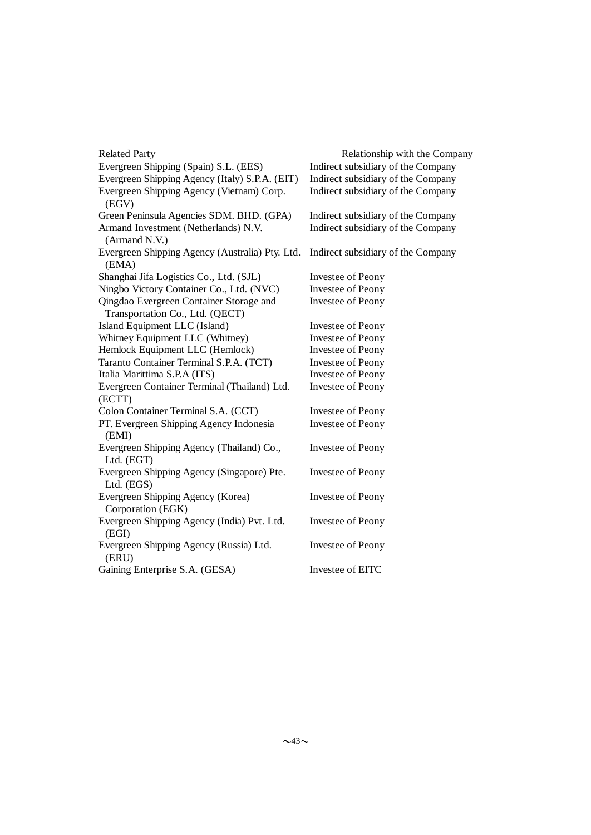| <b>Related Party</b>                                     | Relationship with the Company      |
|----------------------------------------------------------|------------------------------------|
| Evergreen Shipping (Spain) S.L. (EES)                    | Indirect subsidiary of the Company |
| Evergreen Shipping Agency (Italy) S.P.A. (EIT)           | Indirect subsidiary of the Company |
| Evergreen Shipping Agency (Vietnam) Corp.                | Indirect subsidiary of the Company |
| (EGV)                                                    |                                    |
| Green Peninsula Agencies SDM. BHD. (GPA)                 | Indirect subsidiary of the Company |
| Armand Investment (Netherlands) N.V.<br>(Armand N.V.)    | Indirect subsidiary of the Company |
| Evergreen Shipping Agency (Australia) Pty. Ltd.<br>(EMA) | Indirect subsidiary of the Company |
| Shanghai Jifa Logistics Co., Ltd. (SJL)                  | Investee of Peony                  |
| Ningbo Victory Container Co., Ltd. (NVC)                 | <b>Investee of Peony</b>           |
| Qingdao Evergreen Container Storage and                  | Investee of Peony                  |
| Transportation Co., Ltd. (QECT)                          |                                    |
| Island Equipment LLC (Island)                            | Investee of Peony                  |
| Whitney Equipment LLC (Whitney)                          | Investee of Peony                  |
| Hemlock Equipment LLC (Hemlock)                          | Investee of Peony                  |
| Taranto Container Terminal S.P.A. (TCT)                  | Investee of Peony                  |
| Italia Marittima S.P.A (ITS)                             | Investee of Peony                  |
| Evergreen Container Terminal (Thailand) Ltd.             | Investee of Peony                  |
| (ECTT)                                                   |                                    |
| Colon Container Terminal S.A. (CCT)                      | Investee of Peony                  |
| PT. Evergreen Shipping Agency Indonesia                  | Investee of Peony                  |
| (EMI)                                                    |                                    |
| Evergreen Shipping Agency (Thailand) Co.,<br>Ltd. (EGT)  | Investee of Peony                  |
| Evergreen Shipping Agency (Singapore) Pte.               | Investee of Peony                  |
| Ltd. (EGS)                                               |                                    |
| Evergreen Shipping Agency (Korea)<br>Corporation (EGK)   | Investee of Peony                  |
| Evergreen Shipping Agency (India) Pvt. Ltd.<br>(EGI)     | Investee of Peony                  |
| Evergreen Shipping Agency (Russia) Ltd.<br>(ERU)         | Investee of Peony                  |
| Gaining Enterprise S.A. (GESA)                           | Investee of EITC                   |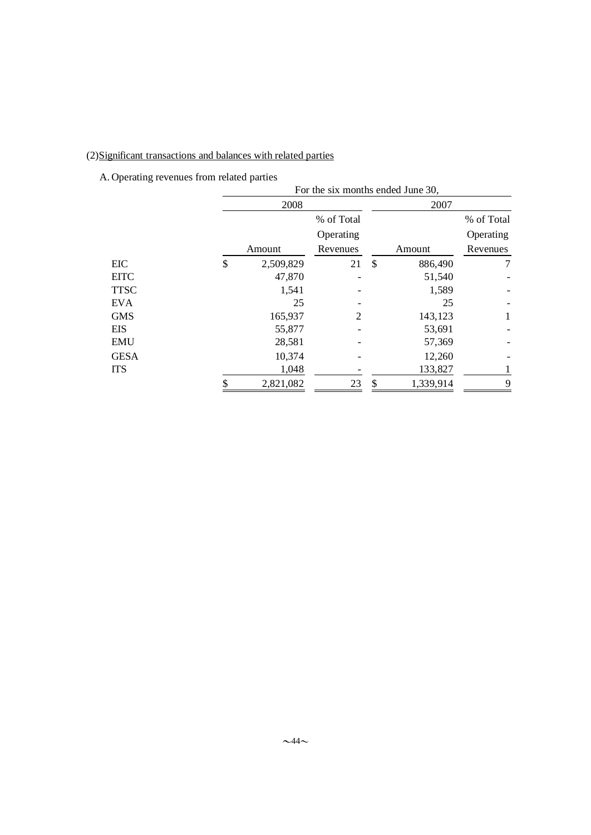# (2)Significant transactions and balances with related parties

A. Operating revenues from related parties

|             | For the six months ended June 30, |            |      |           |              |  |  |  |  |
|-------------|-----------------------------------|------------|------|-----------|--------------|--|--|--|--|
|             | 2008                              |            | 2007 |           |              |  |  |  |  |
|             |                                   | % of Total |      |           | % of Total   |  |  |  |  |
|             |                                   | Operating  |      |           | Operating    |  |  |  |  |
|             | Amount                            | Revenues   |      | Amount    | Revenues     |  |  |  |  |
| <b>EIC</b>  | \$<br>2,509,829                   | 21         | \$   | 886,490   | 7            |  |  |  |  |
| <b>EITC</b> | 47,870                            |            |      | 51,540    |              |  |  |  |  |
| <b>TTSC</b> | 1,541                             |            |      | 1,589     |              |  |  |  |  |
| <b>EVA</b>  | 25                                |            |      | 25        |              |  |  |  |  |
| <b>GMS</b>  | 165,937                           | 2          |      | 143,123   | $\mathbf{1}$ |  |  |  |  |
| EIS         | 55,877                            |            |      | 53,691    |              |  |  |  |  |
| <b>EMU</b>  | 28,581                            |            |      | 57,369    |              |  |  |  |  |
| <b>GESA</b> | 10,374                            |            |      | 12,260    |              |  |  |  |  |
| <b>ITS</b>  | 1,048                             |            |      | 133,827   | 1            |  |  |  |  |
|             | \$<br>2,821,082                   | 23         | \$   | 1,339,914 | 9            |  |  |  |  |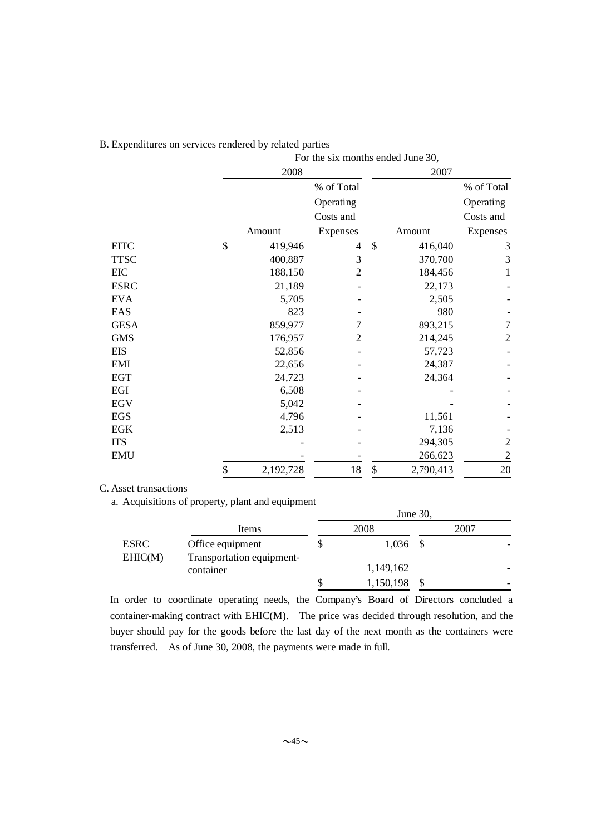|             | For the six months ended June 30, |           |                |               |           |                |  |  |  |
|-------------|-----------------------------------|-----------|----------------|---------------|-----------|----------------|--|--|--|
|             |                                   | 2008      |                |               | 2007      |                |  |  |  |
|             |                                   |           | % of Total     |               |           | % of Total     |  |  |  |
|             |                                   |           | Operating      |               |           | Operating      |  |  |  |
|             |                                   |           | Costs and      |               |           | Costs and      |  |  |  |
|             |                                   | Amount    | Expenses       |               | Amount    | Expenses       |  |  |  |
| <b>EITC</b> | \$                                | 419,946   | 4              | $\mathcal{S}$ | 416,040   | 3              |  |  |  |
| <b>TTSC</b> |                                   | 400,887   | 3              |               | 370,700   | 3              |  |  |  |
| EIC         |                                   | 188,150   | 2              |               | 184,456   | 1              |  |  |  |
| <b>ESRC</b> |                                   | 21,189    |                |               | 22,173    |                |  |  |  |
| <b>EVA</b>  |                                   | 5,705     |                |               | 2,505     |                |  |  |  |
| EAS         |                                   | 823       |                |               | 980       |                |  |  |  |
| <b>GESA</b> |                                   | 859,977   | 7              |               | 893,215   | $\tau$         |  |  |  |
| <b>GMS</b>  |                                   | 176,957   | $\overline{2}$ |               | 214,245   | $\overline{c}$ |  |  |  |
| EIS         |                                   | 52,856    |                |               | 57,723    |                |  |  |  |
| EMI         |                                   | 22,656    |                |               | 24,387    |                |  |  |  |
| <b>EGT</b>  |                                   | 24,723    |                |               | 24,364    |                |  |  |  |
| EGI         |                                   | 6,508     |                |               |           |                |  |  |  |
| <b>EGV</b>  |                                   | 5,042     |                |               |           |                |  |  |  |
| <b>EGS</b>  |                                   | 4,796     |                |               | 11,561    |                |  |  |  |
| <b>EGK</b>  |                                   | 2,513     |                |               | 7,136     |                |  |  |  |
| <b>ITS</b>  |                                   |           |                |               | 294,305   | $\overline{c}$ |  |  |  |
| <b>EMU</b>  |                                   |           |                |               | 266,623   | $\overline{2}$ |  |  |  |
|             | \$                                | 2,192,728 | 18             | \$            | 2,790,413 | 20             |  |  |  |

## B. Expenditures on services rendered by related parties

## C. Asset transactions

a. Acquisitions of property, plant and equipment

|                        |                                               | June 30, |            |  |      |  |  |  |  |  |
|------------------------|-----------------------------------------------|----------|------------|--|------|--|--|--|--|--|
|                        | Items                                         |          | 2008       |  | 2007 |  |  |  |  |  |
| <b>ESRC</b><br>EHIC(M) | Office equipment<br>Transportation equipment- |          | $1,036$ \$ |  |      |  |  |  |  |  |
|                        | container                                     |          | 1,149,162  |  |      |  |  |  |  |  |
|                        |                                               | \$       | 1,150,198  |  |      |  |  |  |  |  |

In order to coordinate operating needs, the Company's Board of Directors concluded a container-making contract with EHIC(M). The price was decided through resolution, and the buyer should pay for the goods before the last day of the next month as the containers were transferred. As of June 30, 2008, the payments were made in full.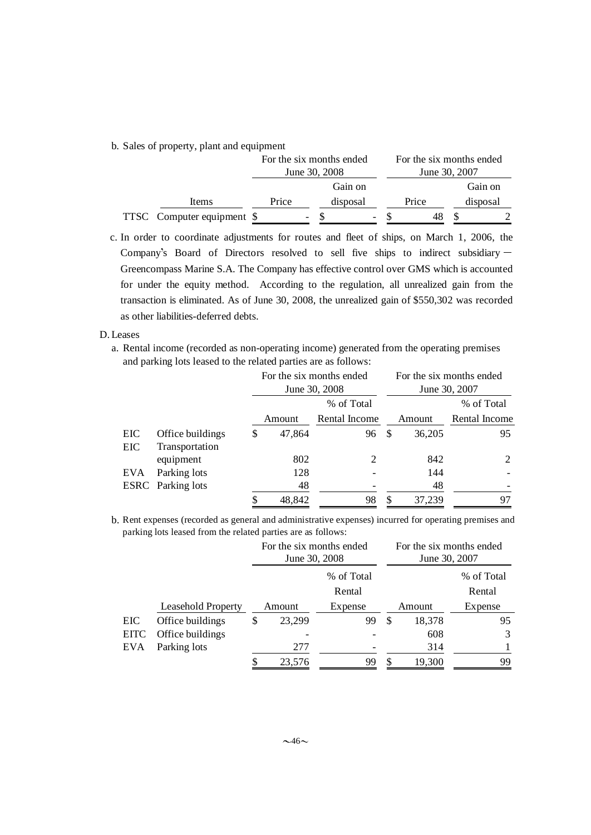b. Sales of property, plant and equipment

|                            | For the six months ended<br>June 30, 2008 |  |          |   | June 30, 2007 | For the six months ended |          |  |
|----------------------------|-------------------------------------------|--|----------|---|---------------|--------------------------|----------|--|
|                            |                                           |  | Gain on  |   |               |                          | Gain on  |  |
| Items                      | Price                                     |  | disposal |   | Price         |                          | disposal |  |
| TTSC Computer equipment \$ |                                           |  |          | - |               |                          |          |  |

c. In order to coordinate adjustments for routes and fleet of ships, on March 1, 2006, the Company's Board of Directors resolved to sell five ships to indirect subsidiary  $-$ Greencompass Marine S.A. The Company has effective control over GMS which is accounted for under the equity method. According to the regulation, all unrealized gain from the transaction is eliminated. As of June 30, 2008, the unrealized gain of \$550,302 was recorded as other liabilities-deferred debts.

### D. Leases

a. Rental income (recorded as non-operating income) generated from the operating premises and parking lots leased to the related parties are as follows:

|     |                          | For the six months ended<br>June 30, 2008 |               |   |        | For the six months ended<br>June 30, 2007 |  |
|-----|--------------------------|-------------------------------------------|---------------|---|--------|-------------------------------------------|--|
|     |                          |                                           | % of Total    |   |        | % of Total                                |  |
|     |                          | Amount                                    | Rental Income |   | Amount | Rental Income                             |  |
| EIC | Office buildings         | \$<br>47,864                              | 96            | S | 36,205 | 95                                        |  |
| EIC | Transportation           |                                           |               |   |        |                                           |  |
|     | equipment                | 802                                       | 2             |   | 842    | 2                                         |  |
| EVA | Parking lots             | 128                                       |               |   | 144    |                                           |  |
|     | <b>ESRC</b> Parking lots | 48                                        |               |   | 48     |                                           |  |
|     |                          | \$<br>48,842                              | 98            | S | 37,239 | 97                                        |  |

b. Rent expenses (recorded as general and administrative expenses) incurred for operating premises and parking lots leased from the related parties are as follows:

|             |                           | For the six months ended<br>June 30, 2008 |              |   | For the six months ended<br>June 30, 2007 |            |
|-------------|---------------------------|-------------------------------------------|--------------|---|-------------------------------------------|------------|
|             |                           | % of Total                                |              |   |                                           | % of Total |
|             |                           | Rental                                    |              |   |                                           | Rental     |
|             | <b>Leasehold Property</b> | Amount                                    | Expense      |   | Amount                                    | Expense    |
| EIC         | Office buildings          | \$<br>23,299                              | 99           | S | 18,378                                    | 95         |
| <b>EITC</b> | Office buildings          |                                           |              |   | 608                                       | 3          |
| EVA         | Parking lots              | 277                                       | 99<br>23,576 |   | 314                                       |            |
|             |                           |                                           |              |   | 19,300                                    | 99         |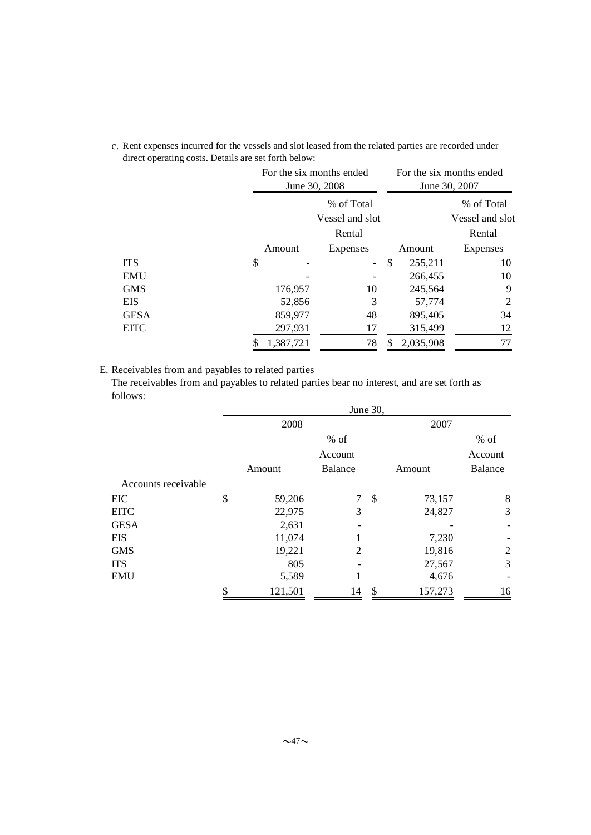c. Rent expenses incurred for the vessels and slot leased from the related parties are recorded under direct operating costs. Details are set forth below:

|      |    | For the six months ended<br>June 30, 2008 |                          |    | For the six months ended<br>June 30, 2007 |                 |  |
|------|----|-------------------------------------------|--------------------------|----|-------------------------------------------|-----------------|--|
|      |    | % of Total                                |                          |    |                                           | % of Total      |  |
|      |    |                                           | Vessel and slot          |    |                                           | Vessel and slot |  |
|      |    |                                           | Rental                   |    |                                           | Rental          |  |
|      |    | Amount                                    | Expenses                 |    | Amount                                    | <b>Expenses</b> |  |
| ITS  | \$ |                                           | $\overline{\phantom{0}}$ | \$ | 255,211                                   | 10              |  |
| EMU  |    |                                           |                          |    | 266,455                                   | 10              |  |
| GMS  |    | 176,957                                   | 10                       |    | 245,564                                   | 9               |  |
| EIS  |    | 52,856                                    | 3                        |    | 57,774                                    | 2               |  |
| GESA |    | 859,977                                   | 48                       |    | 895,405                                   | 34              |  |
| EITC |    | 297,931                                   | 17                       |    | 315,499                                   | 12              |  |
|      | S  | 1,387,721                                 | 78                       | S  | 2,035,908                                 | 77              |  |

E. Receivables from and payables to related parties

The receivables from and payables to related parties bear no interest, and are set forth as follows:

|                     | June 30,     |                |    |         |                |  |  |  |  |
|---------------------|--------------|----------------|----|---------|----------------|--|--|--|--|
|                     | 2008         |                |    |         |                |  |  |  |  |
|                     |              | $%$ of         |    |         | $%$ of         |  |  |  |  |
|                     |              | Account        |    |         | Account        |  |  |  |  |
|                     | Amount       | <b>Balance</b> |    | Amount  | Balance        |  |  |  |  |
| Accounts receivable |              |                |    |         |                |  |  |  |  |
| <b>EIC</b>          | \$<br>59,206 | 7              | \$ | 73,157  | 8              |  |  |  |  |
| <b>EITC</b>         | 22,975       | 3              |    | 24,827  | 3              |  |  |  |  |
| <b>GESA</b>         | 2,631        |                |    |         |                |  |  |  |  |
| <b>EIS</b>          | 11,074       |                |    | 7,230   |                |  |  |  |  |
| <b>GMS</b>          | 19,221       | 2              |    | 19,816  | $\overline{2}$ |  |  |  |  |
| <b>ITS</b>          | 805          |                |    | 27,567  | 3              |  |  |  |  |
| <b>EMU</b>          | 5,589        |                |    | 4,676   |                |  |  |  |  |
|                     | 121,501      | 14             | \$ | 157,273 | 16             |  |  |  |  |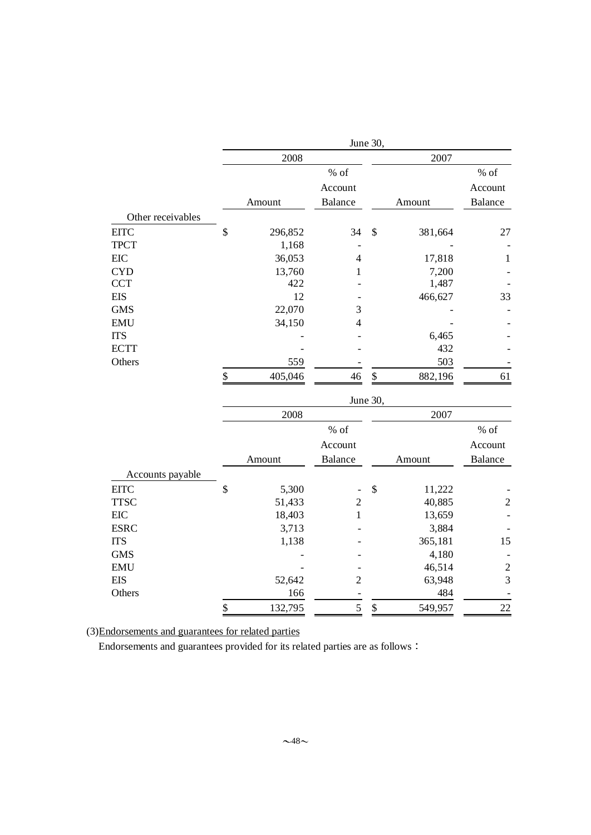|                   | June 30, |         |                |               |         |                  |  |  |  |  |
|-------------------|----------|---------|----------------|---------------|---------|------------------|--|--|--|--|
|                   |          | 2008    |                | 2007          |         |                  |  |  |  |  |
|                   |          |         | % of           |               |         | $\%$ of          |  |  |  |  |
|                   |          |         | Account        |               |         | Account          |  |  |  |  |
|                   |          | Amount  | <b>Balance</b> |               | Amount  | <b>Balance</b>   |  |  |  |  |
| Other receivables |          |         |                |               |         |                  |  |  |  |  |
| <b>EITC</b>       | \$       | 296,852 | 34             | \$            | 381,664 | 27               |  |  |  |  |
| <b>TPCT</b>       |          | 1,168   |                |               |         |                  |  |  |  |  |
| EIC               |          | 36,053  | $\overline{4}$ |               | 17,818  | $\mathbf{1}$     |  |  |  |  |
| <b>CYD</b>        |          | 13,760  | 1              |               | 7,200   |                  |  |  |  |  |
| <b>CCT</b>        |          | 422     |                |               | 1,487   |                  |  |  |  |  |
| <b>EIS</b>        |          | 12      |                |               | 466,627 | 33               |  |  |  |  |
| <b>GMS</b>        |          | 22,070  | 3              |               |         |                  |  |  |  |  |
| <b>EMU</b>        |          | 34,150  | $\overline{4}$ |               |         |                  |  |  |  |  |
| <b>ITS</b>        |          |         |                |               | 6,465   |                  |  |  |  |  |
| <b>ECTT</b>       |          |         |                |               | 432     |                  |  |  |  |  |
| Others            |          | 559     |                |               | 503     |                  |  |  |  |  |
|                   | \$       | 405,046 | 46             | $\frac{1}{2}$ | 882,196 | 61               |  |  |  |  |
|                   | June 30, |         |                |               |         |                  |  |  |  |  |
|                   |          | 2008    |                |               | 2007    |                  |  |  |  |  |
|                   |          |         | $%$ of         |               |         | $%$ of           |  |  |  |  |
|                   |          |         | Account        |               |         | Account          |  |  |  |  |
|                   |          | Amount  | <b>Balance</b> |               | Amount  | <b>Balance</b>   |  |  |  |  |
| Accounts payable  |          |         |                |               |         |                  |  |  |  |  |
| <b>EITC</b>       | \$       | 5,300   |                | \$            | 11,222  |                  |  |  |  |  |
| <b>TTSC</b>       |          | 51,433  | $\overline{c}$ |               | 40,885  | $\boldsymbol{2}$ |  |  |  |  |
| EIC               |          | 18,403  | $\mathbf{1}$   |               | 13,659  |                  |  |  |  |  |
| <b>ESRC</b>       |          | 3,713   |                |               | 3,884   |                  |  |  |  |  |
| <b>ITS</b>        |          | 1,138   |                |               | 365,181 | 15               |  |  |  |  |
| <b>GMS</b>        |          |         |                |               | 4,180   |                  |  |  |  |  |
| <b>EMU</b>        |          |         |                |               | 46,514  | $\overline{c}$   |  |  |  |  |
| <b>EIS</b>        |          | 52,642  | $\overline{c}$ |               | 63,948  | 3                |  |  |  |  |
| Others            |          | 166     |                |               | 484     |                  |  |  |  |  |
|                   | \$       | 132,795 | 5              | \$            | 549,957 | 22               |  |  |  |  |

(3)Endorsements and guarantees for related parties

Endorsements and guarantees provided for its related parties are as follows: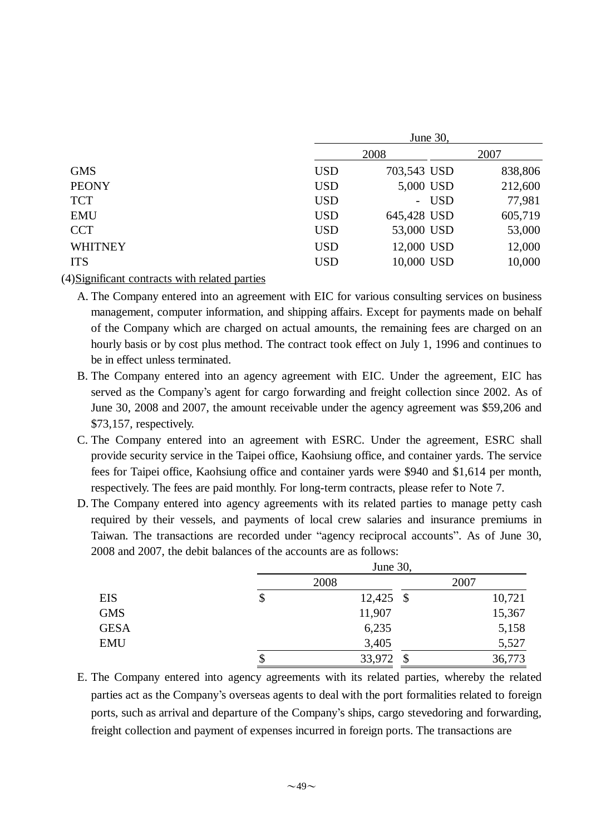|                | June 30,   |             |       |         |  |  |  |  |
|----------------|------------|-------------|-------|---------|--|--|--|--|
|                | 2008       |             |       | 2007    |  |  |  |  |
| <b>GMS</b>     | <b>USD</b> | 703,543 USD |       | 838,806 |  |  |  |  |
| <b>PEONY</b>   | <b>USD</b> | 5,000 USD   |       | 212,600 |  |  |  |  |
| <b>TCT</b>     | <b>USD</b> |             | - USD | 77,981  |  |  |  |  |
| <b>EMU</b>     | <b>USD</b> | 645,428 USD |       | 605,719 |  |  |  |  |
| <b>CCT</b>     | <b>USD</b> | 53,000 USD  |       | 53,000  |  |  |  |  |
| <b>WHITNEY</b> | <b>USD</b> | 12,000 USD  |       | 12,000  |  |  |  |  |
| <b>ITS</b>     | <b>USD</b> | 10,000 USD  |       | 10,000  |  |  |  |  |
|                |            |             |       |         |  |  |  |  |

(4)Significant contracts with related parties

A. The Company entered into an agreement with EIC for various consulting services on business management, computer information, and shipping affairs. Except for payments made on behalf of the Company which are charged on actual amounts, the remaining fees are charged on an hourly basis or by cost plus method. The contract took effect on July 1, 1996 and continues to be in effect unless terminated.

- B. The Company entered into an agency agreement with EIC. Under the agreement, EIC has served as the Company's agent for cargo forwarding and freight collection since 2002. As of June 30, 2008 and 2007, the amount receivable under the agency agreement was \$59,206 and \$73,157, respectively.
- C. The Company entered into an agreement with ESRC. Under the agreement, ESRC shall provide security service in the Taipei office, Kaohsiung office, and container yards. The service fees for Taipei office, Kaohsiung office and container yards were \$940 and \$1,614 per month, respectively. The fees are paid monthly. For long-term contracts, please refer to Note 7.
- D. The Company entered into agency agreements with its related parties to manage petty cash required by their vessels, and payments of local crew salaries and insurance premiums in Taiwan. The transactions are recorded under "agency reciprocal accounts". As of June 30, 2008 and 2007, the debit balances of the accounts are as follows:

|             |    | June 30,     |        |  |  |  |  |
|-------------|----|--------------|--------|--|--|--|--|
|             |    | 2008         | 2007   |  |  |  |  |
| <b>EIS</b>  | \$ | $12,425$ \$  | 10,721 |  |  |  |  |
| <b>GMS</b>  |    | 11,907       | 15,367 |  |  |  |  |
| <b>GESA</b> |    | 6,235        | 5,158  |  |  |  |  |
| <b>EMU</b>  |    | 3,405        | 5,527  |  |  |  |  |
|             | Φ  | 33,972<br>\$ | 36,773 |  |  |  |  |

E. The Company entered into agency agreements with its related parties, whereby the related parties act as the Company's overseas agents to deal with the port formalities related to foreign ports, such as arrival and departure of the Company's ships, cargo stevedoring and forwarding, freight collection and payment of expenses incurred in foreign ports. The transactions are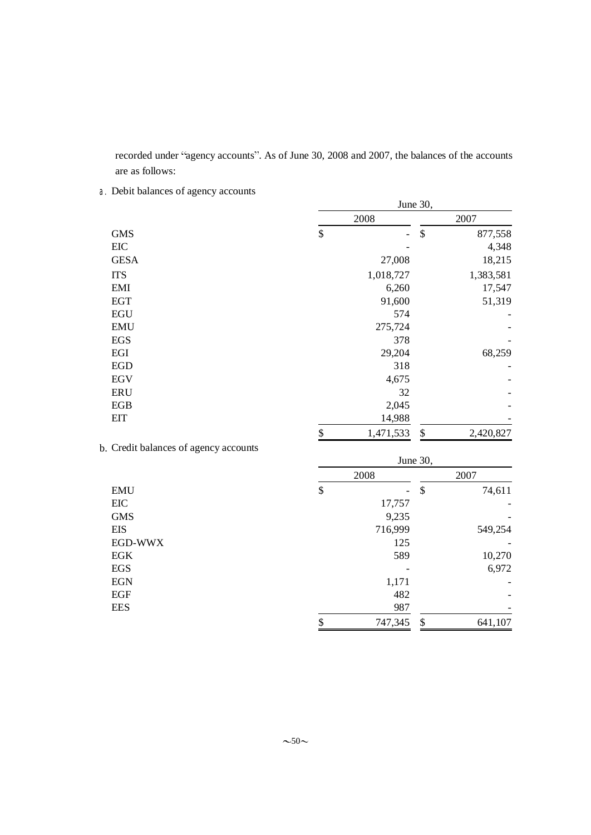recorded under "agency accounts". As of June 30, 2008 and 2007, the balances of the accounts are as follows:

a.Debit balances of agency accounts

| June 30, |                |                           |           |  |  |
|----------|----------------|---------------------------|-----------|--|--|
| 2008     |                |                           | 2007      |  |  |
| \$       | $\overline{a}$ | $\boldsymbol{\mathsf{S}}$ | 877,558   |  |  |
|          |                |                           | 4,348     |  |  |
|          | 27,008         |                           | 18,215    |  |  |
|          | 1,018,727      |                           | 1,383,581 |  |  |
|          | 6,260          |                           | 17,547    |  |  |
|          | 91,600         |                           | 51,319    |  |  |
|          | 574            |                           |           |  |  |
|          | 275,724        |                           |           |  |  |
|          | 378            |                           |           |  |  |
|          | 29,204         |                           | 68,259    |  |  |
|          | 318            |                           |           |  |  |
|          | 4,675          |                           |           |  |  |
|          | 32             |                           |           |  |  |
|          | 2,045          |                           |           |  |  |
|          | 14,988         |                           |           |  |  |
| \$       | 1,471,533      | \$                        | 2,420,827 |  |  |
|          |                |                           |           |  |  |

|  |  | b. Credit balances of agency accounts |  |
|--|--|---------------------------------------|--|
|--|--|---------------------------------------|--|

|            | June 30, |                          |    |         |  |  |
|------------|----------|--------------------------|----|---------|--|--|
|            | 2008     |                          |    | 2007    |  |  |
| <b>EMU</b> | \$       | $\overline{\phantom{0}}$ | \$ | 74,611  |  |  |
| EIC        |          | 17,757                   |    |         |  |  |
| <b>GMS</b> |          | 9,235                    |    |         |  |  |
| EIS        |          | 716,999                  |    | 549,254 |  |  |
| EGD-WWX    |          | 125                      |    |         |  |  |
| EGK        |          | 589                      |    | 10,270  |  |  |
| EGS        |          |                          |    | 6,972   |  |  |
| <b>EGN</b> |          | 1,171                    |    |         |  |  |
| EGF        |          | 482                      |    |         |  |  |
| <b>EES</b> |          | 987                      |    |         |  |  |
|            | \$       | 747,345                  | \$ | 641,107 |  |  |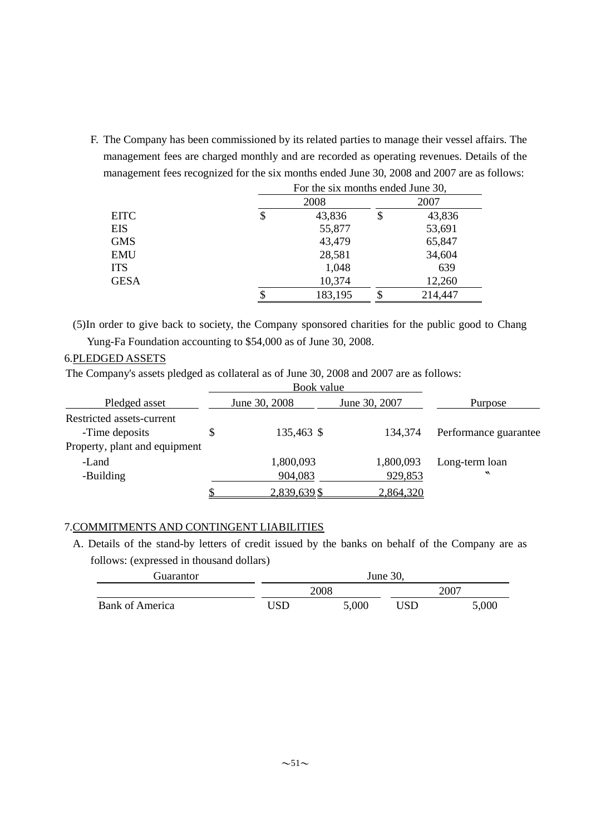F. The Company has been commissioned by its related parties to manage their vessel affairs. The management fees are charged monthly and are recorded as operating revenues. Details of the management fees recognized for the six months ended June 30, 2008 and 2007 are as follows: For the six months ended June 30,

|             | I of the six monthly ended rane bo, |    |         |  |  |
|-------------|-------------------------------------|----|---------|--|--|
|             | 2008                                |    | 2007    |  |  |
| <b>EITC</b> | \$<br>43,836                        | \$ | 43,836  |  |  |
| EIS         | 55,877                              |    | 53,691  |  |  |
| <b>GMS</b>  | 43,479                              |    | 65,847  |  |  |
| <b>EMU</b>  | 28,581                              |    | 34,604  |  |  |
| <b>ITS</b>  | 1,048                               |    | 639     |  |  |
| <b>GESA</b> | 10,374                              |    | 12,260  |  |  |
|             | 183,195                             |    | 214,447 |  |  |
|             |                                     |    |         |  |  |

(5)In order to give back to society, the Company sponsored charities for the public good to Chang Yung-Fa Foundation accounting to \$54,000 as of June 30, 2008.

## 6.PLEDGED ASSETS

The Company's assets pledged as collateral as of June 30, 2008 and 2007 are as follows:

|                               | Book value    |               |                       |
|-------------------------------|---------------|---------------|-----------------------|
| Pledged asset                 | June 30, 2008 | June 30, 2007 | Purpose               |
| Restricted assets-current     |               |               |                       |
| -Time deposits                | 135,463 \$    | 134,374       | Performance guarantee |
| Property, plant and equipment |               |               |                       |
| -Land                         | 1,800,093     | 1,800,093     | Long-term loan        |
| -Building                     | 904,083       | 929,853       | $\cdot$               |
|                               | 2,839,639 \$  | 2,864,320     |                       |

## 7.COMMITMENTS AND CONTINGENT LIABILITIES

A. Details of the stand-by letters of credit issued by the banks on behalf of the Company are as follows: (expressed in thousand dollars)

| Guarantor              | June 30, |       |      |       |  |
|------------------------|----------|-------|------|-------|--|
|                        |          | 2008  | 2007 |       |  |
| <b>Bank of America</b> | 'JSD     | 5,000 | USD  | 5,000 |  |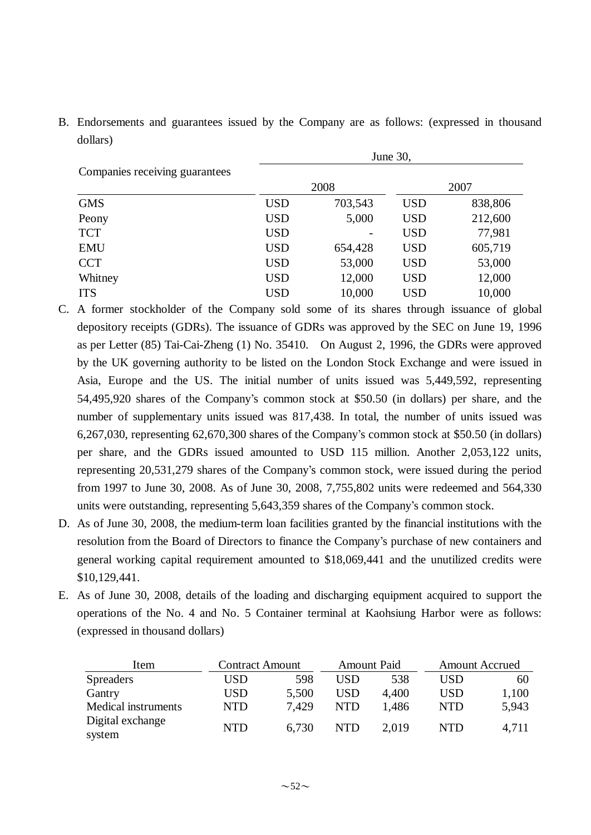B. Endorsements and guarantees issued by the Company are as follows: (expressed in thousand dollars)

|                                | June 30,   |         |            |         |  |  |
|--------------------------------|------------|---------|------------|---------|--|--|
| Companies receiving guarantees |            |         |            |         |  |  |
|                                |            | 2008    | 2007       |         |  |  |
| <b>GMS</b>                     | <b>USD</b> | 703,543 | <b>USD</b> | 838,806 |  |  |
| Peony                          | <b>USD</b> | 5,000   | <b>USD</b> | 212,600 |  |  |
| <b>TCT</b>                     | <b>USD</b> |         | <b>USD</b> | 77,981  |  |  |
| <b>EMU</b>                     | <b>USD</b> | 654,428 | <b>USD</b> | 605,719 |  |  |
| <b>CCT</b>                     | <b>USD</b> | 53,000  | <b>USD</b> | 53,000  |  |  |
| Whitney                        | <b>USD</b> | 12,000  | <b>USD</b> | 12,000  |  |  |
| <b>ITS</b>                     | <b>USD</b> | 10,000  | <b>USD</b> | 10,000  |  |  |

- C. A former stockholder of the Company sold some of its shares through issuance of global depository receipts (GDRs). The issuance of GDRs was approved by the SEC on June 19, 1996 as per Letter (85) Tai-Cai-Zheng (1) No. 35410. On August 2, 1996, the GDRs were approved by the UK governing authority to be listed on the London Stock Exchange and were issued in Asia, Europe and the US. The initial number of units issued was 5,449,592, representing 54,495,920 shares of the Company's common stock at \$50.50 (in dollars) per share, and the number of supplementary units issued was 817,438. In total, the number of units issued was 6,267,030, representing 62,670,300 shares of the Company's common stock at \$50.50 (in dollars) per share, and the GDRs issued amounted to USD 115 million. Another 2,053,122 units, representing 20,531,279 shares of the Company's common stock, were issued during the period from 1997 to June 30, 2008. As of June 30, 2008, 7,755,802 units were redeemed and 564,330 units were outstanding, representing 5,643,359 shares of the Company's common stock.
- D. As of June 30, 2008, the medium-term loan facilities granted by the financial institutions with the resolution from the Board of Directors to finance the Company's purchase of new containers and general working capital requirement amounted to \$18,069,441 and the unutilized credits were \$10,129,441.
- E. As of June 30, 2008, details of the loading and discharging equipment acquired to support the operations of the No. 4 and No. 5 Container terminal at Kaohsiung Harbor were as follows: (expressed in thousand dollars)

| Item                       |            | <b>Contract Amount</b><br><b>Amount Paid</b> |            | <b>Amount Accrued</b> |            |       |
|----------------------------|------------|----------------------------------------------|------------|-----------------------|------------|-------|
| <b>Spreaders</b>           | USD        | 598                                          | USD        | 538                   | USD        | 60    |
| Gantry                     | USD        | 5,500                                        | <b>USD</b> | 4.400                 | <b>USD</b> | 1,100 |
| Medical instruments        | <b>NTD</b> | 7.429                                        | <b>NTD</b> | 1.486                 | <b>NTD</b> | 5,943 |
| Digital exchange<br>system | <b>NTD</b> | 6,730                                        | <b>NTD</b> | 2.019                 | <b>NTD</b> | 4,711 |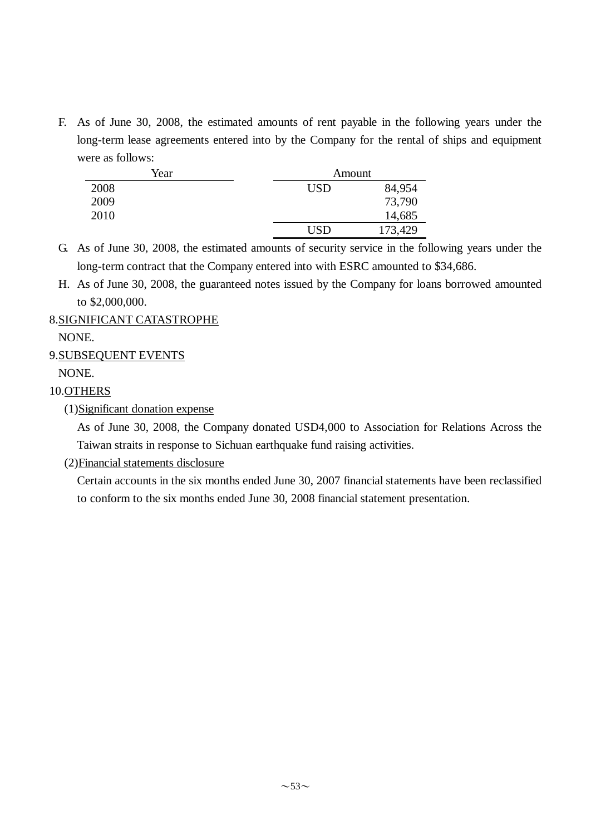F. As of June 30, 2008, the estimated amounts of rent payable in the following years under the long-term lease agreements entered into by the Company for the rental of ships and equipment were as follows:

| Year | Amount     |         |
|------|------------|---------|
| 2008 | <b>USD</b> | 84,954  |
| 2009 |            | 73,790  |
| 2010 |            | 14,685  |
|      | <b>USD</b> | 173,429 |

G. As of June 30, 2008, the estimated amounts of security service in the following years under the long-term contract that the Company entered into with ESRC amounted to \$34,686.

H. As of June 30, 2008, the guaranteed notes issued by the Company for loans borrowed amounted to \$2,000,000.

## 8.SIGNIFICANT CATASTROPHE

NONE.

## 9.SUBSEQUENT EVENTS

NONE.

## 10.OTHERS

(1)Significant donation expense

As of June 30, 2008, the Company donated USD4,000 to Association for Relations Across the Taiwan straits in response to Sichuan earthquake fund raising activities.

(2)Financial statements disclosure

Certain accounts in the six months ended June 30, 2007 financial statements have been reclassified to conform to the six months ended June 30, 2008 financial statement presentation.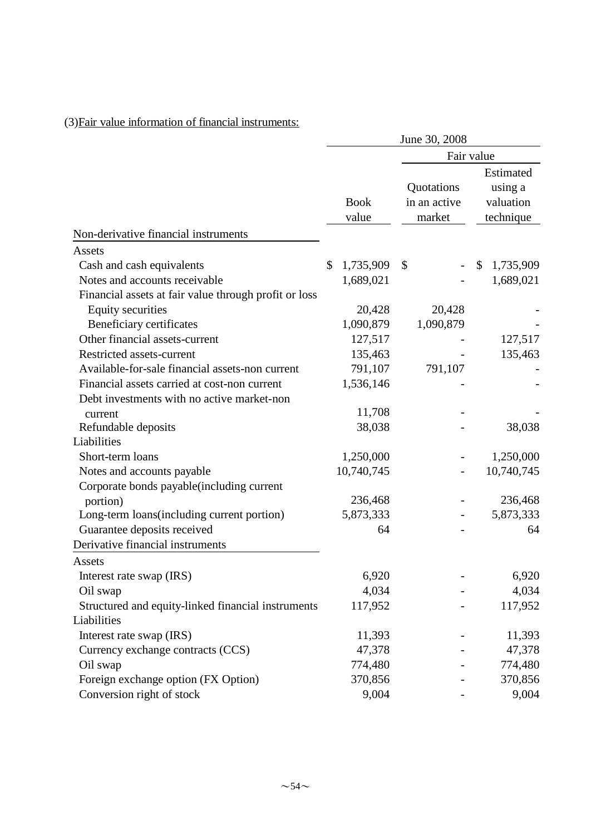|                                                       |                      | June 30, 2008                        |                                                |
|-------------------------------------------------------|----------------------|--------------------------------------|------------------------------------------------|
|                                                       |                      |                                      | Fair value                                     |
|                                                       | <b>Book</b><br>value | Quotations<br>in an active<br>market | Estimated<br>using a<br>valuation<br>technique |
| Non-derivative financial instruments                  |                      |                                      |                                                |
| Assets                                                |                      |                                      |                                                |
| Cash and cash equivalents                             | \$<br>1,735,909      | \$                                   | 1,735,909<br>\$                                |
| Notes and accounts receivable                         | 1,689,021            |                                      | 1,689,021                                      |
| Financial assets at fair value through profit or loss |                      |                                      |                                                |
| <b>Equity securities</b>                              | 20,428               | 20,428                               |                                                |
| Beneficiary certificates                              | 1,090,879            | 1,090,879                            |                                                |
| Other financial assets-current                        | 127,517              |                                      | 127,517                                        |
| Restricted assets-current                             | 135,463              |                                      | 135,463                                        |
| Available-for-sale financial assets-non current       | 791,107              | 791,107                              |                                                |
| Financial assets carried at cost-non current          | 1,536,146            |                                      |                                                |
| Debt investments with no active market-non            |                      |                                      |                                                |
| current                                               | 11,708               |                                      |                                                |
| Refundable deposits                                   | 38,038               |                                      | 38,038                                         |
| Liabilities                                           |                      |                                      |                                                |
| Short-term loans                                      | 1,250,000            |                                      | 1,250,000                                      |
| Notes and accounts payable                            | 10,740,745           |                                      | 10,740,745                                     |
| Corporate bonds payable(including current             |                      |                                      |                                                |
| portion)                                              | 236,468              |                                      | 236,468                                        |
| Long-term loans(including current portion)            | 5,873,333            | $\qquad \qquad \blacksquare$         | 5,873,333                                      |
| Guarantee deposits received                           | 64                   |                                      | 64                                             |
| Derivative financial instruments                      |                      |                                      |                                                |
| Assets                                                |                      |                                      |                                                |
| Interest rate swap (IRS)                              | 6,920                |                                      | 6,920                                          |
| Oil swap                                              | 4,034                |                                      | 4,034                                          |
| Structured and equity-linked financial instruments    | 117,952              |                                      | 117,952                                        |
| Liabilities                                           |                      |                                      |                                                |
| Interest rate swap (IRS)                              | 11,393               |                                      | 11,393                                         |
| Currency exchange contracts (CCS)                     | 47,378               |                                      | 47,378                                         |
| Oil swap                                              | 774,480              |                                      | 774,480                                        |
| Foreign exchange option (FX Option)                   | 370,856              |                                      | 370,856                                        |
| Conversion right of stock                             | 9,004                |                                      | 9,004                                          |

# (3)Fair value information of financial instruments: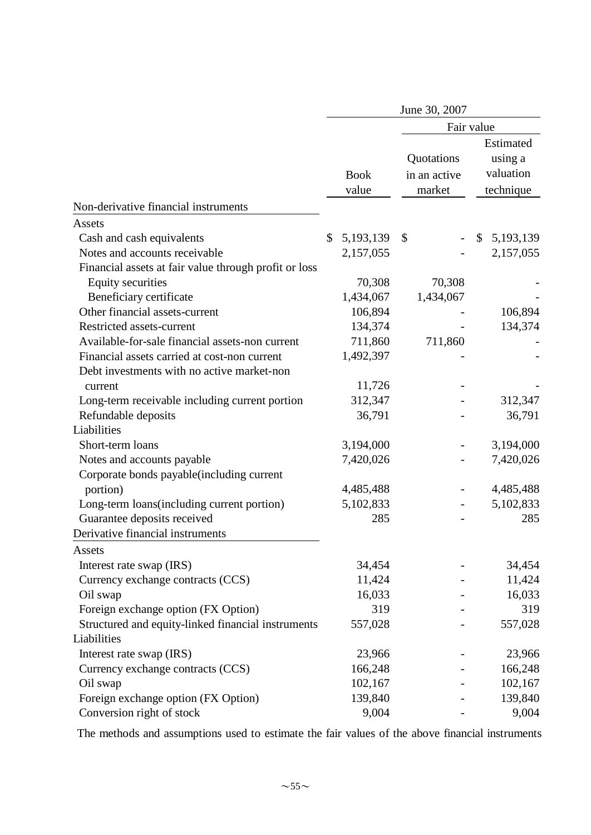|                                                       |                      | June 30, 2007                        |    |                                                |  |
|-------------------------------------------------------|----------------------|--------------------------------------|----|------------------------------------------------|--|
|                                                       |                      | Fair value                           |    |                                                |  |
|                                                       | <b>Book</b><br>value | Quotations<br>in an active<br>market |    | Estimated<br>using a<br>valuation<br>technique |  |
| Non-derivative financial instruments                  |                      |                                      |    |                                                |  |
| Assets                                                |                      |                                      |    |                                                |  |
| Cash and cash equivalents                             | \$<br>5, 193, 139    | $\mathcal{S}$                        | \$ | 5, 193, 139                                    |  |
| Notes and accounts receivable                         | 2,157,055            |                                      |    | 2,157,055                                      |  |
| Financial assets at fair value through profit or loss |                      |                                      |    |                                                |  |
| <b>Equity securities</b>                              | 70,308               | 70,308                               |    |                                                |  |
| Beneficiary certificate                               | 1,434,067            | 1,434,067                            |    |                                                |  |
| Other financial assets-current                        | 106,894              |                                      |    | 106,894                                        |  |
| Restricted assets-current                             | 134,374              |                                      |    | 134,374                                        |  |
| Available-for-sale financial assets-non current       | 711,860              | 711,860                              |    |                                                |  |
| Financial assets carried at cost-non current          | 1,492,397            |                                      |    |                                                |  |
| Debt investments with no active market-non            |                      |                                      |    |                                                |  |
| current                                               | 11,726               |                                      |    |                                                |  |
| Long-term receivable including current portion        | 312,347              |                                      |    | 312,347                                        |  |
| Refundable deposits                                   | 36,791               |                                      |    | 36,791                                         |  |
| Liabilities                                           |                      |                                      |    |                                                |  |
| Short-term loans                                      | 3,194,000            |                                      |    | 3,194,000                                      |  |
| Notes and accounts payable                            | 7,420,026            |                                      |    | 7,420,026                                      |  |
| Corporate bonds payable (including current            |                      |                                      |    |                                                |  |
| portion)                                              | 4,485,488            |                                      |    | 4,485,488                                      |  |
| Long-term loans(including current portion)            | 5,102,833            |                                      |    | 5,102,833                                      |  |
| Guarantee deposits received                           | 285                  |                                      |    | 285                                            |  |
| Derivative financial instruments                      |                      |                                      |    |                                                |  |
| Assets                                                |                      |                                      |    |                                                |  |
| Interest rate swap (IRS)                              | 34,454               |                                      |    | 34,454                                         |  |
| Currency exchange contracts (CCS)                     | 11,424               |                                      |    | 11,424                                         |  |
| Oil swap                                              | 16,033               |                                      |    | 16,033                                         |  |
| Foreign exchange option (FX Option)                   | 319                  |                                      |    | 319                                            |  |
| Structured and equity-linked financial instruments    | 557,028              |                                      |    | 557,028                                        |  |
| Liabilities                                           |                      |                                      |    |                                                |  |
| Interest rate swap (IRS)                              | 23,966               |                                      |    | 23,966                                         |  |
| Currency exchange contracts (CCS)                     | 166,248              |                                      |    | 166,248                                        |  |
| Oil swap                                              | 102,167              |                                      |    | 102,167                                        |  |
| Foreign exchange option (FX Option)                   | 139,840              |                                      |    | 139,840                                        |  |
| Conversion right of stock                             | 9,004                |                                      |    | 9,004                                          |  |

The methods and assumptions used to estimate the fair values of the above financial instruments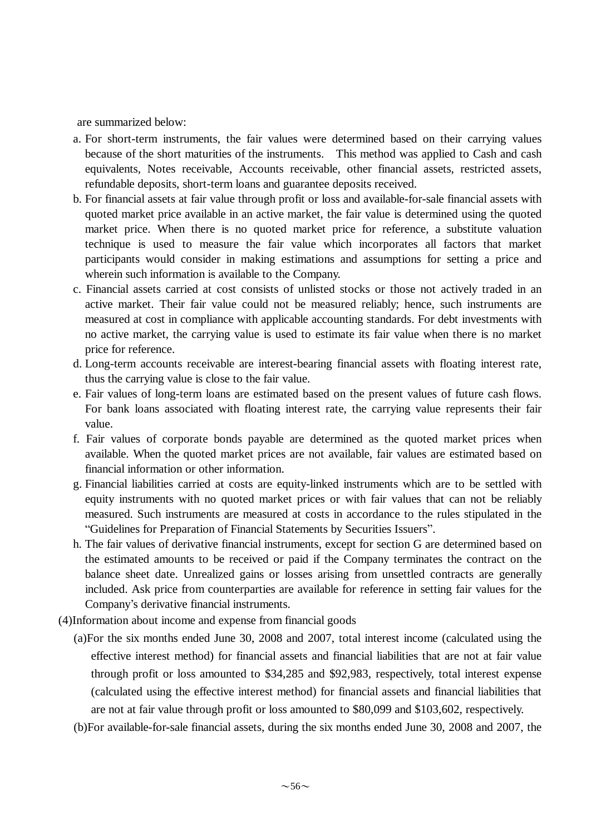are summarized below:

- a. For short-term instruments, the fair values were determined based on their carrying values because of the short maturities of the instruments. This method was applied to Cash and cash equivalents, Notes receivable, Accounts receivable, other financial assets, restricted assets, refundable deposits, short-term loans and guarantee deposits received.
- b. For financial assets at fair value through profit or loss and available-for-sale financial assets with quoted market price available in an active market, the fair value is determined using the quoted market price. When there is no quoted market price for reference, a substitute valuation technique is used to measure the fair value which incorporates all factors that market participants would consider in making estimations and assumptions for setting a price and wherein such information is available to the Company.
- c. Financial assets carried at cost consists of unlisted stocks or those not actively traded in an active market. Their fair value could not be measured reliably; hence, such instruments are measured at cost in compliance with applicable accounting standards. For debt investments with no active market, the carrying value is used to estimate its fair value when there is no market price for reference.
- d. Long-term accounts receivable are interest-bearing financial assets with floating interest rate, thus the carrying value is close to the fair value.
- e. Fair values of long-term loans are estimated based on the present values of future cash flows. For bank loans associated with floating interest rate, the carrying value represents their fair value.
- f. Fair values of corporate bonds payable are determined as the quoted market prices when available. When the quoted market prices are not available, fair values are estimated based on financial information or other information.
- g. Financial liabilities carried at costs are equity-linked instruments which are to be settled with equity instruments with no quoted market prices or with fair values that can not be reliably measured. Such instruments are measured at costs in accordance to the rules stipulated in the "Guidelines for Preparation of Financial Statements by Securities Issuers".
- h. The fair values of derivative financial instruments, except for section G are determined based on the estimated amounts to be received or paid if the Company terminates the contract on the balance sheet date. Unrealized gains or losses arising from unsettled contracts are generally included. Ask price from counterparties are available for reference in setting fair values for the Company's derivative financial instruments.
- (4)Information about income and expense from financial goods
	- (a)For the six months ended June 30, 2008 and 2007, total interest income (calculated using the effective interest method) for financial assets and financial liabilities that are not at fair value through profit or loss amounted to \$34,285 and \$92,983, respectively, total interest expense (calculated using the effective interest method) for financial assets and financial liabilities that are not at fair value through profit or loss amounted to \$80,099 and \$103,602, respectively.
	- (b)For available-for-sale financial assets, during the six months ended June 30, 2008 and 2007, the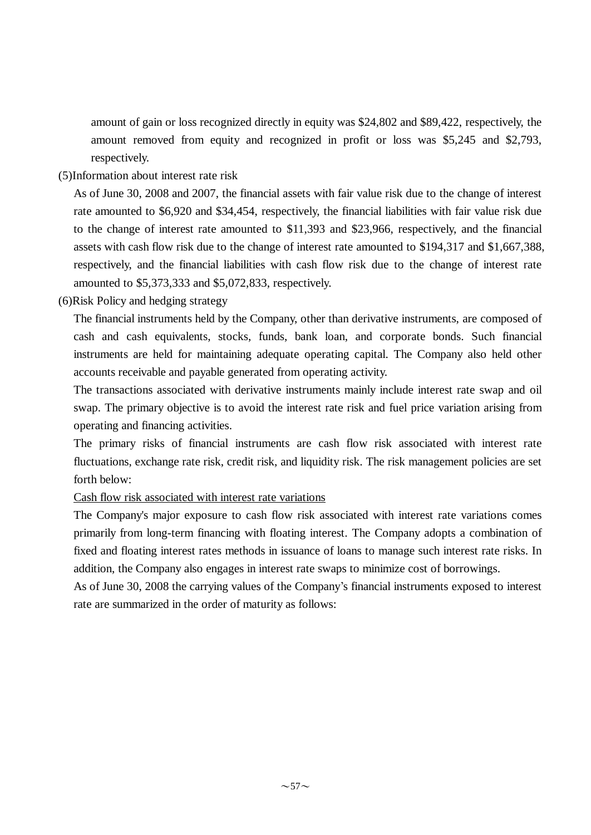amount of gain or loss recognized directly in equity was \$24,802 and \$89,422, respectively, the amount removed from equity and recognized in profit or loss was \$5,245 and \$2,793, respectively.

(5)Information about interest rate risk

As of June 30, 2008 and 2007, the financial assets with fair value risk due to the change of interest rate amounted to \$6,920 and \$34,454, respectively, the financial liabilities with fair value risk due to the change of interest rate amounted to \$11,393 and \$23,966, respectively, and the financial assets with cash flow risk due to the change of interest rate amounted to \$194,317 and \$1,667,388, respectively, and the financial liabilities with cash flow risk due to the change of interest rate amounted to \$5,373,333 and \$5,072,833, respectively.

(6)Risk Policy and hedging strategy

The financial instruments held by the Company, other than derivative instruments, are composed of cash and cash equivalents, stocks, funds, bank loan, and corporate bonds. Such financial instruments are held for maintaining adequate operating capital. The Company also held other accounts receivable and payable generated from operating activity.

The transactions associated with derivative instruments mainly include interest rate swap and oil swap. The primary objective is to avoid the interest rate risk and fuel price variation arising from operating and financing activities.

The primary risks of financial instruments are cash flow risk associated with interest rate fluctuations, exchange rate risk, credit risk, and liquidity risk. The risk management policies are set forth below:

## Cash flow risk associated with interest rate variations

The Company's major exposure to cash flow risk associated with interest rate variations comes primarily from long-term financing with floating interest. The Company adopts a combination of fixed and floating interest rates methods in issuance of loans to manage such interest rate risks. In addition, the Company also engages in interest rate swaps to minimize cost of borrowings.

As of June 30, 2008 the carrying values of the Company's financial instruments exposed to interest rate are summarized in the order of maturity as follows: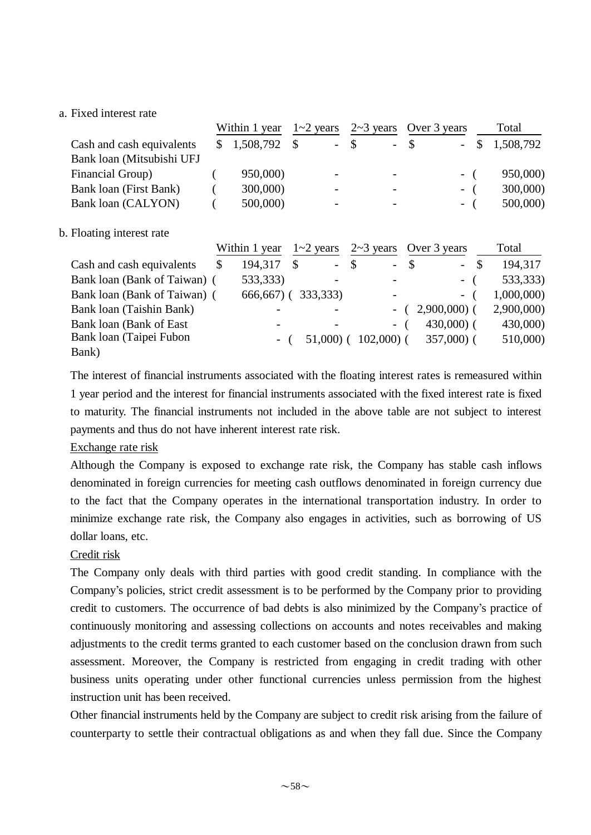## a. Fixed interest rate

|                           | Within 1 year |             | $1 - 2$ years |  |        |  | $2 \sim 3$ years Over 3 years |       |        | Total     |  |
|---------------------------|---------------|-------------|---------------|--|--------|--|-------------------------------|-------|--------|-----------|--|
| Cash and cash equivalents |               | \$1,508,792 | -S            |  | $-$ \$ |  | $- S$                         |       | $-$ \$ | 1,508,792 |  |
| Bank loan (Mitsubishi UFJ |               |             |               |  |        |  |                               |       |        |           |  |
| Financial Group)          |               | 950,000)    |               |  |        |  |                               | $-$ ( |        | 950,000)  |  |
| Bank loan (First Bank)    |               | 300,000)    |               |  |        |  |                               | $-$ ( |        | 300,000)  |  |
| Bank loan (CALYON)        |               | 500,000)    |               |  |        |  |                               | $-$ ( |        | 500,000)  |  |
|                           |               |             |               |  |        |  |                               |       |        |           |  |
|                           |               |             |               |  |        |  |                               |       |        |           |  |

## b. Floating interest rate

|                              | Within 1 year | $1 - 2$ years |               |             |               | $2 \sim 3$ years Over 3 years | Total      |
|------------------------------|---------------|---------------|---------------|-------------|---------------|-------------------------------|------------|
| Cash and cash equivalents    | 194,317       | $\sim$        | $\mathcal{S}$ | $\equiv$    | <sup>\$</sup> | $-$ \$                        | 194,317    |
| Bank loan (Bank of Taiwan) ( | 533,333)      |               |               |             |               | $-$ (                         | 533,333)   |
| Bank loan (Bank of Taiwan) ( | $666,667$ ) ( | 333, 333)     |               |             |               | $-$ (                         | 1,000,000) |
| Bank loan (Taishin Bank)     |               |               |               |             |               | $2,900,000$ (                 | 2,900,000) |
| Bank loan (Bank of East)     |               |               |               | $-$         |               | $430,000$ (                   | 430,000)   |
| Bank loan (Taipei Fubon      |               | 51,000)       |               | $102,000$ ( |               | $357,000$ (                   | 510,000)   |
| Bank)                        |               |               |               |             |               |                               |            |

The interest of financial instruments associated with the floating interest rates is remeasured within 1 year period and the interest for financial instruments associated with the fixed interest rate is fixed to maturity. The financial instruments not included in the above table are not subject to interest payments and thus do not have inherent interest rate risk.

## Exchange rate risk

Although the Company is exposed to exchange rate risk, the Company has stable cash inflows denominated in foreign currencies for meeting cash outflows denominated in foreign currency due to the fact that the Company operates in the international transportation industry. In order to minimize exchange rate risk, the Company also engages in activities, such as borrowing of US dollar loans, etc.

## Credit risk

The Company only deals with third parties with good credit standing. In compliance with the Company's policies, strict credit assessment is to be performed by the Company prior to providing credit to customers. The occurrence of bad debts is also minimized by the Company's practice of continuously monitoring and assessing collections on accounts and notes receivables and making adjustments to the credit terms granted to each customer based on the conclusion drawn from such assessment. Moreover, the Company is restricted from engaging in credit trading with other business units operating under other functional currencies unless permission from the highest instruction unit has been received.

Other financial instruments held by the Company are subject to credit risk arising from the failure of counterparty to settle their contractual obligations as and when they fall due. Since the Company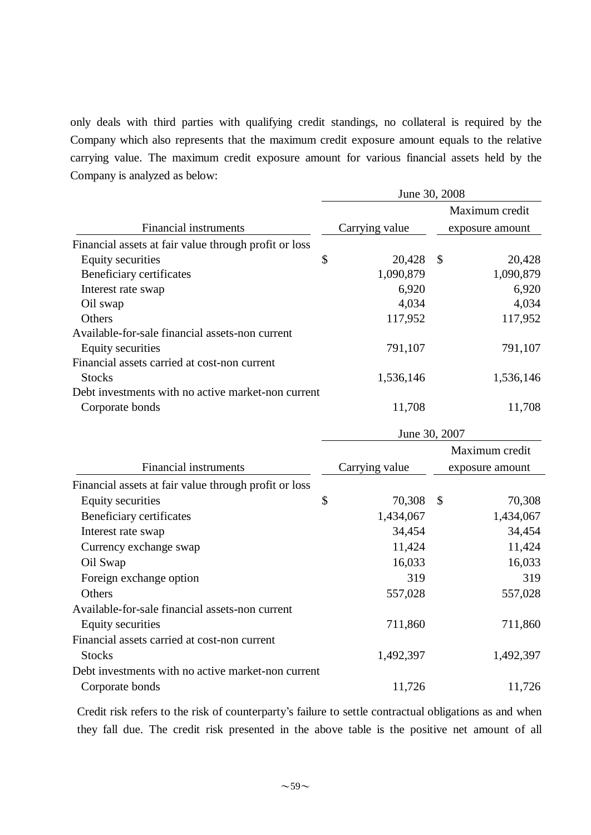only deals with third parties with qualifying credit standings, no collateral is required by the Company which also represents that the maximum credit exposure amount equals to the relative carrying value. The maximum credit exposure amount for various financial assets held by the Company is analyzed as below:

|                                                       |    | June 30, 2008  |    |                 |
|-------------------------------------------------------|----|----------------|----|-----------------|
|                                                       |    |                |    | Maximum credit  |
| <b>Financial instruments</b>                          |    | Carrying value |    | exposure amount |
| Financial assets at fair value through profit or loss |    |                |    |                 |
| <b>Equity securities</b>                              | \$ | 20,428         | \$ | 20,428          |
| Beneficiary certificates                              |    | 1,090,879      |    | 1,090,879       |
| Interest rate swap                                    |    | 6,920          |    | 6,920           |
| Oil swap                                              |    | 4,034          |    | 4,034           |
| Others                                                |    | 117,952        |    | 117,952         |
| Available-for-sale financial assets-non current       |    |                |    |                 |
| <b>Equity securities</b>                              |    | 791,107        |    | 791,107         |
| Financial assets carried at cost-non current          |    |                |    |                 |
| <b>Stocks</b>                                         |    | 1,536,146      |    | 1,536,146       |
| Debt investments with no active market-non current    |    |                |    |                 |
| Corporate bonds                                       |    | 11,708         |    | 11,708          |
|                                                       |    | June 30, 2007  |    |                 |
|                                                       |    |                |    | Maximum credit  |
| Financial instruments                                 |    | Carrying value |    | exposure amount |
| Financial assets at fair value through profit or loss |    |                |    |                 |
| <b>Equity securities</b>                              | \$ | 70,308         | \$ | 70,308          |
| Beneficiary certificates                              |    | 1,434,067      |    | 1,434,067       |
| Interest rate swap                                    |    | 34,454         |    | 34,454          |
| Currency exchange swap                                |    | 11,424         |    | 11,424          |
| Oil Swap                                              |    | 16,033         |    | 16,033          |
| Foreign exchange option                               |    | 319            |    | 319             |
| Others                                                |    | 557,028        |    | 557,028         |
| Available-for-sale financial assets-non current       |    |                |    |                 |
| <b>Equity securities</b>                              |    | 711,860        |    | 711,860         |
| Financial assets carried at cost-non current          |    |                |    |                 |
| <b>Stocks</b>                                         |    | 1,492,397      |    | 1,492,397       |
| Debt investments with no active market-non current    |    |                |    |                 |
| Corporate bonds                                       |    | 11,726         |    | 11,726          |

Credit risk refers to the risk of counterparty's failure to settle contractual obligations as and when they fall due. The credit risk presented in the above table is the positive net amount of all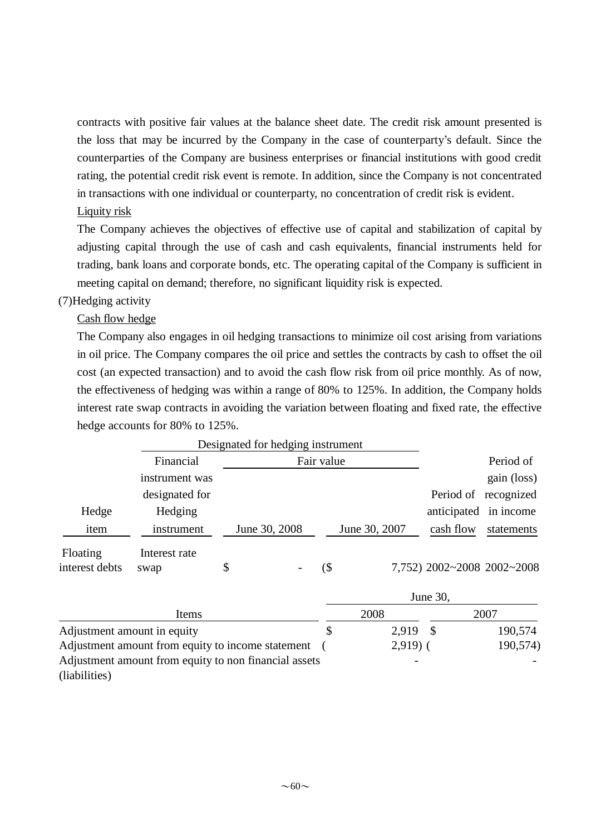contracts with positive fair values at the balance sheet date. The credit risk amount presented is the loss that may be incurred by the Company in the case of counterparty's default. Since the counterparties of the Company are business enterprises or financial institutions with good credit rating, the potential credit risk event is remote. In addition, since the Company is not concentrated in transactions with one individual or counterparty, no concentration of credit risk is evident.

# Liquity risk

The Company achieves the objectives of effective use of capital and stabilization of capital by adjusting capital through the use of cash and cash equivalents, financial instruments held for trading, bank loans and corporate bonds, etc. The operating capital of the Company is sufficient in meeting capital on demand; therefore, no significant liquidity risk is expected.

# (7)Hedging activity

Cash flow hedge

The Company also engages in oil hedging transactions to minimize oil cost arising from variations in oil price. The Company compares the oil price and settles the contracts by cash to offset the oil cost (an expected transaction) and to avoid the cash flow risk from oil price monthly. As of now, the effectiveness of hedging was within a range of 80% to 125%. In addition, the Company holds interest rate swap contracts in avoiding the variation between floating and fixed rate, the effective hedge accounts for 80% to 125%.

|                            | Designated for hedging instrument |               |            |     |               |                            |             |
|----------------------------|-----------------------------------|---------------|------------|-----|---------------|----------------------------|-------------|
|                            | Financial                         |               | Fair value |     |               | Period of                  |             |
|                            | instrument was                    |               |            |     |               |                            | gain (loss) |
|                            | designated for                    |               |            |     |               | Period of                  | recognized  |
| Hedge                      | Hedging                           |               |            |     |               | anticipated                | in income   |
| item                       | instrument                        | June 30, 2008 |            |     | June 30, 2007 | cash flow                  | statements  |
| Floating<br>interest debts | Interest rate<br>swap             | \$            | -          | (\$ |               | 7,752) 2002~2008 2002~2008 |             |

|                                                       | June 30, |           |  |          |  |  |  |  |
|-------------------------------------------------------|----------|-----------|--|----------|--|--|--|--|
| Items                                                 |          | 2008      |  | 2007     |  |  |  |  |
| Adjustment amount in equity                           |          | 2.919 \$  |  | 190,574  |  |  |  |  |
| Adjustment amount from equity to income statement     |          | $2,919$ ( |  | 190,574) |  |  |  |  |
| Adjustment amount from equity to non financial assets |          |           |  |          |  |  |  |  |
| (liabilities)                                         |          |           |  |          |  |  |  |  |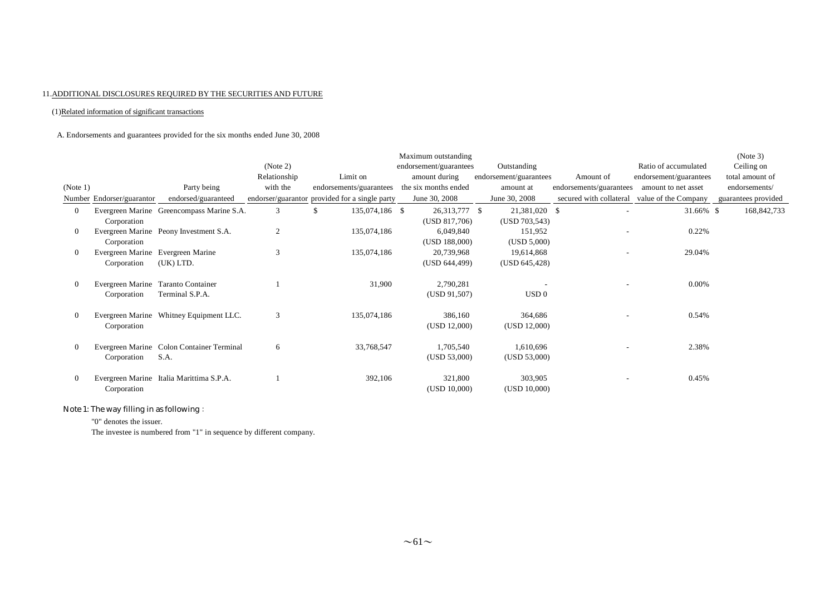#### 11.ADDITIONAL DISCLOSURES REQUIRED BY THE SECURITIES AND FUTURE

#### (1)Related information of significant transactions

#### A. Endorsements and guarantees provided for the six months ended June 30, 2008

|                |                                    |                                           |                |                                                | Maximum outstanding    |                        |                         |                        | (Note 3)            |
|----------------|------------------------------------|-------------------------------------------|----------------|------------------------------------------------|------------------------|------------------------|-------------------------|------------------------|---------------------|
|                |                                    |                                           | (Note 2)       |                                                | endorsement/guarantees | Outstanding            |                         | Ratio of accumulated   | Ceiling on          |
|                |                                    |                                           | Relationship   | Limit on                                       | amount during          | endorsement/guarantees | Amount of               | endorsement/guarantees | total amount of     |
| (Note 1)       |                                    | Party being                               | with the       | endorsements/guarantees                        | the six months ended   | amount at              | endorsements/guarantees | amount to net asset    | endorsements/       |
|                | Number Endorser/guarantor          | endorsed/guaranteed                       |                | endorser/guarantor provided for a single party | June 30, 2008          | June 30, 2008          | secured with collateral | value of the Company   | guarantees provided |
| $\overline{0}$ |                                    | Evergreen Marine Greencompass Marine S.A. | 3              | 135,074,186 \$<br>S.                           | 26,313,777 \$          | 21,381,020 \$          |                         | 31.66% \$              | 168, 842, 733       |
|                | Corporation                        |                                           |                |                                                | (USD 817,706)          | (USD 703, 543)         |                         |                        |                     |
| $\overline{0}$ |                                    | Evergreen Marine Peony Investment S.A.    | $\overline{2}$ | 135,074,186                                    | 6,049,840              | 151,952                |                         | 0.22%                  |                     |
|                | Corporation                        |                                           |                |                                                | (USD 188,000)          | (USD 5,000)            |                         |                        |                     |
| $\mathbf{0}$   | Evergreen Marine Evergreen Marine  |                                           | 3              | 135,074,186                                    | 20,739,968             | 19,614,868             |                         | 29.04%                 |                     |
|                | Corporation                        | (UK) LTD.                                 |                |                                                | (USD 644,499)          | (USD 645, 428)         |                         |                        |                     |
| $\overline{0}$ | Evergreen Marine Taranto Container |                                           |                | 31,900                                         | 2,790,281              |                        |                         | $0.00\%$               |                     |
|                | Corporation                        | Terminal S.P.A.                           |                |                                                | (USD 91,507)           | USD <sub>0</sub>       |                         |                        |                     |
| $\overline{0}$ |                                    | Evergreen Marine Whitney Equipment LLC.   | 3              | 135,074,186                                    | 386,160                | 364,686                |                         | 0.54%                  |                     |
|                | Corporation                        |                                           |                |                                                | (USD 12,000)           | (USD 12,000)           |                         |                        |                     |
| $\mathbf{0}$   |                                    | Evergreen Marine Colon Container Terminal | 6              | 33,768,547                                     | 1,705,540              | 1,610,696              |                         | 2.38%                  |                     |
|                | Corporation                        | S.A.                                      |                |                                                | (USD 53,000)           | (USD 53,000)           |                         |                        |                     |
|                |                                    |                                           |                |                                                |                        |                        |                         |                        |                     |
| $\bf{0}$       |                                    | Evergreen Marine Italia Marittima S.P.A.  |                | 392,106                                        | 321,800                | 303,905                |                         | 0.45%                  |                     |
|                | Corporation                        |                                           |                |                                                | (USD 10,000)           | (USD 10,000)           |                         |                        |                     |
|                |                                    |                                           |                |                                                |                        |                        |                         |                        |                     |

### Note 1: The way filling in as following:

"0" denotes the issuer.

The investee is numbered from "1" in sequence by different company.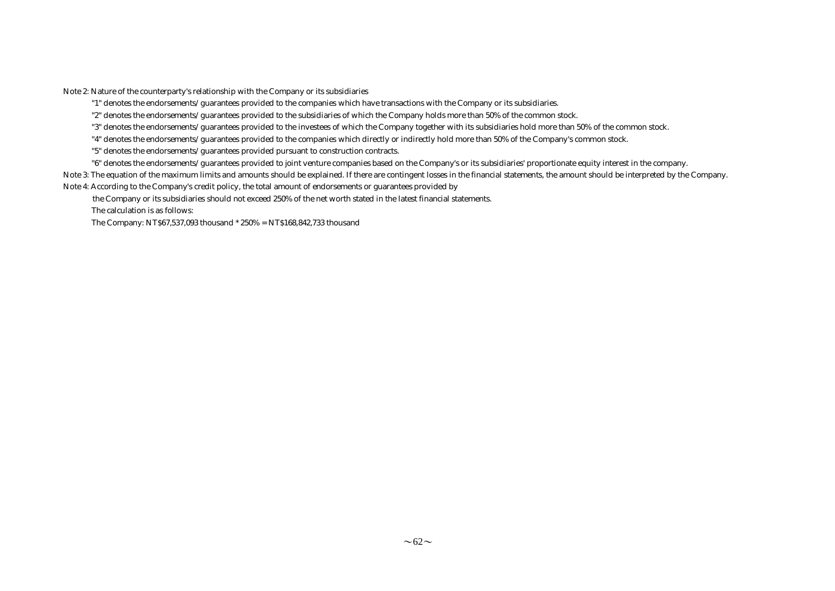Note 2: Nature of the counterparty's relationship with the Company or its subsidiaries

"1" denotes the endorsements/guarantees provided to the companies which have transactions with the Company or its subsidiaries.

"2" denotes the endorsements/guarantees provided to the subsidiaries of which the Company holds more than 50% of the common stock.

"3" denotes the endorsements/guarantees provided to the investees of which the Company together with its subsidiaries hold more than 50% of the common stock.

"4" denotes the endorsements/guarantees provided to the companies which directly or indirectly hold more than 50% of the Company's common stock.

"5" denotes the endorsements/guarantees provided pursuant to construction contracts.

"6" denotes the endorsements/guarantees provided to joint venture companies based on the Company's or its subsidiaries' proportionate equity interest in the company.

Note 3: The equation of the maximum limits and amounts should be explained. If there are contingent losses in the financial statements, the amount should be interpreted by the Company.

Note 4: According to the Company's credit policy, the total amount of endorsements or guarantees provided by

the Company or its subsidiaries should not exceed 250% of the net worth stated in the latest financial statements.

The calculation is as follows:

The Company: NT\$67,537,093 thousand \* 250% = NT\$168,842,733 thousand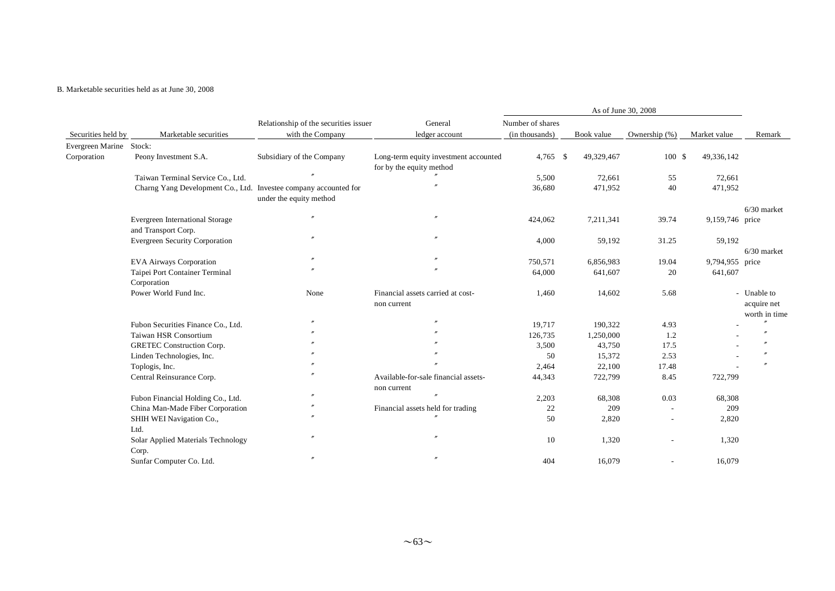#### B. Marketable securities held as at June 30, 2008

|                    |                                                                  | Relationship of the securities issuer | General                                                           | Number of shares |            |                          |                 |                                             |
|--------------------|------------------------------------------------------------------|---------------------------------------|-------------------------------------------------------------------|------------------|------------|--------------------------|-----------------|---------------------------------------------|
| Securities held by | Marketable securities                                            | with the Company                      | ledger account                                                    | (in thousands)   | Book value | Ownership (%)            | Market value    | Remark                                      |
| Evergreen Marine   | Stock:                                                           |                                       |                                                                   |                  |            |                          |                 |                                             |
| Corporation        | Peony Investment S.A.                                            | Subsidiary of the Company             | Long-term equity investment accounted<br>for by the equity method | $4,765$ \$       | 49,329,467 | 100S                     | 49,336,142      |                                             |
|                    | Taiwan Terminal Service Co., Ltd.                                |                                       |                                                                   | 5,500            | 72,661     | 55                       | 72,661          |                                             |
|                    | Charng Yang Development Co., Ltd. Investee company accounted for | under the equity method               |                                                                   | 36,680           | 471,952    | 40                       | 471,952         |                                             |
|                    |                                                                  |                                       |                                                                   |                  |            |                          |                 | $6/30$ market                               |
|                    | Evergreen International Storage<br>and Transport Corp.           | $^{\prime\prime}$                     | $^{\prime\prime}$                                                 | 424,062          | 7,211,341  | 39.74                    | 9,159,746 price |                                             |
|                    | <b>Evergreen Security Corporation</b>                            |                                       |                                                                   | 4,000            | 59,192     | 31.25                    | 59,192          |                                             |
|                    |                                                                  |                                       |                                                                   |                  |            |                          |                 | $6/30$ market                               |
|                    | <b>EVA Airways Corporation</b>                                   |                                       |                                                                   | 750,571          | 6,856,983  | 19.04                    | 9,794,955 price |                                             |
|                    | Taipei Port Container Terminal<br>Corporation                    |                                       |                                                                   | 64,000           | 641,607    | 20                       | 641,607         |                                             |
|                    | Power World Fund Inc.                                            | None                                  | Financial assets carried at cost-<br>non current                  | 1,460            | 14,602     | 5.68                     |                 | - Unable to<br>acquire net<br>worth in time |
|                    | Fubon Securities Finance Co., Ltd.                               |                                       |                                                                   | 19,717           | 190,322    | 4.93                     |                 |                                             |
|                    | Taiwan HSR Consortium                                            |                                       |                                                                   | 126,735          | 1,250,000  | 1.2                      |                 |                                             |
|                    | <b>GRETEC</b> Construction Corp.                                 |                                       |                                                                   | 3,500            | 43,750     | 17.5                     |                 |                                             |
|                    | Linden Technologies, Inc.                                        |                                       |                                                                   | 50               | 15,372     | 2.53                     |                 |                                             |
|                    | Toplogis, Inc.                                                   |                                       |                                                                   | 2,464            | 22,100     | 17.48                    |                 |                                             |
|                    | Central Reinsurance Corp.                                        |                                       | Available-for-sale financial assets-<br>non current               | 44,343           | 722,799    | 8.45                     | 722,799         |                                             |
|                    | Fubon Financial Holding Co., Ltd.                                |                                       |                                                                   | 2,203            | 68,308     | 0.03                     | 68,308          |                                             |
|                    | China Man-Made Fiber Corporation                                 |                                       | Financial assets held for trading                                 | 22               | 209        | $\overline{\phantom{a}}$ | 209             |                                             |
|                    | SHIH WEI Navigation Co.,<br>Ltd.                                 |                                       |                                                                   | 50               | 2,820      | $\overline{\phantom{a}}$ | 2,820           |                                             |
|                    | Solar Applied Materials Technology                               | $\prime$                              |                                                                   | 10               | 1,320      |                          | 1,320           |                                             |
|                    | Corp.<br>Sunfar Computer Co. Ltd.                                | $^{\prime\prime}$                     |                                                                   | 404              | 16,079     | $\overline{\phantom{a}}$ | 16,079          |                                             |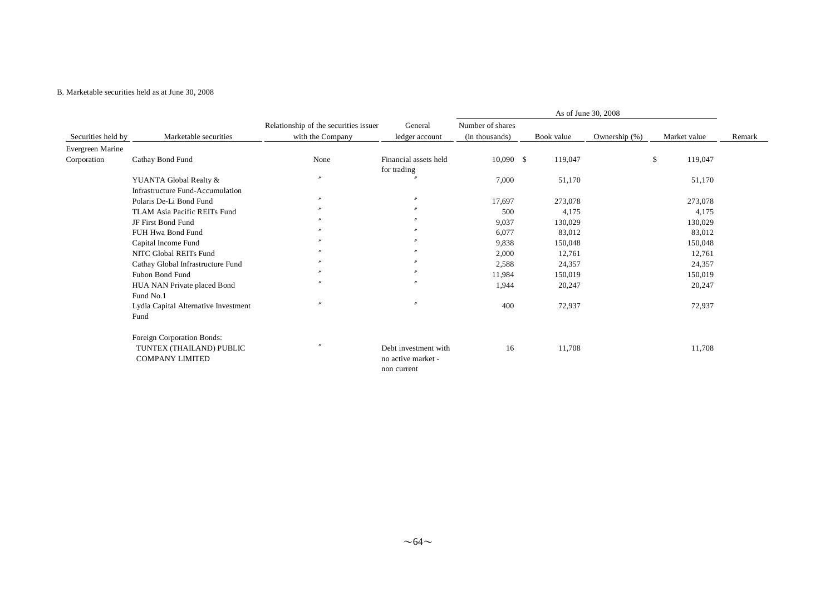#### B. Marketable securities held as at June 30, 2008

|                    |                                      | Relationship of the securities issuer | General               | Number of shares |            |               |               |        |
|--------------------|--------------------------------------|---------------------------------------|-----------------------|------------------|------------|---------------|---------------|--------|
| Securities held by | Marketable securities                | with the Company                      | ledger account        | (in thousands)   | Book value | Ownership (%) | Market value  | Remark |
| Evergreen Marine   |                                      |                                       |                       |                  |            |               |               |        |
| Corporation        | Cathay Bond Fund                     | None                                  | Financial assets held | $10,090$ \$      | 119,047    |               | \$<br>119,047 |        |
|                    |                                      |                                       | for trading           |                  |            |               |               |        |
|                    | YUANTA Global Realty &               | $\prime$                              |                       | 7,000            | 51,170     |               | 51,170        |        |
|                    | Infrastructure Fund-Accumulation     |                                       |                       |                  |            |               |               |        |
|                    | Polaris De-Li Bond Fund              |                                       | $\mathbf{v}$          | 17,697           | 273,078    |               | 273,078       |        |
|                    | TLAM Asia Pacific REITs Fund         |                                       | $\mathbf{r}$          | 500              | 4,175      |               | 4,175         |        |
|                    | JF First Bond Fund                   |                                       | $\boldsymbol{''}$     | 9,037            | 130,029    |               | 130,029       |        |
|                    | FUH Hwa Bond Fund                    |                                       | $\boldsymbol{''}$     | 6,077            | 83,012     |               | 83,012        |        |
|                    | Capital Income Fund                  |                                       |                       | 9,838            | 150,048    |               | 150,048       |        |
|                    | NITC Global REITs Fund               |                                       |                       | 2,000            | 12,761     |               | 12,761        |        |
|                    | Cathay Global Infrastructure Fund    |                                       |                       | 2,588            | 24,357     |               | 24,357        |        |
|                    | Fubon Bond Fund                      |                                       |                       | 11,984           | 150,019    |               | 150,019       |        |
|                    | HUA NAN Private placed Bond          |                                       | $\boldsymbol{''}$     | 1,944            | 20,247     |               | 20,247        |        |
|                    | Fund No.1                            |                                       |                       |                  |            |               |               |        |
|                    | Lydia Capital Alternative Investment | $\prime$                              | $\mathbf{r}$          | 400              | 72,937     |               | 72,937        |        |
|                    | Fund                                 |                                       |                       |                  |            |               |               |        |
|                    | Foreign Corporation Bonds:           |                                       |                       |                  |            |               |               |        |
|                    | TUNTEX (THAILAND) PUBLIC             |                                       | Debt investment with  | 16               | 11,708     |               | 11,708        |        |
|                    | <b>COMPANY LIMITED</b>               |                                       | no active market -    |                  |            |               |               |        |
|                    |                                      |                                       | non current           |                  |            |               |               |        |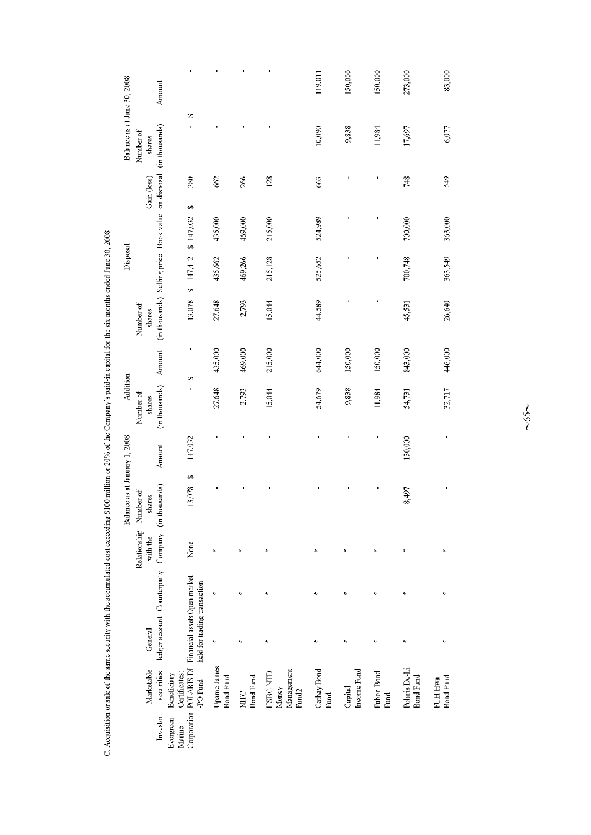| Balance as at June 30, 2008   | Number of<br>shares      | Amount                                                             | 69                                                                 |                                 |                                 |                                                      | 119,011<br>10,090   | 150,000<br>9,838       | 150,000<br>11,984  | 273,000<br>17,697                 |         |
|-------------------------------|--------------------------|--------------------------------------------------------------------|--------------------------------------------------------------------|---------------------------------|---------------------------------|------------------------------------------------------|---------------------|------------------------|--------------------|-----------------------------------|---------|
|                               | Gain (loss)              |                                                                    | 380                                                                | 662                             | 266                             | 128                                                  | 663                 |                        |                    | 748                               |         |
|                               |                          |                                                                    | S,<br>\$147,032                                                    | 435,000                         | 469,000                         | 215,000                                              | 524,989             |                        |                    | 700,000                           |         |
| Disposal                      |                          |                                                                    | 147,412<br>S                                                       | 435,662                         | 469,266                         | 215,128                                              | 525,652             |                        |                    | 700,748                           |         |
|                               | Number of<br>shares      | (in thousands) Selling price Book value on disposal (in thousands) | 13,078                                                             | 27,648                          | 2,793                           | 15,044                                               | 44,589              |                        |                    | 45,531                            |         |
|                               |                          | Amount                                                             | $\blacksquare$<br>S)                                               | 435,000                         | 469,000                         | 215,000                                              | 644,000             | 150,000                | 150,000            | 843,000                           |         |
| Addition                      | Number of<br>shares      | (in thousands)                                                     |                                                                    | 27,648                          | 2,793                           | 15,044                                               | 54,679              | 9,838                  | 11,984             | 54,731                            |         |
|                               |                          | Amount                                                             | 147,032                                                            |                                 |                                 |                                                      |                     |                        |                    | 130,000                           |         |
| Balance as at January 1, 2008 | Number of<br>shares      |                                                                    | S<br>13,078                                                        |                                 |                                 |                                                      |                     |                        |                    | 8,497                             |         |
|                               | Relationship<br>with the |                                                                    | None                                                               |                                 | $\lambda$                       |                                                      |                     | ×,                     | ź                  | $\lambda$                         |         |
|                               |                          |                                                                    |                                                                    |                                 |                                 | ź                                                    |                     | $\ddot{\phantom{0}}$   |                    | $\lambda$                         |         |
|                               | General                  | ledger account Counterparty Company (in thousands)                 | Financial assets Open market<br>held for trading transaction       | r                               |                                 | $\ddot{\phantom{0}}$                                 |                     | $\ddot{\phantom{0}}$   | ř                  | $\lambda$                         |         |
|                               | Marketable               | securities                                                         | Corporation POLARIS DI<br>Certificates:<br>Beneficiary<br>-PO Fund | Upame James<br><b>Bond Fund</b> | <b>Bond Fund</b><br><b>NITC</b> | Management<br>HSBC NTD<br>Money<br>Fund <sub>2</sub> | Cathay Bond<br>Fund | Income Fund<br>Capital | Fubon Bond<br>Fund | Polaris De-Li<br><b>Bond Fund</b> | FUH Hwa |
|                               |                          | Investor                                                           | Evergreen<br>Marine                                                |                                 |                                 |                                                      |                     |                        |                    |                                   |         |

C. Acquisition or sale of the same security with the accumulated cost exceeding \$100 million or 20% of the Company's paid-in capital for the six months ended June 30, 2008

 $~50$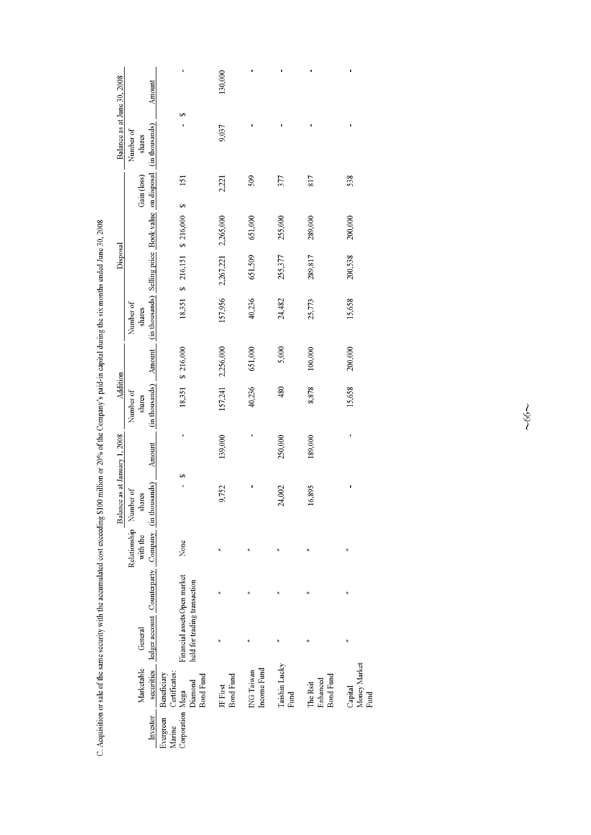|                               |                                    | Amount                                                                                   |                                                              | 130,000                      |                           |                       |                                          |                                 |
|-------------------------------|------------------------------------|------------------------------------------------------------------------------------------|--------------------------------------------------------------|------------------------------|---------------------------|-----------------------|------------------------------------------|---------------------------------|
| Balance as at June 30, 2008   | Number of<br>shares                |                                                                                          | 69                                                           | 9,037                        |                           |                       |                                          |                                 |
|                               | Gain (loss)                        |                                                                                          | 151<br>S                                                     | 2,221                        | 509                       | 377                   | 817                                      | 538                             |
|                               |                                    |                                                                                          |                                                              |                              | 651,000                   | 255,000               | 289,000                                  | 200,000                         |
| Disposal                      |                                    |                                                                                          | \$ 216,151 \$ 216,000                                        | 2,267,221 2,265,000          | 651,509                   | 255,377               | 289,817                                  | 200,538                         |
|                               | Number of<br>shares                | (in thousands) Amount (in thousands) Selling price Book value on disposal (in thousands) | 18,351                                                       | 157,956                      | 40,236                    | 24,482                | 25,773                                   | 15,658                          |
|                               |                                    |                                                                                          | 18,351 \$ 216,000                                            | 157,241 2,256,000            | 651,000                   | 5,000                 | 100,000                                  | 200,000                         |
| Addition                      | Number of<br>shares                |                                                                                          |                                                              |                              | 40,236                    | 480                   | 8,878                                    | 15,658                          |
|                               |                                    | Amount                                                                                   |                                                              | 139,000                      |                           | 250,000               | 189,000                                  |                                 |
| Balance as at January 1, 2008 | shares                             |                                                                                          | 69                                                           | 9,752                        |                           | 24,002                | 16,895                                   |                                 |
|                               | Relationship Number of<br>with the |                                                                                          | None                                                         | ř                            |                           |                       |                                          |                                 |
|                               |                                    |                                                                                          |                                                              |                              |                           |                       |                                          |                                 |
|                               | General                            | securities ledger account Counterparty Company (in thousands)                            | Financial assets Open market<br>held for trading transaction |                              |                           |                       |                                          | ż                               |
|                               | Marketable                         |                                                                                          | Certificates:<br>Beneficiary<br><b>Bond Fund</b><br>Diamond  | <b>Bond Fund</b><br>JF First | Income Fund<br>ING Taiwan | Taishin Lucky<br>Fund | <b>Bond Fund</b><br>Enhanced<br>The Rsit | Money Market<br>Capital<br>Fund |
|                               |                                    | Investor                                                                                 | Corporation Mega<br>Evergreen<br>Marine                      |                              |                           |                       |                                          |                                 |

C. Acquisition or sale of the same security with the accumulated cost exceeding \$100 million or 20% of the Company's paid-in capital during the six months ended June 30, 2008

 $~100$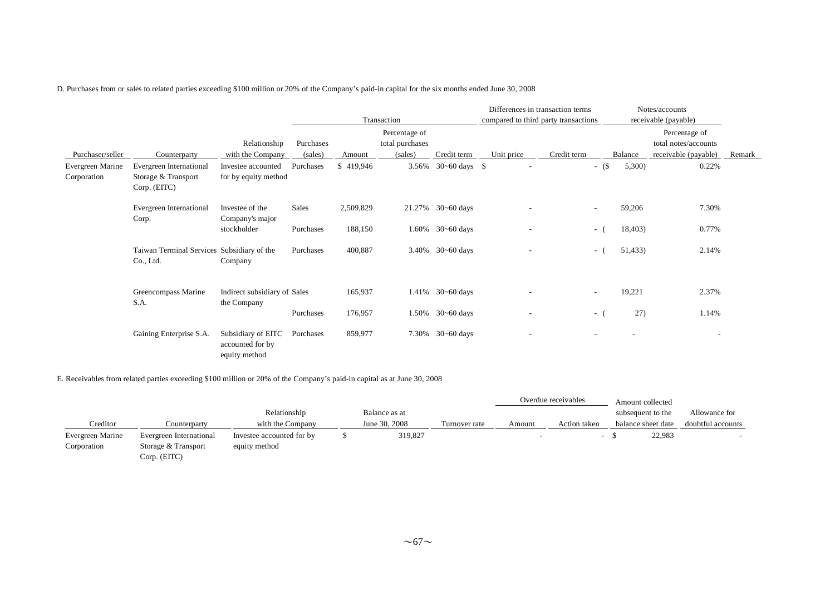D. Purchases from or sales to related parties exceeding \$100 million or 20% of the Company's paid-in capital for the six months ended June 30, 2008

|                                 |                                                                |                                                         |           |           |                                  | Differences in transaction terms |                                      | Notes/accounts           |         |                                       |        |
|---------------------------------|----------------------------------------------------------------|---------------------------------------------------------|-----------|-----------|----------------------------------|----------------------------------|--------------------------------------|--------------------------|---------|---------------------------------------|--------|
|                                 |                                                                |                                                         |           |           | Transaction                      |                                  | compared to third party transactions |                          |         | receivable (payable)                  |        |
|                                 |                                                                | Relationship                                            | Purchases |           | Percentage of<br>total purchases |                                  |                                      |                          |         | Percentage of<br>total notes/accounts |        |
| Purchaser/seller                | Counterparty                                                   | with the Company                                        | (sales)   | Amount    | (sales)                          | Credit term                      | Unit price                           | Credit term              | Balance | receivable (payable)                  | Remark |
| Evergreen Marine<br>Corporation | Evergreen International<br>Storage & Transport<br>Corp. (EITC) | Investee accounted<br>for by equity method              | Purchases | \$419,946 | 3.56%                            | $30 - 60 \text{ days}$ \$        |                                      | $-$ (\$)                 | 5,300)  | 0.22%                                 |        |
|                                 | Evergreen International<br>Corp.                               | Investee of the<br>Company's major                      | Sales     | 2,509,829 |                                  | 21.27% 30~60 days                |                                      | $\overline{\phantom{a}}$ | 59,206  | 7.30%                                 |        |
|                                 |                                                                | stockholder                                             | Purchases | 188,150   | 1.60%                            | $30 - 60$ days                   |                                      | $\sim$                   | 18,403) | 0.77%                                 |        |
|                                 | Taiwan Terminal Services Subsidiary of the<br>Co., Ltd.        | Company                                                 | Purchases | 400,887   |                                  | 3.40% $30 - 60$ days             | ٠                                    | - (                      | 51,433) | 2.14%                                 |        |
|                                 | Greencompass Marine<br>S.A.                                    | Indirect subsidiary of Sales<br>the Company             |           | 165,937   |                                  | 1.41% 30~60 days                 |                                      |                          | 19,221  | 2.37%                                 |        |
|                                 |                                                                |                                                         | Purchases | 176,957   |                                  | $1.50\%$ 30~60 days              |                                      | $-$ (                    | 27)     | 1.14%                                 |        |
|                                 | Gaining Enterprise S.A.                                        | Subsidiary of EITC<br>accounted for by<br>equity method | Purchases | 859,977   | 7.30%                            | $30 - 60$ days                   |                                      |                          |         | $\overline{\phantom{a}}$              |        |

E. Receivables from related parties exceeding \$100 million or 20% of the Company's paid-in capital as at June 30, 2008

|                                 |                                                |                                            |               |               |        | Overdue receivables | Amount collected   |                   |
|---------------------------------|------------------------------------------------|--------------------------------------------|---------------|---------------|--------|---------------------|--------------------|-------------------|
|                                 |                                                | Relationship                               | Balance as at |               |        |                     | subsequent to the  | Allowance for     |
| Creditor                        | Counterparty                                   | with the Company                           | June 30, 2008 | Turnover rate | Amount | Action taken        | balance sheet date | doubtful accounts |
| Evergreen Marine<br>Corporation | Evergreen International<br>Storage & Transport | Investee accounted for by<br>equity method | 319,827       |               |        |                     | 22,983             |                   |
|                                 | Corp. (EITC)                                   |                                            |               |               |        |                     |                    |                   |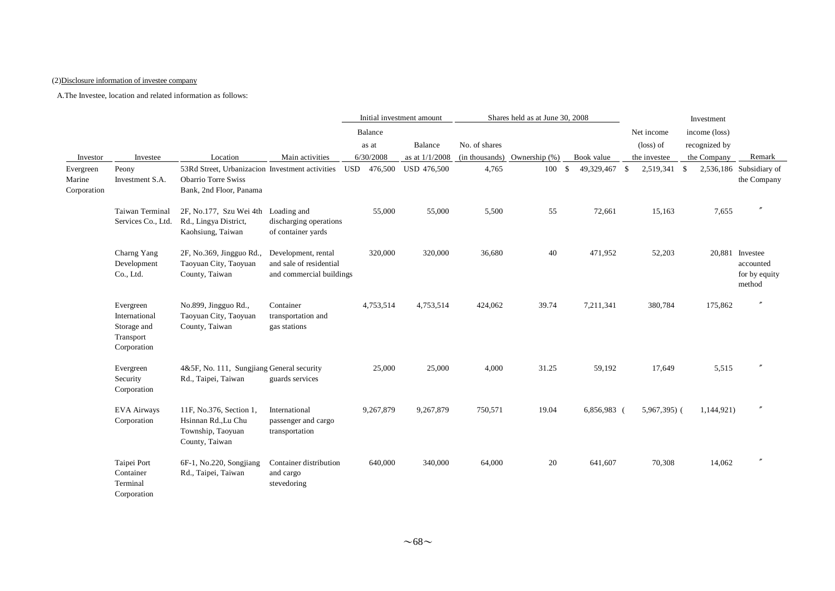### (2)Disclosure information of investee company

|                                    |                                                                       |                                                                                                          |                                                                            | Initial investment amount |           |                    | Shares held as at June 30, 2008 |                  | Investment    |  |               |               |                                                         |
|------------------------------------|-----------------------------------------------------------------------|----------------------------------------------------------------------------------------------------------|----------------------------------------------------------------------------|---------------------------|-----------|--------------------|---------------------------------|------------------|---------------|--|---------------|---------------|---------------------------------------------------------|
|                                    |                                                                       |                                                                                                          |                                                                            |                           | Balance   |                    |                                 |                  |               |  | Net income    | income (loss) |                                                         |
|                                    |                                                                       |                                                                                                          |                                                                            |                           | as at     | Balance            | No. of shares                   |                  |               |  | (loss) of     | recognized by |                                                         |
| Investor                           | Investee                                                              | Location                                                                                                 | Main activities                                                            |                           | 6/30/2008 | as at 1/1/2008     | (in thousands)                  | Ownership $(\%)$ | Book value    |  | the investee  | the Company   | Remark                                                  |
| Evergreen<br>Marine<br>Corporation | Peony<br>Investment S.A.                                              | 53Rd Street, Urbanizacion Investment activities<br><b>Obarrio Torre Swiss</b><br>Bank, 2nd Floor, Panama |                                                                            | USD                       | 476,500   | <b>USD 476,500</b> | 4,765                           | 100S             | 49,329,467 \$ |  | 2,519,341 \$  |               | 2,536,186 Subsidiary of<br>the Company                  |
|                                    | Taiwan Terminal<br>Services Co., Ltd.                                 | 2F, No.177, Szu Wei 4th Loading and<br>Rd., Lingya District,<br>Kaohsiung, Taiwan                        | discharging operations<br>of container yards                               |                           | 55,000    | 55,000             | 5,500                           | 55               | 72,661        |  | 15,163        | 7,655         |                                                         |
|                                    | Charng Yang<br>Development<br>Co., Ltd.                               | 2F, No.369, Jingguo Rd.,<br>Taoyuan City, Taoyuan<br>County, Taiwan                                      | Development, rental<br>and sale of residential<br>and commercial buildings |                           | 320,000   | 320,000            | 36,680                          | 40               | 471,952       |  | 52,203        |               | 20,881 Investee<br>accounted<br>for by equity<br>method |
|                                    | Evergreen<br>International<br>Storage and<br>Transport<br>Corporation | No.899, Jingguo Rd.,<br>Taoyuan City, Taoyuan<br>County, Taiwan                                          | Container<br>transportation and<br>gas stations                            |                           | 4,753,514 | 4,753,514          | 424,062                         | 39.74            | 7,211,341     |  | 380,784       | 175,862       |                                                         |
|                                    | Evergreen<br>Security<br>Corporation                                  | 4&5F, No. 111, Sungjiang General security<br>Rd., Taipei, Taiwan                                         | guards services                                                            |                           | 25,000    | 25,000             | 4,000                           | 31.25            | 59,192        |  | 17,649        | 5,515         |                                                         |
|                                    | <b>EVA Airways</b><br>Corporation                                     | 11F, No.376, Section 1,<br>Hsinnan Rd., Lu Chu<br>Township, Taoyuan<br>County, Taiwan                    | International<br>passenger and cargo<br>transportation                     |                           | 9,267,879 | 9,267,879          | 750,571                         | 19.04            | 6,856,983 (   |  | $5,967,395$ ( | 1,144,921)    |                                                         |
|                                    | Taipei Port<br>Container<br>Terminal<br>Corporation                   | 6F-1, No.220, Songjiang<br>Rd., Taipei, Taiwan                                                           | Container distribution<br>and cargo<br>stevedoring                         |                           | 640,000   | 340,000            | 64,000                          | 20               | 641,607       |  | 70,308        | 14,062        |                                                         |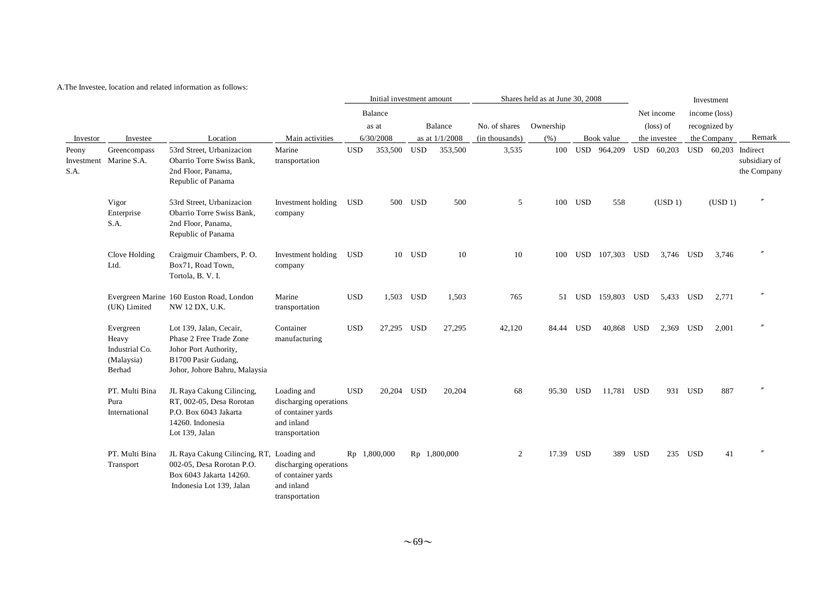|                             |                                                              |                                                                                                                                     |                                                                                             |            | Initial investment amount |                |              | Shares held as at June 30, 2008 |           | Investment |                    |                         |              |                                               |                     |                              |
|-----------------------------|--------------------------------------------------------------|-------------------------------------------------------------------------------------------------------------------------------------|---------------------------------------------------------------------------------------------|------------|---------------------------|----------------|--------------|---------------------------------|-----------|------------|--------------------|-------------------------|--------------|-----------------------------------------------|---------------------|------------------------------|
|                             |                                                              |                                                                                                                                     |                                                                                             |            | <b>Balance</b>            | Balance        |              | No. of shares                   |           |            |                    | Net income<br>(loss) of |              | income (loss)<br>recognized by<br>the Company |                     | Remark                       |
|                             |                                                              |                                                                                                                                     |                                                                                             |            | as at                     |                |              |                                 | Ownership |            |                    |                         |              |                                               |                     |                              |
| Investor                    | Investee                                                     | Location                                                                                                                            | Main activities                                                                             | 6/30/2008  |                           | as at 1/1/2008 |              | (in thousands)                  | (% )      |            | Book value         |                         | the investee |                                               |                     |                              |
| Peony<br>Investment<br>S.A. | Greencompass<br>Marine S.A.                                  | 53rd Street, Urbanizacion<br>Obarrio Torre Swiss Bank,<br>2nd Floor, Panama,<br>Republic of Panama                                  | Marine<br>transportation                                                                    | <b>USD</b> | 353,500                   | USD            | 353,500      | 3,535                           | 100       |            | USD 964,209        |                         | USD 60,203   |                                               | USD 60,203 Indirect | subsidiary of<br>the Company |
|                             | Vigor<br>Enterprise<br>S.A.                                  | 53rd Street, Urbanizacion<br>Obarrio Torre Swiss Bank,<br>2nd Floor, Panama,<br>Republic of Panama                                  | Investment holding<br>company                                                               | USD        |                           | 500 USD        | 500          | 5                               | 100       | <b>USD</b> | 558                |                         | (USD 1)      |                                               | (USD 1)             |                              |
|                             | Clove Holding<br>Ltd.                                        | Craigmuir Chambers, P.O.<br>Box71, Road Town,<br>Tortola, B. V. I.                                                                  | Investment holding<br>company                                                               | <b>USD</b> |                           | 10 USD         | 10           | 10                              | 100       |            | USD 107,303 USD    |                         | 3,746 USD    |                                               | 3,746               |                              |
|                             | (UK) Limited                                                 | Evergreen Marine 160 Euston Road, London<br>NW 12 DX, U.K.                                                                          | Marine<br>transportation                                                                    | <b>USD</b> | 1,503 USD                 |                | 1,503        | 765                             |           |            | 51 USD 159,803 USD |                         | 5,433 USD    |                                               | 2,771               |                              |
|                             | Evergreen<br>Heavy<br>Industrial Co.<br>(Malaysia)<br>Berhad | Lot 139, Jalan, Cecair,<br>Phase 2 Free Trade Zone<br>Johor Port Authority,<br>B1700 Pasir Gudang,<br>Johor, Johore Bahru, Malaysia | Container<br>manufacturing                                                                  | <b>USD</b> | 27,295 USD                |                | 27,295       | 42,120                          | 84.44 USD |            | 40,868 USD         |                         | 2,369 USD    |                                               | 2,001               |                              |
|                             | PT. Multi Bina<br>Pura<br>International                      | JL Raya Cakung Cilincing,<br>RT, 002-05, Desa Rorotan<br>P.O. Box 6043 Jakarta<br>14260. Indonesia<br>Lot 139, Jalan                | Loading and<br>discharging operations<br>of container yards<br>and inland<br>transportation | <b>USD</b> | 20.204 USD                |                | 20,204       | 68                              | 95.30 USD |            | 11,781 USD         |                         |              | 931 USD                                       | 887                 |                              |
|                             | PT. Multi Bina<br>Transport                                  | JL Raya Cakung Cilincing, RT, Loading and<br>002-05, Desa Rorotan P.O.<br>Box 6043 Jakarta 14260.<br>Indonesia Lot 139, Jalan       | discharging operations<br>of container yards<br>and inland<br>transportation                |            | Rp 1,800,000              |                | Rp 1,800,000 | 2                               | 17.39 USD |            |                    | 389 USD                 |              | 235 USD                                       | 41                  |                              |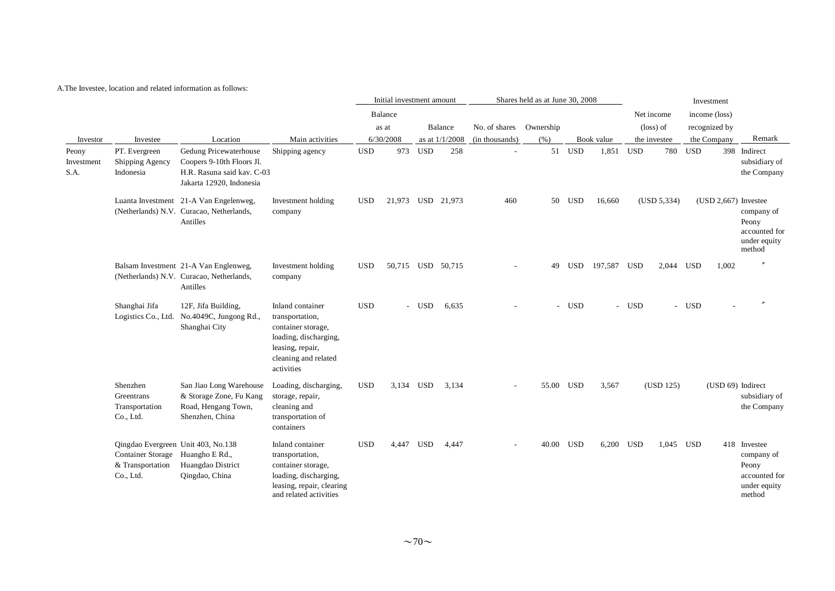|                             |                                                                                                         |                                                                                                               |                                                                                                                                              | Initial investment amount |                   |            | Shares held as at June 30, 2008 |                |           |            |            |            |              |               |                        |                                                                                |
|-----------------------------|---------------------------------------------------------------------------------------------------------|---------------------------------------------------------------------------------------------------------------|----------------------------------------------------------------------------------------------------------------------------------------------|---------------------------|-------------------|------------|---------------------------------|----------------|-----------|------------|------------|------------|--------------|---------------|------------------------|--------------------------------------------------------------------------------|
|                             |                                                                                                         |                                                                                                               |                                                                                                                                              |                           | Balance           |            |                                 |                |           |            |            | Net income |              | income (loss) |                        |                                                                                |
|                             |                                                                                                         |                                                                                                               |                                                                                                                                              |                           | as at             |            | Balance                         | No. of shares  | Ownership |            |            |            | (loss) of    |               | recognized by          |                                                                                |
| Investor                    | Investee                                                                                                | Location                                                                                                      | Main activities                                                                                                                              |                           | 6/30/2008         |            | as at 1/1/2008                  | (in thousands) | (% )      |            | Book value |            | the investee |               | the Company            | Remark                                                                         |
| Peony<br>Investment<br>S.A. | PT. Evergreen<br>Shipping Agency<br>Indonesia                                                           | Gedung Pricewaterhouse<br>Coopers 9-10th Floors Jl.<br>H.R. Rasuna said kav. C-03<br>Jakarta 12920, Indonesia | Shipping agency                                                                                                                              | <b>USD</b>                | 973               | <b>USD</b> | 258                             |                |           | 51 USD     | 1,851      | <b>USD</b> | 780          | <b>USD</b>    |                        | 398 Indirect<br>subsidiary of<br>the Company                                   |
|                             |                                                                                                         | Luanta Investment 21-A Van Engelenweg,<br>(Netherlands) N.V. Curacao, Netherlands,<br>Antilles                | Investment holding<br>company                                                                                                                | <b>USD</b>                | 21,973 USD 21,973 |            |                                 | 460            | 50        | USD        | 16,660     |            | (USD 5,334)  |               | $(USD 2,667)$ Investee | company of<br>Peony<br>accounted for<br>under equity<br>method                 |
|                             |                                                                                                         | Balsam Investment 21-A Van Englenweg,<br>(Netherlands) N.V. Curacao, Netherlands,<br>Antilles                 | Investment holding<br>company                                                                                                                | <b>USD</b>                | 50,715 USD 50,715 |            |                                 |                | 49        | <b>USD</b> | 197,587    | <b>USD</b> | 2,044 USD    |               | 1,002                  |                                                                                |
|                             | Shanghai Jifa                                                                                           | 12F, Jifa Building,<br>Logistics Co., Ltd. No.4049C, Jungong Rd.,<br>Shanghai City                            | Inland container<br>transportation,<br>container storage,<br>loading, discharging,<br>leasing, repair,<br>cleaning and related<br>activities | <b>USD</b>                |                   | <b>USD</b> | 6.635                           |                |           | - USD      |            | - USD      |              | - USD         |                        | $^{\prime\prime}$                                                              |
|                             | Shenzhen<br>Greentrans<br>Transportation<br>Co., Ltd.                                                   | San Jiao Long Warehouse<br>& Storage Zone, Fu Kang<br>Road, Hengang Town,<br>Shenzhen, China                  | Loading, discharging,<br>storage, repair,<br>cleaning and<br>transportation of<br>containers                                                 | <b>USD</b>                | 3,134             | <b>USD</b> | 3,134                           |                | 55.00     | USD        | 3,567      |            | (USD 125)    |               | (USD 69) Indirect      | subsidiary of<br>the Company                                                   |
|                             | Qingdao Evergreen Unit 403, No.138<br>Container Storage Huangho E Rd.,<br>& Transportation<br>Co., Ltd. | Huangdao District<br>Qingdao, China                                                                           | Inland container<br>transportation,<br>container storage,<br>loading, discharging,<br>leasing, repair, clearing<br>and related activities    | <b>USD</b>                | 4,447             | USD        | 4,447                           |                | 40.00 USD |            | 6,200      | USD        | 1,045 USD    |               |                        | 418 Investee<br>company of<br>Peony<br>accounted for<br>under equity<br>method |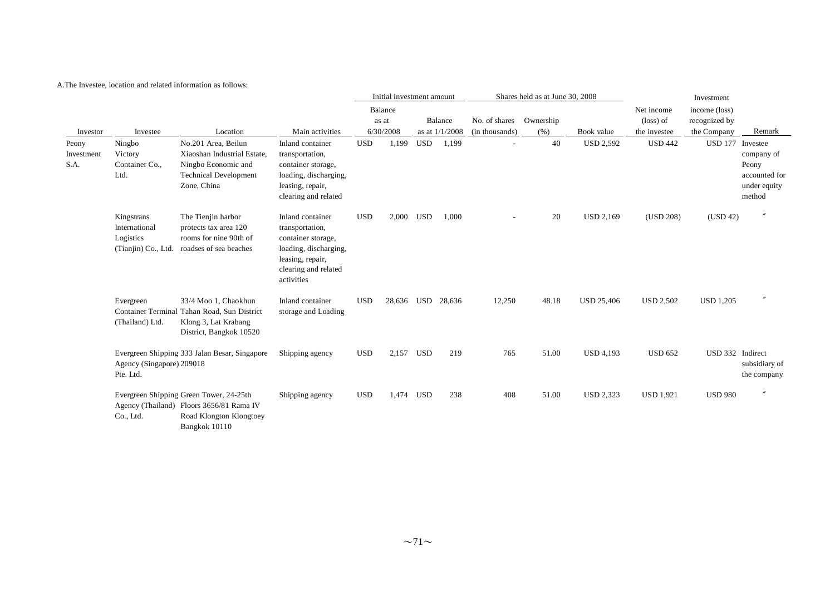|                             |                                                                 |                                                                                                                                 |                                                                                                                                              |            | Initial investment amount     |            |                             |                                 | Shares held as at June 30, 2008 |                   | Investment                              |                                               |                                                                |  |  |
|-----------------------------|-----------------------------------------------------------------|---------------------------------------------------------------------------------------------------------------------------------|----------------------------------------------------------------------------------------------------------------------------------------------|------------|-------------------------------|------------|-----------------------------|---------------------------------|---------------------------------|-------------------|-----------------------------------------|-----------------------------------------------|----------------------------------------------------------------|--|--|
| Investor                    | Investee                                                        | Location                                                                                                                        | Main activities                                                                                                                              |            | Balance<br>as at<br>6/30/2008 |            | Balance<br>as at $1/1/2008$ | No. of shares<br>(in thousands) | Ownership<br>(% )               | Book value        | Net income<br>(loss) of<br>the investee | income (loss)<br>recognized by<br>the Company | Remark                                                         |  |  |
| Peony<br>Investment<br>S.A. | Ningbo<br>Victory<br>Container Co.,<br>Ltd.                     | No.201 Area, Beilun<br>Xiaoshan Industrial Estate,<br>Ningbo Economic and<br><b>Technical Development</b><br>Zone, China        | Inland container<br>transportation,<br>container storage,<br>loading, discharging,<br>leasing, repair,<br>clearing and related               | <b>USD</b> | 1,199                         | <b>USD</b> | 1,199                       |                                 | 40                              | <b>USD 2,592</b>  | <b>USD 442</b>                          | USD 177 Investee                              | company of<br>Peony<br>accounted for<br>under equity<br>method |  |  |
|                             | Kingstrans<br>International<br>Logistics<br>(Tianjin) Co., Ltd. | The Tienjin harbor<br>protects tax area 120<br>rooms for nine 90th of<br>roadses of sea beaches                                 | Inland container<br>transportation,<br>container storage,<br>loading, discharging,<br>leasing, repair,<br>clearing and related<br>activities | <b>USD</b> | 2,000 USD                     |            | 1,000                       |                                 | 20                              | <b>USD 2,169</b>  | (USD 208)                               | (USD 42)                                      | $^{\prime\prime}$                                              |  |  |
|                             | Evergreen<br>(Thailand) Ltd.                                    | 33/4 Moo 1. Chaokhun<br>Container Terminal Tahan Road, Sun District<br>Klong 3, Lat Krabang<br>District, Bangkok 10520          | Inland container<br>storage and Loading                                                                                                      | <b>USD</b> | 28,636 USD                    |            | 28,636                      | 12,250                          | 48.18                           | <b>USD 25,406</b> | <b>USD 2,502</b>                        | <b>USD 1,205</b>                              | $^{\prime\prime}$                                              |  |  |
|                             | Agency (Singapore) 209018<br>Pte. Ltd.                          | Evergreen Shipping 333 Jalan Besar, Singapore                                                                                   | Shipping agency                                                                                                                              | <b>USD</b> | 2,157 USD                     |            | 219                         | 765                             | 51.00                           | <b>USD 4,193</b>  | <b>USD 652</b>                          | USD 332 Indirect                              | subsidiary of<br>the company                                   |  |  |
|                             | Co., Ltd.                                                       | Evergreen Shipping Green Tower, 24-25th<br>Agency (Thailand) Floors 3656/81 Rama IV<br>Road Klongton Klongtoey<br>Bangkok 10110 | Shipping agency                                                                                                                              | <b>USD</b> | 1,474 USD                     |            | 238                         | 408                             | 51.00                           | <b>USD 2,323</b>  | <b>USD 1,921</b>                        | <b>USD 980</b>                                | $\prime$                                                       |  |  |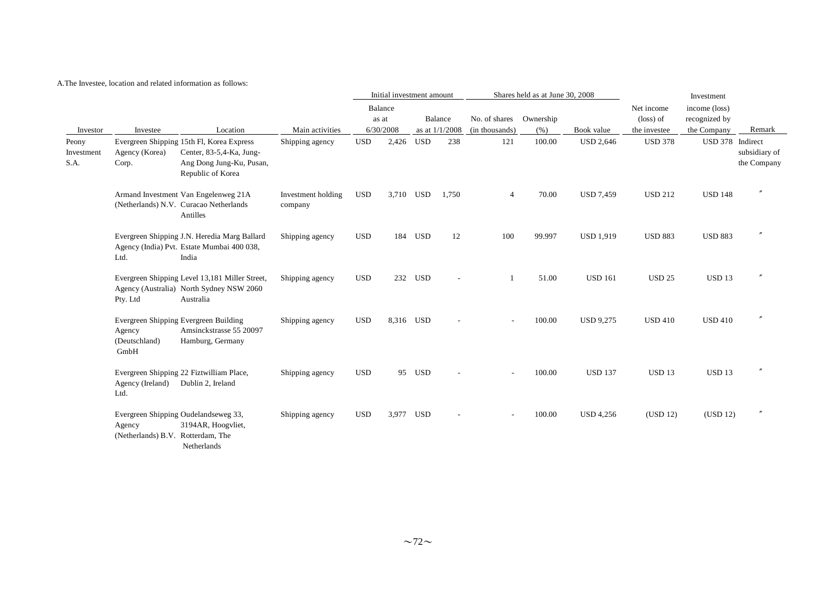A.The Investee, location and related information as follows:

|                             |                                             |                                                                                                                        |                               |            | Initial investment amount |            |                |                         | Shares held as at June 30, 2008 |                  |                | Investment       |                              |
|-----------------------------|---------------------------------------------|------------------------------------------------------------------------------------------------------------------------|-------------------------------|------------|---------------------------|------------|----------------|-------------------------|---------------------------------|------------------|----------------|------------------|------------------------------|
|                             |                                             |                                                                                                                        |                               |            | Balance                   |            |                |                         |                                 |                  | Net income     | income (loss)    |                              |
|                             |                                             |                                                                                                                        |                               |            | as at                     |            | Balance        | No. of shares Ownership |                                 |                  | (loss) of      | recognized by    |                              |
| Investor                    | Investee                                    | Location                                                                                                               | Main activities               |            | 6/30/2008                 |            | as at 1/1/2008 | (in thousands)          | (% )                            | Book value       | the investee   | the Company      | Remark                       |
| Peony<br>Investment<br>S.A. | Agency (Korea)<br>Corp.                     | Evergreen Shipping 15th Fl, Korea Express<br>Center, 83-5,4-Ka, Jung-<br>Ang Dong Jung-Ku, Pusan,<br>Republic of Korea | Shipping agency               | <b>USD</b> | 2,426                     | <b>USD</b> | 238            | 121                     | 100.00                          | <b>USD 2,646</b> | <b>USD 378</b> | USD 378 Indirect | subsidiary of<br>the Company |
|                             |                                             | Armand Investment Van Engelenweg 21A<br>(Netherlands) N.V. Curacao Netherlands<br>Antilles                             | Investment holding<br>company | <b>USD</b> | 3,710 USD                 |            | 1,750          | 4                       | 70.00                           | <b>USD 7,459</b> | <b>USD 212</b> | <b>USD 148</b>   |                              |
|                             | Ltd.                                        | Evergreen Shipping J.N. Heredia Marg Ballard<br>Agency (India) Pvt. Estate Mumbai 400 038,<br>India                    | Shipping agency               | <b>USD</b> |                           | 184 USD    | 12             | 100                     | 99.997                          | <b>USD 1,919</b> | <b>USD 883</b> | <b>USD 883</b>   |                              |
|                             | Pty. Ltd                                    | Evergreen Shipping Level 13,181 Miller Street,<br>Agency (Australia) North Sydney NSW 2060<br>Australia                | Shipping agency               | <b>USD</b> |                           | 232 USD    |                |                         | 51.00                           | <b>USD 161</b>   | <b>USD 25</b>  | <b>USD 13</b>    | $\prime$                     |
|                             | Agency<br>(Deutschland)<br>GmbH             | Evergreen Shipping Evergreen Building<br>Amsinckstrasse 55 20097<br>Hamburg, Germany                                   | Shipping agency               | <b>USD</b> | 8,316 USD                 |            |                |                         | 100.00                          | <b>USD 9,275</b> | <b>USD 410</b> | <b>USD 410</b>   |                              |
|                             | Agency (Ireland)<br>Ltd.                    | Evergreen Shipping 22 Fiztwilliam Place,<br>Dublin 2, Ireland                                                          | Shipping agency               | <b>USD</b> |                           | 95 USD     |                |                         | 100.00                          | <b>USD 137</b>   | <b>USD 13</b>  | <b>USD 13</b>    |                              |
|                             | Agency<br>(Netherlands) B.V. Rotterdam, The | Evergreen Shipping Oudelandseweg 33,<br>3194AR, Hoogvliet,<br>Netherlands                                              | Shipping agency               | <b>USD</b> | 3,977 USD                 |            |                |                         | 100.00                          | USD 4,256        | (USD 12)       | (USD 12)         | $\prime$                     |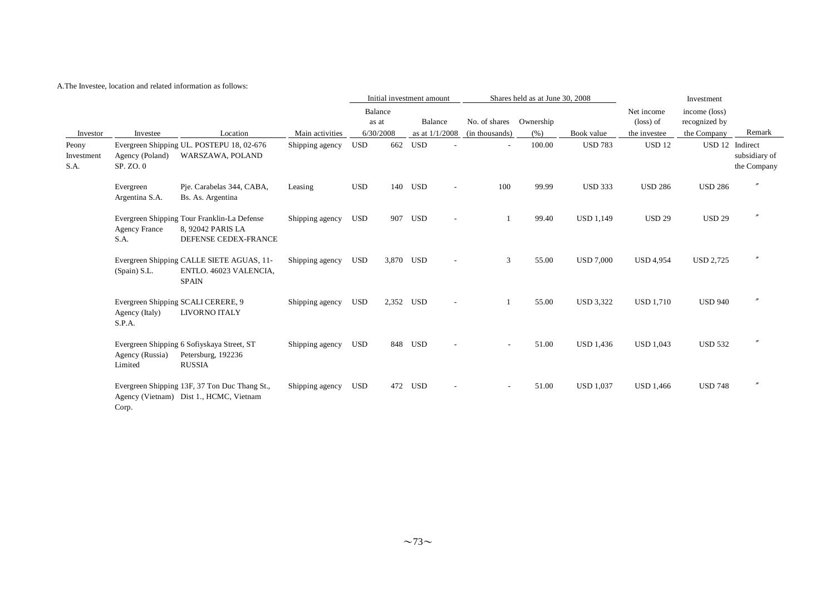#### A.The Investee, location and related information as follows:

|                             |                              |                                                                                          |                 |            |                  | Initial investment amount |                          |                | Shares held as at June 30, 2008 |                  |                         | Investment                     |                                                 |
|-----------------------------|------------------------------|------------------------------------------------------------------------------------------|-----------------|------------|------------------|---------------------------|--------------------------|----------------|---------------------------------|------------------|-------------------------|--------------------------------|-------------------------------------------------|
|                             |                              |                                                                                          |                 |            | Balance<br>as at | Balance                   |                          | No. of shares  | Ownership                       |                  | Net income<br>(loss) of | income (loss)<br>recognized by |                                                 |
| Investor                    | Investee                     | Location                                                                                 | Main activities |            | 6/30/2008        | as at 1/1/2008            |                          | (in thousands) | (% )                            | Book value       | the investee            | the Company                    | Remark                                          |
| Peony<br>Investment<br>S.A. | Agency (Poland)<br>SP. ZO. 0 | Evergreen Shipping UL. POSTEPU 18, 02-676<br>WARSZAWA, POLAND                            | Shipping agency | <b>USD</b> | 662              | <b>USD</b>                |                          | ٠              | 100.00                          | <b>USD 783</b>   | <b>USD 12</b>           |                                | USD 12 Indirect<br>subsidiary of<br>the Company |
|                             | Evergreen<br>Argentina S.A.  | Pje. Carabelas 344, CABA,<br>Bs. As. Argentina                                           | Leasing         | <b>USD</b> |                  | 140 USD                   | $\overline{\phantom{a}}$ | 100            | 99.99                           | <b>USD 333</b>   | <b>USD 286</b>          | <b>USD 286</b>                 |                                                 |
|                             | <b>Agency France</b><br>S.A. | Evergreen Shipping Tour Franklin-La Defense<br>8, 92042 PARIS LA<br>DEFENSE CEDEX-FRANCE | Shipping agency | USD        |                  | 907 USD                   |                          |                | 99.40                           | <b>USD 1,149</b> | <b>USD 29</b>           | <b>USD 29</b>                  |                                                 |
|                             | (Spain) S.L.                 | Evergreen Shipping CALLE SIETE AGUAS, 11-<br>ENTLO. 46023 VALENCIA,<br><b>SPAIN</b>      | Shipping agency | <b>USD</b> | 3,870 USD        |                           |                          | 3              | 55.00                           | <b>USD 7,000</b> | <b>USD 4,954</b>        | <b>USD 2,725</b>               |                                                 |
|                             | Agency (Italy)<br>S.P.A.     | Evergreen Shipping SCALI CERERE, 9<br>LIVORNO ITALY                                      | Shipping agency | <b>USD</b> | 2,352 USD        |                           |                          |                | 55.00                           | <b>USD 3,322</b> | <b>USD 1,710</b>        | <b>USD 940</b>                 |                                                 |
|                             | Agency (Russia)<br>Limited   | Evergreen Shipping 6 Sofiyskaya Street, ST<br>Petersburg, 192236<br><b>RUSSIA</b>        | Shipping agency | <b>USD</b> |                  | 848 USD                   |                          |                | 51.00                           | <b>USD 1,436</b> | <b>USD 1,043</b>        | <b>USD 532</b>                 |                                                 |
|                             | Corp.                        | Evergreen Shipping 13F, 37 Ton Duc Thang St.,<br>Agency (Vietnam) Dist 1., HCMC, Vietnam | Shipping agency | <b>USD</b> | 472              | USD                       |                          |                | 51.00                           | <b>USD 1,037</b> | <b>USD 1,466</b>        | <b>USD 748</b>                 |                                                 |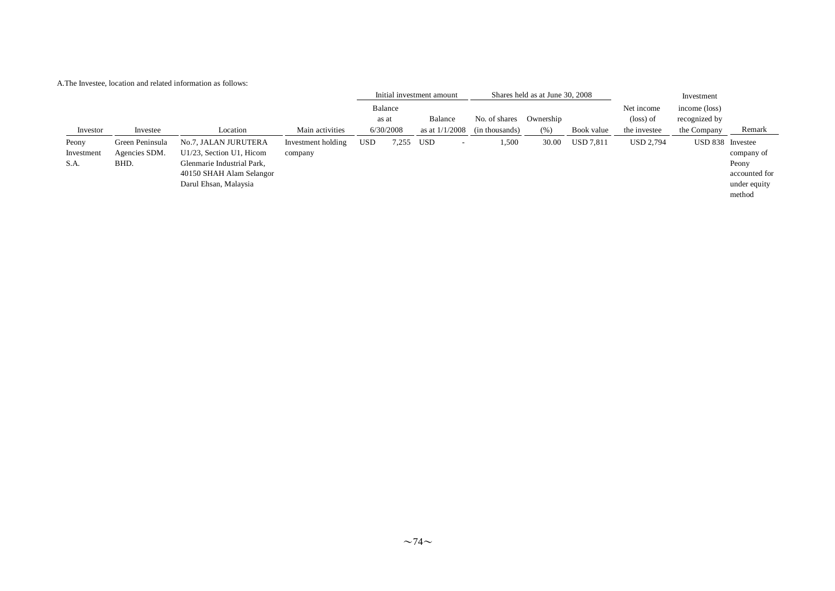| A. The Investee, location and related information as follows: |  |  |  |  |
|---------------------------------------------------------------|--|--|--|--|
|---------------------------------------------------------------|--|--|--|--|

|            |                 |                            |                    | Initial investment amount |                  |                                 |                | Shares held as at June 30, 2008 |            |                         | Investment                     |               |
|------------|-----------------|----------------------------|--------------------|---------------------------|------------------|---------------------------------|----------------|---------------------------------|------------|-------------------------|--------------------------------|---------------|
|            |                 |                            |                    |                           | Balance<br>as at | Balance                         | No. of shares  | Ownership                       |            | Net income<br>(loss) of | income (loss)<br>recognized by |               |
| Investor   | Investee        | Location                   | Main activities    |                           | 6/30/2008        | as at $1/1/2008$                | (in thousands) | (% )                            | Book value | the investee            | the Company                    | Remark        |
| Peony      | Green Peninsula | No.7, JALAN JURUTERA       | Investment holding | <b>USD</b>                | 7,255            | USD<br>$\overline{\phantom{a}}$ | 1,500          | 30.00                           | USD 7,811  | <b>USD 2,794</b>        | USD 838 Investee               |               |
| Investment | Agencies SDM.   | U1/23, Section U1, Hicom   | company            |                           |                  |                                 |                |                                 |            |                         |                                | company of    |
| S.A.       | BHD.            | Glenmarie Industrial Park, |                    |                           |                  |                                 |                |                                 |            |                         |                                | Peony         |
|            |                 | 40150 SHAH Alam Selangor   |                    |                           |                  |                                 |                |                                 |            |                         |                                | accounted for |
|            |                 | Darul Ehsan, Malaysia      |                    |                           |                  |                                 |                |                                 |            |                         |                                | under equity  |
|            |                 |                            |                    |                           |                  |                                 |                |                                 |            |                         |                                | method        |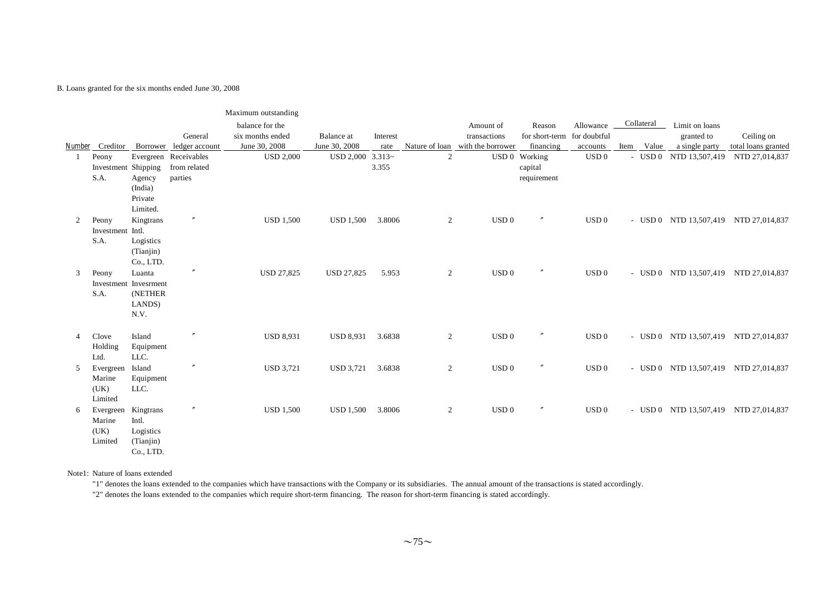#### B. Loans granted for the six months ended June 30, 2008

|                |                     |                        |                       | Maximum outstanding |                   |          |                |                                  |                             |                  |            |            |                                       |                     |
|----------------|---------------------|------------------------|-----------------------|---------------------|-------------------|----------|----------------|----------------------------------|-----------------------------|------------------|------------|------------|---------------------------------------|---------------------|
|                |                     |                        |                       | balance for the     |                   |          |                | Amount of                        | Reason                      | Allowance        | Collateral |            | Limit on loans                        |                     |
|                |                     |                        | General               | six months ended    | Balance at        | Interest |                | transactions                     | for short-term for doubtful |                  |            |            | granted to                            | Ceiling on          |
|                | Number Creditor     | Borrower               | ledger account        | June 30, 2008       | June 30, 2008     | rate     |                | Nature of loan with the borrower | financing                   | accounts         |            | Item Value | a single party                        | total loans granted |
| -1             | Peony               |                        | Evergreen Receivables | <b>USD 2,000</b>    | <b>USD 2,000</b>  | $3.313-$ | 2              |                                  | USD 0 Working               | USD 0            |            |            | - USD 0 NTD 13,507,419                | NTD 27,014,837      |
|                | Investment Shipping |                        | from related          |                     |                   | 3.355    |                |                                  | capital                     |                  |            |            |                                       |                     |
|                | S.A.                | Agency                 | parties               |                     |                   |          |                |                                  | requirement                 |                  |            |            |                                       |                     |
|                |                     | (India)<br>Private     |                       |                     |                   |          |                |                                  |                             |                  |            |            |                                       |                     |
|                |                     | Limited.               |                       |                     |                   |          |                |                                  |                             |                  |            |            |                                       |                     |
| $\overline{2}$ | Peony               | Kingtrans              | $^{\prime\prime}$     | <b>USD 1,500</b>    | <b>USD 1,500</b>  | 3.8006   | 2              | USD <sub>0</sub>                 | n                           | USD 0            |            |            | - USD 0 NTD 13,507,419 NTD 27,014,837 |                     |
|                | Investment Intl.    |                        |                       |                     |                   |          |                |                                  |                             |                  |            |            |                                       |                     |
|                | S.A.                | Logistics              |                       |                     |                   |          |                |                                  |                             |                  |            |            |                                       |                     |
|                |                     | (Tianjin)              |                       |                     |                   |          |                |                                  |                             |                  |            |            |                                       |                     |
|                |                     | Co., LTD.              |                       |                     |                   |          |                |                                  |                             |                  |            |            |                                       |                     |
| 3              | Peony               | Luanta                 | $^{\prime\prime}$     | <b>USD 27,825</b>   | <b>USD 27,825</b> | 5.953    | $\overline{2}$ | USD <sub>0</sub>                 | $\prime\prime$              | USD 0            |            |            | - USD 0 NTD 13,507,419 NTD 27,014,837 |                     |
|                |                     | Investment Invesrment  |                       |                     |                   |          |                |                                  |                             |                  |            |            |                                       |                     |
|                | S.A.                | (NETHER                |                       |                     |                   |          |                |                                  |                             |                  |            |            |                                       |                     |
|                |                     | LANDS)                 |                       |                     |                   |          |                |                                  |                             |                  |            |            |                                       |                     |
|                |                     | N.V.                   |                       |                     |                   |          |                |                                  |                             |                  |            |            |                                       |                     |
| $\overline{4}$ | Clove               | Island                 | $^{\prime\prime}$     | <b>USD 8,931</b>    | <b>USD 8,931</b>  | 3.6838   | 2              | USD <sub>0</sub>                 | $^{\prime\prime}$           | USD <sub>0</sub> |            |            | - USD 0 NTD 13,507,419 NTD 27,014,837 |                     |
|                | Holding             | Equipment              |                       |                     |                   |          |                |                                  |                             |                  |            |            |                                       |                     |
|                | Ltd.                | LLC.                   |                       |                     |                   |          |                |                                  |                             |                  |            |            |                                       |                     |
| 5              | Evergreen           | Island                 | $^{\prime\prime}$     | <b>USD 3,721</b>    | USD 3,721         | 3.6838   | 2              | USD <sub>0</sub>                 | $\theta$                    | USD 0            |            |            | - USD 0 NTD 13,507,419 NTD 27,014,837 |                     |
|                | Marine              | Equipment              |                       |                     |                   |          |                |                                  |                             |                  |            |            |                                       |                     |
|                | (UK)                | LLC.                   |                       |                     |                   |          |                |                                  |                             |                  |            |            |                                       |                     |
|                | Limited             |                        |                       |                     |                   |          |                |                                  |                             |                  |            |            |                                       |                     |
| 6              | Evergreen           | Kingtrans              | $^{\prime\prime}$     | <b>USD 1,500</b>    | USD 1,500         | 3.8006   | 2              | USD 0                            | $^{\prime\prime}$           | USD 0            |            |            | - USD 0 NTD 13,507,419 NTD 27,014,837 |                     |
|                | Marine              | Intl.                  |                       |                     |                   |          |                |                                  |                             |                  |            |            |                                       |                     |
|                | (UK)                | Logistics              |                       |                     |                   |          |                |                                  |                             |                  |            |            |                                       |                     |
|                | Limited             | (Tianjin)<br>Co., LTD. |                       |                     |                   |          |                |                                  |                             |                  |            |            |                                       |                     |
|                |                     |                        |                       |                     |                   |          |                |                                  |                             |                  |            |            |                                       |                     |

Note1: Nature of loans extended

"1" denotes the loans extended to the companies which have transactions with the Company or its subsidiaries. The annual amount of the transactions is stated accordingly.

"2" denotes the loans extended to the companies which require short-term financing. The reason for short-term financing is stated accordingly.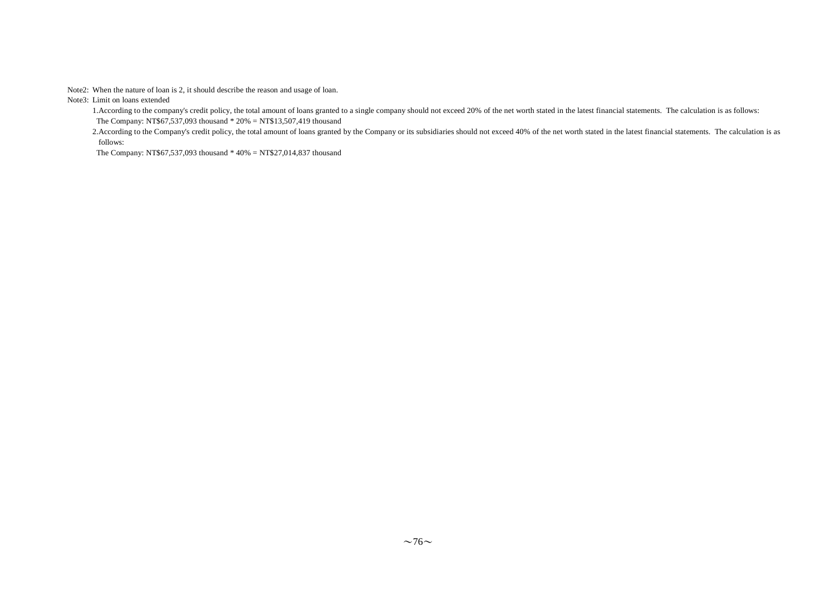Note2: When the nature of loan is 2, it should describe the reason and usage of loan.

Note3: Limit on loans extended

1.According to the company's credit policy, the total amount of loans granted to a single company should not exceed 20% of the net worth stated in the latest financial statements. The calculation is as follows: The Company: NT\$67,537,093 thousand \* 20% = NT\$13,507,419 thousand

2.According to the Company's credit policy, the total amount of loans granted by the Company or its subsidiaries should not exceed 40% of the net worth stated in the latest financial statements. The calculation is as follows:

The Company: NT\$67,537,093 thousand \* 40% = NT\$27,014,837 thousand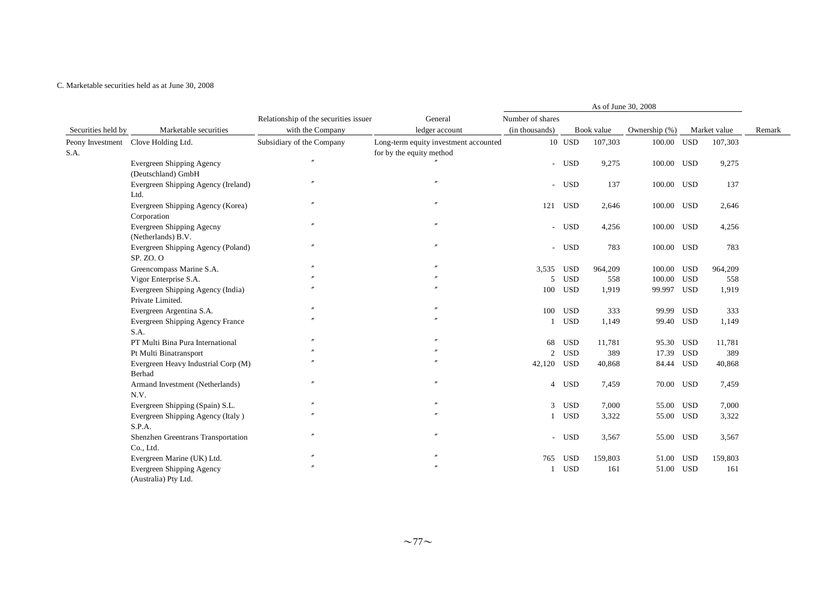#### C. Marketable securities held as at June 30, 2008

|                          |                                                       |                                                           |                                                                                     |                                    |            |                       | As of June 30, 2008     |            |                         |        |
|--------------------------|-------------------------------------------------------|-----------------------------------------------------------|-------------------------------------------------------------------------------------|------------------------------------|------------|-----------------------|-------------------------|------------|-------------------------|--------|
| Securities held by       | Marketable securities                                 | Relationship of the securities issuer<br>with the Company | General                                                                             | Number of shares<br>(in thousands) |            |                       |                         |            |                         | Remark |
| Peony Investment<br>S.A. | Clove Holding Ltd.                                    | Subsidiary of the Company                                 | ledger account<br>Long-term equity investment accounted<br>for by the equity method |                                    | $10$ USD   | Book value<br>107,303 | Ownership (%)<br>100.00 | <b>USD</b> | Market value<br>107,303 |        |
|                          | Evergreen Shipping Agency<br>(Deutschland) GmbH       |                                                           |                                                                                     |                                    | - USD      | 9,275                 | 100.00                  | <b>USD</b> | 9,275                   |        |
|                          | Evergreen Shipping Agency (Ireland)<br>Ltd.           |                                                           | $\overline{''}$                                                                     |                                    | - USD      | 137                   | 100.00 USD              |            | 137                     |        |
|                          | Evergreen Shipping Agency (Korea)<br>Corporation      |                                                           |                                                                                     | 121                                | USD        | 2,646                 | 100.00                  | USD        | 2,646                   |        |
|                          | Evergreen Shipping Agecny<br>(Netherlands) B.V.       |                                                           |                                                                                     |                                    | - USD      | 4,256                 | 100.00                  | <b>USD</b> | 4,256                   |        |
|                          | Evergreen Shipping Agency (Poland)<br>SP. ZO. O       |                                                           |                                                                                     |                                    | - USD      | 783                   | 100.00 USD              |            | 783                     |        |
|                          | Greencompass Marine S.A.                              |                                                           |                                                                                     | 3,535                              | <b>USD</b> | 964,209               | 100.00                  | <b>USD</b> | 964,209                 |        |
|                          | Vigor Enterprise S.A.                                 |                                                           |                                                                                     | .5                                 | <b>USD</b> | 558                   | 100.00                  | <b>USD</b> | 558                     |        |
|                          | Evergreen Shipping Agency (India)<br>Private Limited. |                                                           |                                                                                     | 100                                | <b>USD</b> | 1.919                 | 99.997                  | <b>USD</b> | 1,919                   |        |
|                          | Evergreen Argentina S.A.                              |                                                           |                                                                                     | 100                                | <b>USD</b> | 333                   | 99.99                   | <b>USD</b> | 333                     |        |
|                          | Evergreen Shipping Agency France<br>S.A.              |                                                           |                                                                                     | $\mathbf{1}$                       | <b>USD</b> | 1,149                 | 99.40                   | <b>USD</b> | 1,149                   |        |
|                          | PT Multi Bina Pura International                      |                                                           |                                                                                     | 68                                 | <b>USD</b> | 11,781                | 95.30                   | USD        | 11,781                  |        |
|                          | Pt Multi Binatransport                                |                                                           |                                                                                     | $\overline{2}$                     | <b>USD</b> | 389                   | 17.39                   | <b>USD</b> | 389                     |        |
|                          | Evergreen Heavy Industrial Corp (M)<br>Berhad         |                                                           |                                                                                     | 42,120                             | <b>USD</b> | 40,868                | 84.44                   | <b>USD</b> | 40,868                  |        |
|                          | Armand Investment (Netherlands)<br>N.V.               |                                                           | $\overline{''}$                                                                     |                                    | 4 USD      | 7,459                 | 70.00                   | <b>USD</b> | 7,459                   |        |
|                          | Evergreen Shipping (Spain) S.L.                       |                                                           |                                                                                     |                                    | 3 USD      | 7,000                 | 55.00                   | USD        | 7,000                   |        |
|                          | Evergreen Shipping Agency (Italy)<br>S.P.A.           |                                                           |                                                                                     |                                    | 1 USD      | 3,322                 | 55.00                   | <b>USD</b> | 3,322                   |        |
|                          | Shenzhen Greentrans Transportation<br>Co., Ltd.       |                                                           |                                                                                     |                                    | - USD      | 3,567                 | 55.00                   | USD        | 3,567                   |        |
|                          | Evergreen Marine (UK) Ltd.                            |                                                           | $^{\prime\prime}$                                                                   | 765                                | <b>USD</b> | 159,803               | 51.00                   | <b>USD</b> | 159,803                 |        |
|                          | Evergreen Shipping Agency<br>(Australia) Pty Ltd.     |                                                           |                                                                                     |                                    | <b>USD</b> | 161                   | 51.00                   | <b>USD</b> | 161                     |        |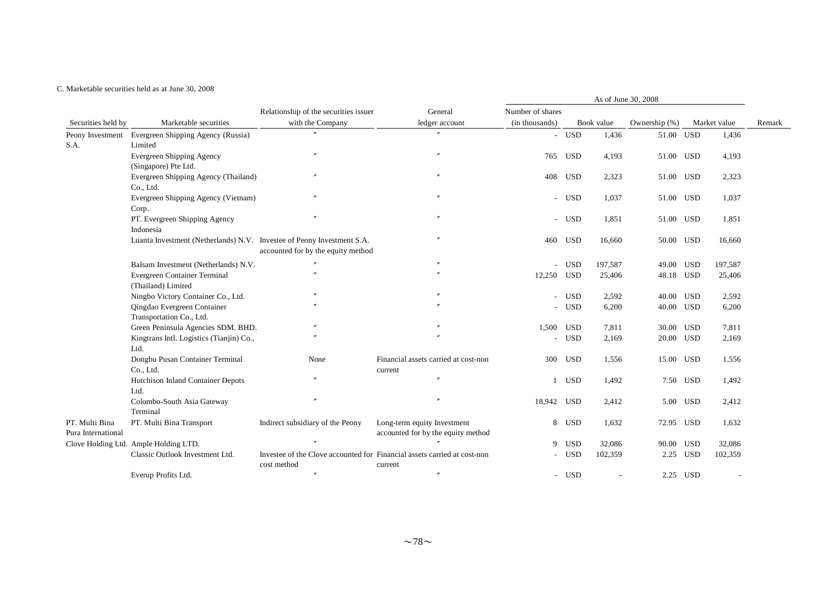#### C. Marketable securities held as at June 30, 2008

|                    |                                                                        |                                       |                                                                          |                  |            |            | As of June 30, 2008 |            |              |        |
|--------------------|------------------------------------------------------------------------|---------------------------------------|--------------------------------------------------------------------------|------------------|------------|------------|---------------------|------------|--------------|--------|
|                    |                                                                        | Relationship of the securities issuer | General                                                                  | Number of shares |            |            |                     |            |              |        |
| Securities held by | Marketable securities                                                  | with the Company                      | ledger account                                                           | (in thousands)   |            | Book value | Ownership (%)       |            | Market value | Remark |
| Peony Investment   | Evergreen Shipping Agency (Russia)                                     | $\theta$                              | $^{\prime\prime}$                                                        | $\sim$           | USD        | 1,436      | 51.00 USD           |            | 1,436        |        |
| S.A.               | Limited                                                                |                                       |                                                                          |                  |            |            |                     |            |              |        |
|                    | <b>Evergreen Shipping Agency</b>                                       |                                       | $\theta$                                                                 | 765              | <b>USD</b> | 4,193      | 51.00 USD           |            | 4,193        |        |
|                    | (Singapore) Pte Ltd.                                                   |                                       |                                                                          |                  |            |            |                     |            |              |        |
|                    | Evergreen Shipping Agency (Thailand)                                   |                                       | $\theta$                                                                 | 408              | <b>USD</b> | 2,323      | 51.00 USD           |            | 2,323        |        |
|                    | Co., Ltd.                                                              |                                       |                                                                          |                  |            |            |                     |            |              |        |
|                    | Evergreen Shipping Agency (Vietnam)                                    |                                       |                                                                          |                  | - USD      | 1,037      | 51.00 USD           |            | 1,037        |        |
|                    | Corp.                                                                  |                                       |                                                                          |                  |            |            |                     |            |              |        |
|                    | PT. Evergreen Shipping Agency                                          |                                       |                                                                          |                  | - USD      | 1,851      | 51.00 USD           |            | 1,851        |        |
|                    | Indonesia                                                              |                                       |                                                                          |                  |            |            |                     |            |              |        |
|                    | Luanta Investment (Netherlands) N.V. Investee of Peony Investment S.A. |                                       | $^{\prime\prime}$                                                        | 460              | <b>USD</b> | 16,660     | 50.00 USD           |            | 16,660       |        |
|                    |                                                                        | accounted for by the equity method    |                                                                          |                  |            |            |                     |            |              |        |
|                    | Balsam Investment (Netherlands) N.V.                                   |                                       | $^{\prime\prime}$                                                        | $\sim$           | USD        | 197,587    | 49.00 USD           |            | 197,587      |        |
|                    | Evergreen Container Terminal                                           | $\overline{v}$                        | $\theta$                                                                 | 12,250 USD       |            | 25,406     | 48.18 USD           |            | 25,406       |        |
|                    | (Thailand) Limited                                                     |                                       |                                                                          |                  |            |            |                     |            |              |        |
|                    | Ningbo Victory Container Co., Ltd.                                     |                                       |                                                                          | $\sim$           | USD        | 2,592      | 40.00 USD           |            | 2,592        |        |
|                    | Qingdao Evergreen Container                                            |                                       |                                                                          |                  | - USD      | 6,200      | 40.00 USD           |            | 6,200        |        |
|                    | Transportation Co., Ltd.                                               |                                       |                                                                          |                  |            |            |                     |            |              |        |
|                    | Green Peninsula Agencies SDM. BHD.                                     |                                       |                                                                          | 1,500 USD        |            | 7,811      | 30.00 USD           |            | 7,811        |        |
|                    | Kingtrans Intl. Logistics (Tianjin) Co.,                               |                                       |                                                                          | $\sim$           | <b>USD</b> | 2,169      | 20.00 USD           |            | 2,169        |        |
|                    | Ltd.                                                                   |                                       |                                                                          |                  |            |            |                     |            |              |        |
|                    | Dongbu Pusan Container Terminal                                        | None                                  | Financial assets carried at cost-non                                     | 300              | <b>USD</b> | 1,556      | 15.00 USD           |            | 1,556        |        |
|                    | Co., Ltd.                                                              |                                       | current                                                                  |                  |            |            |                     |            |              |        |
|                    | Hutchison Inland Container Depots                                      | $^{\prime\prime}$                     | $^{\prime\prime}$                                                        |                  | <b>USD</b> | 1,492      |                     | 7.50 USD   | 1,492        |        |
|                    | Ltd.                                                                   |                                       |                                                                          |                  |            |            |                     |            |              |        |
|                    | Colombo-South Asia Gateway                                             | $^{\prime\prime}$                     | $\theta$                                                                 | 18,942           | <b>USD</b> | 2,412      | 5.00                | <b>USD</b> | 2,412        |        |
|                    | Terminal                                                               |                                       |                                                                          |                  |            |            |                     |            |              |        |
| PT. Multi Bina     | PT. Multi Bina Transport                                               | Indirect subsidiary of the Peony      | Long-term equity Investment                                              | 8                | <b>USD</b> | 1,632      | 72.95 USD           |            | 1,632        |        |
| Pura International |                                                                        |                                       | accounted for by the equity method                                       |                  |            |            |                     |            |              |        |
|                    | Clove Holding Ltd. Ample Holding LTD.                                  |                                       |                                                                          | 9                | <b>USD</b> | 32,086     | 90.00               | USD        | 32,086       |        |
|                    | Classic Outlook Investment Ltd.                                        |                                       | Investee of the Clove accounted for Financial assets carried at cost-non |                  | <b>USD</b> | 102,359    | 2.25                | <b>USD</b> | 102,359      |        |
|                    |                                                                        | cost method                           | current                                                                  |                  |            |            |                     |            |              |        |
|                    | Everup Profits Ltd.                                                    | $\theta$                              | $^{\prime\prime}$                                                        |                  | - USD      |            |                     | 2.25 USD   |              |        |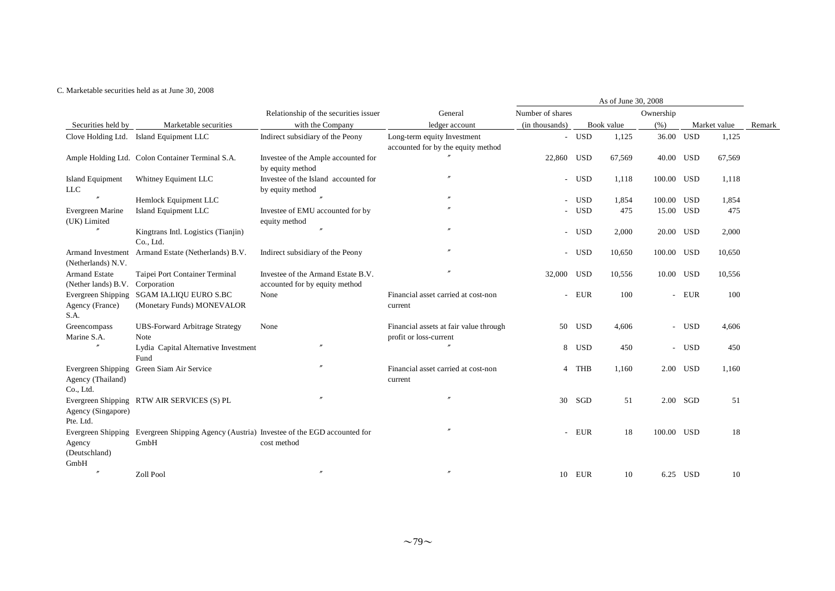#### C. Marketable securities held as at June 30, 2008

|                                                      |                                                                                                  |                                                                      |                                                                   |                  |        | As of June 30, 2008 |            |            |              |        |
|------------------------------------------------------|--------------------------------------------------------------------------------------------------|----------------------------------------------------------------------|-------------------------------------------------------------------|------------------|--------|---------------------|------------|------------|--------------|--------|
|                                                      |                                                                                                  | Relationship of the securities issuer                                | General                                                           | Number of shares |        |                     | Ownership  |            |              |        |
| Securities held by                                   | Marketable securities                                                                            | with the Company                                                     | ledger account                                                    | (in thousands)   |        | Book value          | (% )       |            | Market value | Remark |
|                                                      | Clove Holding Ltd. Island Equipment LLC                                                          | Indirect subsidiary of the Peony                                     | Long-term equity Investment<br>accounted for by the equity method |                  | - USD  | 1,125               | 36.00 USD  |            | 1,125        |        |
|                                                      | Ample Holding Ltd. Colon Container Terminal S.A.                                                 | Investee of the Ample accounted for<br>by equity method              |                                                                   | 22,860 USD       |        | 67,569              | 40.00 USD  |            | 67,569       |        |
| <b>Island Equipment</b><br><b>LLC</b>                | Whitney Equiment LLC                                                                             | Investee of the Island accounted for<br>by equity method             | $\overline{v}$                                                    |                  | - USD  | 1,118               | 100.00 USD |            | 1,118        |        |
|                                                      | Hemlock Equipment LLC                                                                            |                                                                      |                                                                   |                  | - USD  | 1,854               | 100.00 USD |            | 1,854        |        |
| Evergreen Marine<br>(UK) Limited                     | Island Equipment LLC                                                                             | Investee of EMU accounted for by<br>equity method                    |                                                                   |                  | - USD  | 475                 | 15.00 USD  |            | 475          |        |
| $^{\prime\prime}$                                    | Kingtrans Intl. Logistics (Tianjin)<br>Co., Ltd.                                                 | $^{\prime\prime}$                                                    | $^{\prime\prime}$                                                 |                  | - USD  | 2,000               | 20.00 USD  |            | 2,000        |        |
| Armand Investment<br>(Netherlands) N.V.              | Armand Estate (Netherlands) B.V.                                                                 | Indirect subsidiary of the Peony                                     | $^{\prime\prime}$                                                 |                  | - USD  | 10,650              | 100.00 USD |            | 10,650       |        |
| <b>Armand Estate</b><br>(Nether lands) B.V.          | Taipei Port Container Terminal<br>Corporation                                                    | Investee of the Armand Estate B.V.<br>accounted for by equity method |                                                                   | 32,000 USD       |        | 10,556              | 10.00 USD  |            | 10,556       |        |
| Evergreen Shipping<br>Agency (France)<br>S.A.        | <b>SGAM IA.LIQU EURO S.BC</b><br>(Monetary Funds) MONEVALOR                                      | None                                                                 | Financial asset carried at cost-non<br>current                    |                  | - EUR  | 100                 |            | - EUR      | 100          |        |
| Greencompass<br>Marine S.A.                          | <b>UBS-Forward Arbitrage Strategy</b><br>Note                                                    | None                                                                 | Financial assets at fair value through<br>profit or loss-current  | 50               | USD    | 4,606               |            | - USD      | 4,606        |        |
|                                                      | Lydia Capital Alternative Investment<br>Fund                                                     | $\prime$                                                             |                                                                   |                  | 8 USD  | 450                 |            | - USD      | 450          |        |
| Evergreen Shipping<br>Agency (Thailand)<br>Co., Ltd. | Green Siam Air Service                                                                           |                                                                      | Financial asset carried at cost-non<br>current                    |                  | 4 THB  | 1,160               |            | 2.00 USD   | 1,160        |        |
| Agency (Singapore)<br>Pte. Ltd.                      | Evergreen Shipping RTW AIR SERVICES (S) PL                                                       | $^{\prime\prime}$                                                    | $\theta$                                                          | 30               | SGD    | 51                  |            | $2.00$ SGD | 51           |        |
| Agency<br>(Deutschland)                              | Evergreen Shipping Evergreen Shipping Agency (Austria) Investee of the EGD accounted for<br>GmbH | cost method                                                          |                                                                   |                  | - EUR  | 18                  | 100.00 USD |            | 18           |        |
| GmbH<br>$^{\prime\prime}$                            | Zoll Pool                                                                                        | $^{\prime\prime}$                                                    | $\theta$                                                          |                  | 10 EUR | 10                  |            | 6.25 USD   | 10           |        |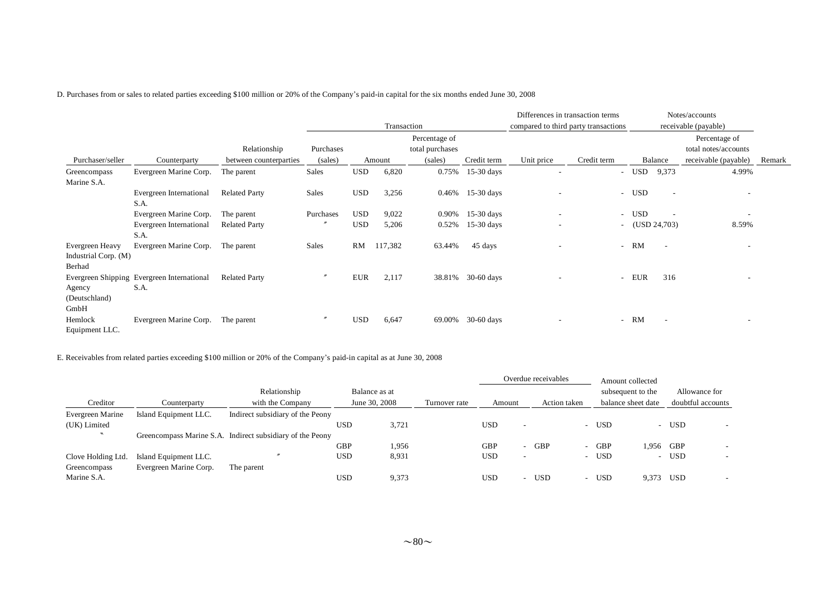D. Purchases from or sales to related parties exceeding \$100 million or 20% of the Company's paid-in capital for the six months ended June 30, 2008

|                      |                                            |                        |           |            |             |                 |              | Differences in transaction terms     |                          |     |                          | Notes/accounts           |        |
|----------------------|--------------------------------------------|------------------------|-----------|------------|-------------|-----------------|--------------|--------------------------------------|--------------------------|-----|--------------------------|--------------------------|--------|
|                      |                                            |                        |           |            | Transaction |                 |              | compared to third party transactions |                          |     |                          | receivable (payable)     |        |
|                      |                                            |                        |           |            |             | Percentage of   |              |                                      |                          |     |                          | Percentage of            |        |
|                      |                                            | Relationship           | Purchases |            |             | total purchases |              |                                      |                          |     |                          | total notes/accounts     |        |
| Purchaser/seller     | Counterparty                               | between counterparties | (sales)   |            | Amount      | (sales)         | Credit term  | Unit price                           | Credit term              |     | Balance                  | receivable (payable)     | Remark |
| Greencompass         | Evergreen Marine Corp.                     | The parent             | Sales     | <b>USD</b> | 6,820       | 0.75%           | $15-30$ days |                                      | $\sim$                   | USD | 9,373                    | 4.99%                    |        |
| Marine S.A.          |                                            |                        |           |            |             |                 |              |                                      |                          |     |                          |                          |        |
|                      | Evergreen International                    | <b>Related Party</b>   | Sales     | <b>USD</b> | 3,256       | 0.46%           | $15-30$ days |                                      | $\sim$                   | USD | $\overline{\phantom{a}}$ | $\overline{\phantom{a}}$ |        |
|                      | S.A.                                       |                        |           |            |             |                 |              |                                      |                          |     |                          |                          |        |
|                      | Evergreen Marine Corp.                     | The parent             | Purchases | <b>USD</b> | 9,022       | 0.90%           | $15-30$ days | ٠                                    | $\sim$                   | USD |                          | $\sim$                   |        |
|                      | Evergreen International                    | <b>Related Party</b>   |           | <b>USD</b> | 5,206       | 0.52%           | $15-30$ days | $\overline{\phantom{a}}$             | $\overline{\phantom{a}}$ |     | (USD 24,703)             | 8.59%                    |        |
|                      | S.A.                                       |                        |           |            |             |                 |              |                                      |                          |     |                          |                          |        |
| Evergreen Heavy      | Evergreen Marine Corp.                     | The parent             | Sales     | RM         | 117,382     | 63.44%          | 45 days      | ۰                                    | $\overline{a}$           | RM  | $\overline{\phantom{a}}$ | $\overline{\phantom{a}}$ |        |
| Industrial Corp. (M) |                                            |                        |           |            |             |                 |              |                                      |                          |     |                          |                          |        |
| Berhad               |                                            |                        |           |            |             |                 |              |                                      |                          |     |                          |                          |        |
|                      | Evergreen Shipping Evergreen International | <b>Related Party</b>   |           | EUR        | 2,117       | 38.81%          | $30-60$ days |                                      | $\sim$                   | EUR | 316                      |                          |        |
| Agency               | S.A.                                       |                        |           |            |             |                 |              |                                      |                          |     |                          |                          |        |
| (Deutschland)        |                                            |                        |           |            |             |                 |              |                                      |                          |     |                          |                          |        |
| GmbH                 |                                            |                        |           |            |             |                 |              |                                      |                          |     |                          |                          |        |
| Hemlock              | Evergreen Marine Corp.                     | The parent             |           | <b>USD</b> | 6,647       | 69.00%          | $30-60$ days |                                      | $\sim$                   | RM  | $\overline{\phantom{a}}$ |                          |        |
| Equipment LLC.       |                                            |                        |           |            |             |                 |              |                                      |                          |     |                          |                          |        |

E. Receivables from related parties exceeding \$100 million or 20% of the Company's paid-in capital as at June 30, 2008

|                          |                        |                                                           |            |               |               |            |                          | Overdue receivables |                          | Amount collected   |        |                   |  |
|--------------------------|------------------------|-----------------------------------------------------------|------------|---------------|---------------|------------|--------------------------|---------------------|--------------------------|--------------------|--------|-------------------|--|
|                          |                        | Relationship                                              |            | Balance as at |               |            |                          |                     |                          | subsequent to the  |        | Allowance for     |  |
| Creditor                 | Counterparty           | with the Company                                          |            | June 30, 2008 | Turnover rate | Amount     |                          | Action taken        |                          | balance sheet date |        | doubtful accounts |  |
| Evergreen Marine         | Island Equipment LLC.  | Indirect subsidiary of the Peony                          |            |               |               |            |                          |                     |                          |                    |        |                   |  |
| (UK) Limited             |                        |                                                           | USD        | 3.721         |               | USD        | $\overline{\phantom{0}}$ |                     | $\sim$                   | <b>USD</b>         |        | - USD             |  |
| $\overline{\phantom{a}}$ |                        | Greencompass Marine S.A. Indirect subsidiary of the Peony |            |               |               |            |                          |                     |                          |                    |        |                   |  |
|                          |                        |                                                           | <b>GBP</b> | 1,956         |               | <b>GBP</b> | $\overline{\phantom{0}}$ | <b>GBP</b>          | $\overline{\phantom{a}}$ | <b>GBP</b>         | 1.956  | GBP               |  |
| Clove Holding Ltd.       | Island Equipment LLC.  |                                                           | <b>USD</b> | 8,931         |               | USD        | $\overline{\phantom{0}}$ |                     | -                        | <b>USD</b>         | $\sim$ | USD               |  |
| Greencompass             | Evergreen Marine Corp. | The parent                                                |            |               |               |            |                          |                     |                          |                    |        |                   |  |
| Marine S.A.              |                        |                                                           | <b>USD</b> | 9,373         |               | USD        | $\overline{\phantom{a}}$ | USD                 | $\sim$                   | <b>USD</b>         | 9.373  | <b>USD</b>        |  |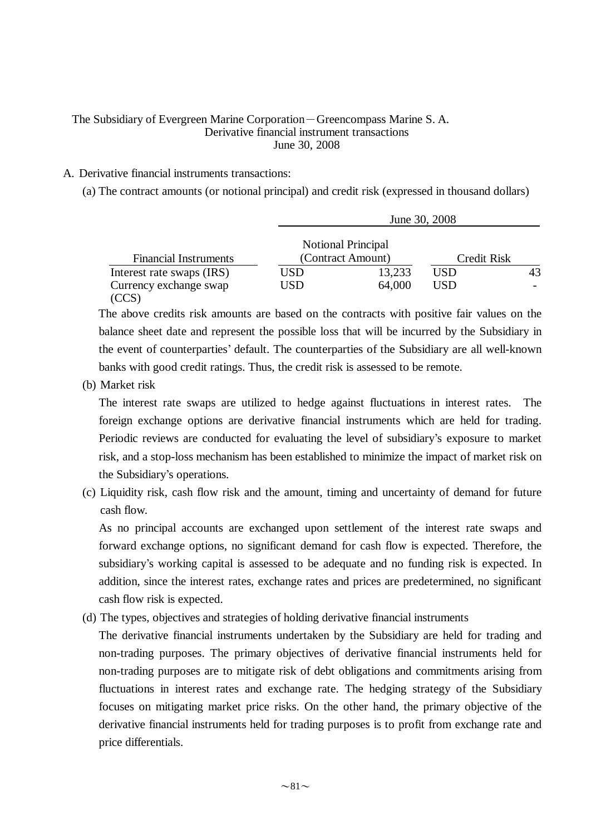## The Subsidiary of Evergreen Marine Corporation-Greencompass Marine S. A. Derivative financial instrument transactions June 30, 2008

## A. Derivative financial instruments transactions:

(a) The contract amounts (or notional principal) and credit risk (expressed in thousand dollars)

|                              |     |                           | June 30, 2008 |    |
|------------------------------|-----|---------------------------|---------------|----|
|                              |     | <b>Notional Principal</b> |               |    |
| <b>Financial Instruments</b> |     | (Contract Amount)         | Credit Risk   |    |
| Interest rate swaps (IRS)    | USD | 13,233                    | USD           | 43 |
| Currency exchange swap       | USD | 64,000                    | USD           |    |
|                              |     |                           |               |    |

The above credits risk amounts are based on the contracts with positive fair values on the balance sheet date and represent the possible loss that will be incurred by the Subsidiary in the event of counterparties' default. The counterparties of the Subsidiary are all well-known banks with good credit ratings. Thus, the credit risk is assessed to be remote.

(b) Market risk

The interest rate swaps are utilized to hedge against fluctuations in interest rates. The foreign exchange options are derivative financial instruments which are held for trading. Periodic reviews are conducted for evaluating the level of subsidiary's exposure to market risk, and a stop-loss mechanism has been established to minimize the impact of market risk on the Subsidiary's operations.

(c) Liquidity risk, cash flow risk and the amount, timing and uncertainty of demand for future cash flow.

As no principal accounts are exchanged upon settlement of the interest rate swaps and forward exchange options, no significant demand for cash flow is expected. Therefore, the subsidiary's working capital is assessed to be adequate and no funding risk is expected. In addition, since the interest rates, exchange rates and prices are predetermined, no significant cash flow risk is expected.

(d) The types, objectives and strategies of holding derivative financial instruments

The derivative financial instruments undertaken by the Subsidiary are held for trading and non-trading purposes. The primary objectives of derivative financial instruments held for non-trading purposes are to mitigate risk of debt obligations and commitments arising from fluctuations in interest rates and exchange rate. The hedging strategy of the Subsidiary focuses on mitigating market price risks. On the other hand, the primary objective of the derivative financial instruments held for trading purposes is to profit from exchange rate and price differentials.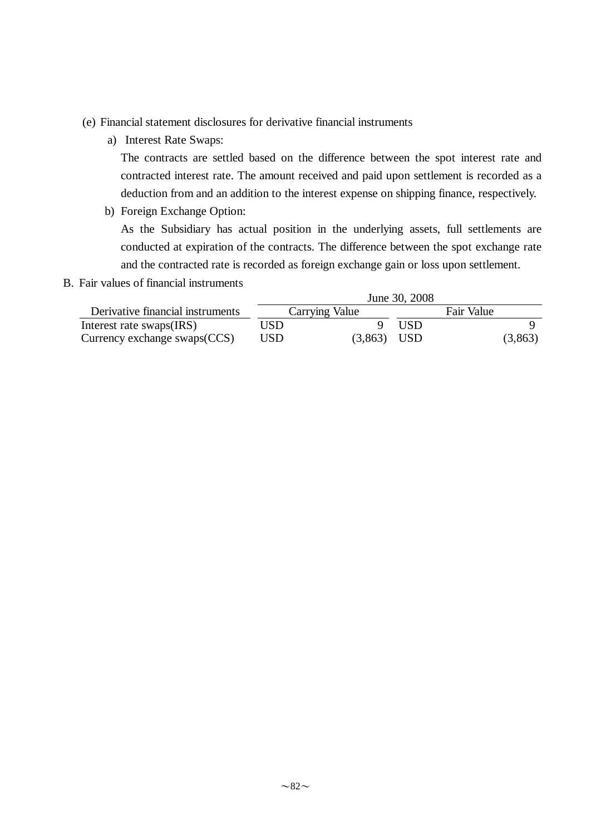- (e) Financial statement disclosures for derivative financial instruments
	- a) Interest Rate Swaps:

The contracts are settled based on the difference between the spot interest rate and contracted interest rate. The amount received and paid upon settlement is recorded as a deduction from and an addition to the interest expense on shipping finance, respectively.

b) Foreign Exchange Option:

As the Subsidiary has actual position in the underlying assets, full settlements are conducted at expiration of the contracts. The difference between the spot exchange rate and the contracted rate is recorded as foreign exchange gain or loss upon settlement.

B. Fair values of financial instruments

|                                  |      |                | June 30, 2008   |            |         |
|----------------------------------|------|----------------|-----------------|------------|---------|
| Derivative financial instruments |      | Carrying Value |                 | Fair Value |         |
| Interest rate swaps(IRS)         | USD. |                | USD <sub></sub> |            |         |
| Currency exchange $swaps(CCS)$   | USD  | $(3,863)$ USD  |                 |            | (3,863) |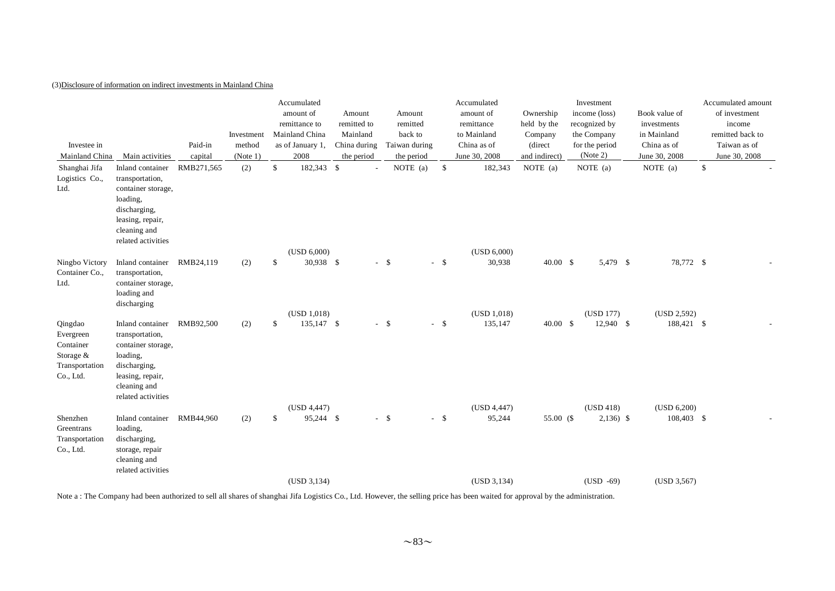### (3)Disclosure of information on indirect investments in Mainland China

| Investee in<br>Mainland China                                                   | Main activities                                                                                                                                 | Paid-in<br>capital | Investment<br>method<br>(Note 1) |              | Accumulated<br>amount of<br>remittance to<br>Mainland China<br>as of January 1,<br>2008 | Amount<br>remitted to<br>Mainland<br>China during<br>the period |        | Amount<br>remitted<br>back to<br>Taiwan during<br>the period |        | Accumulated<br>amount of<br>remittance<br>to Mainland<br>China as of<br>June 30, 2008 | Ownership<br>held by the<br>Company<br>(direct)<br>and indirect) | Investment<br>income (loss)<br>recognized by<br>the Company<br>for the period<br>(Note 2) | Book value of<br>investments<br>in Mainland<br>China as of<br>June 30, 2008 | Accumulated amount<br>of investment<br>income<br>remitted back to<br>Taiwan as of<br>June 30, 2008 |
|---------------------------------------------------------------------------------|-------------------------------------------------------------------------------------------------------------------------------------------------|--------------------|----------------------------------|--------------|-----------------------------------------------------------------------------------------|-----------------------------------------------------------------|--------|--------------------------------------------------------------|--------|---------------------------------------------------------------------------------------|------------------------------------------------------------------|-------------------------------------------------------------------------------------------|-----------------------------------------------------------------------------|----------------------------------------------------------------------------------------------------|
| Shanghai Jifa<br>Logistics Co.,<br>Ltd.                                         | Inland container<br>transportation,<br>container storage,<br>loading,<br>discharging,<br>leasing, repair,<br>cleaning and<br>related activities | RMB271,565         | (2)                              | $\mathbb{S}$ | 182,343 \$<br>(USD 6,000)                                                               | $\sim$                                                          |        | NOTE (a)                                                     | \$     | 182,343<br>(USD 6,000)                                                                | NOTE $(a)$                                                       | NOTE (a)                                                                                  | NOTE (a)                                                                    | \$                                                                                                 |
| Ningbo Victory<br>Container Co.,<br>Ltd.                                        | Inland container<br>transportation,<br>container storage,<br>loading and<br>discharging                                                         | RMB24,119          | (2)                              | \$           | 30,938 \$<br>(USD 1,018)                                                                |                                                                 | $-$ \$ |                                                              | $-$ \$ | 30,938<br>(USD 1,018)                                                                 | $40.00\quad$ \$                                                  | 5,479 \$<br>(USD 177)                                                                     | 78,772 \$<br>(USD 2,592)                                                    |                                                                                                    |
| Qingdao<br>Evergreen<br>Container<br>Storage $&$<br>Transportation<br>Co., Ltd. | Inland container<br>transportation,<br>container storage,<br>loading,<br>discharging,<br>leasing, repair,<br>cleaning and<br>related activities | RMB92,500          | (2)                              | S.           | 135,147 \$                                                                              |                                                                 | $-$ \$ |                                                              | $-$ \$ | 135,147                                                                               | 40.00 S                                                          | 12,940 \$                                                                                 | 188,421 \$                                                                  |                                                                                                    |
| Shenzhen<br>Greentrans<br>Transportation<br>Co., Ltd.                           | Inland container<br>loading,<br>discharging,<br>storage, repair<br>cleaning and<br>related activities                                           | RMB44,960          | (2)                              | S.           | (USD 4,447)<br>95,244 \$                                                                |                                                                 | $-$ \$ |                                                              | $-$ \$ | (USD 4,447)<br>95,244                                                                 | 55.00 (\$                                                        | (USD 418)<br>$2,136)$ \$                                                                  | (USD 6,200)<br>108,403 \$                                                   |                                                                                                    |
|                                                                                 |                                                                                                                                                 |                    |                                  |              | (USD 3, 134)                                                                            |                                                                 |        |                                                              |        | (USD 3, 134)                                                                          |                                                                  | $(USD -69)$                                                                               | (USD 3,567)                                                                 |                                                                                                    |

Note a : The Company had been authorized to sell all shares of shanghai Jifa Logistics Co., Ltd. However, the selling price has been waited for approval by the administration.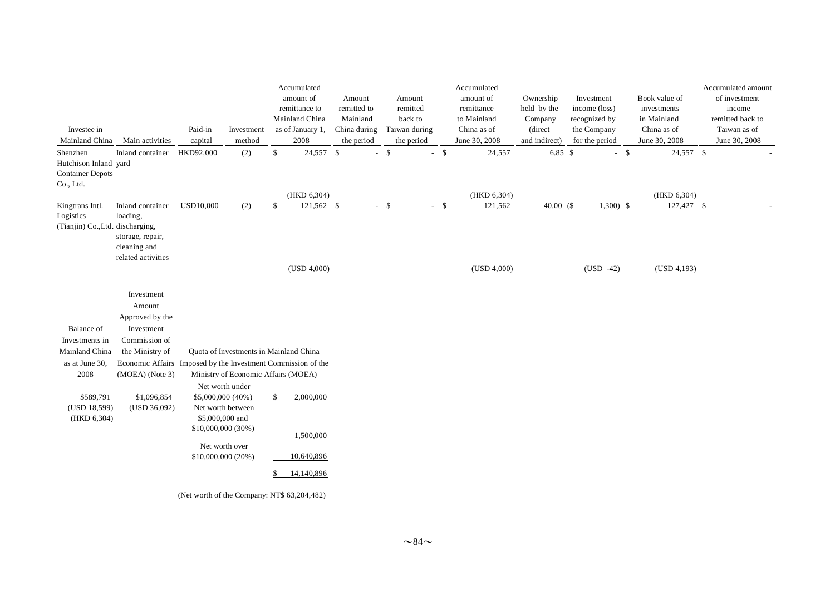|                                                                           |                                                                                        |                                                            |                                        |    | Accumulated              |                            |        |                             |        | Accumulated                  |                          |                               |        |                              | Accumulated amount            |
|---------------------------------------------------------------------------|----------------------------------------------------------------------------------------|------------------------------------------------------------|----------------------------------------|----|--------------------------|----------------------------|--------|-----------------------------|--------|------------------------------|--------------------------|-------------------------------|--------|------------------------------|-------------------------------|
|                                                                           |                                                                                        |                                                            |                                        |    | amount of                | Amount                     |        | Amount                      |        | amount of                    | Ownership                | Investment                    |        | Book value of                | of investment                 |
|                                                                           |                                                                                        |                                                            |                                        |    | remittance to            | remitted to                |        | remitted                    |        | remittance                   | held by the              | income (loss)                 |        | investments                  | income                        |
|                                                                           |                                                                                        |                                                            |                                        |    | Mainland China           | Mainland                   |        | back to                     |        | to Mainland                  | Company                  | recognized by                 |        | in Mainland                  | remitted back to              |
| Investee in<br>Mainland China                                             | Main activities                                                                        | Paid-in                                                    | Investment<br>method                   |    | as of January 1,<br>2008 | China during<br>the period |        | Taiwan during<br>the period |        | China as of<br>June 30, 2008 | (direct<br>and indirect) | the Company<br>for the period |        | China as of<br>June 30, 2008 | Taiwan as of<br>June 30, 2008 |
|                                                                           |                                                                                        | capital                                                    |                                        |    |                          |                            |        |                             |        |                              |                          |                               |        |                              |                               |
| Shenzhen<br>Hutchison Inland yard<br><b>Container Depots</b><br>Co., Ltd. | Inland container                                                                       | HKD92,000                                                  | (2)                                    | \$ | 24,557 \$                |                            | $-$ \$ |                             | $-$ \$ | 24,557                       | 6.85 \$                  |                               | $-$ \$ | 24,557 \$                    |                               |
|                                                                           |                                                                                        |                                                            |                                        |    | (HKD 6,304)              |                            |        |                             |        | (HKD 6,304)                  |                          |                               |        | (HKD 6,304)                  |                               |
| Kingtrans Intl.<br>Logistics<br>(Tianjin) Co., Ltd. discharging,          | Inland container<br>loading,<br>storage, repair,<br>cleaning and<br>related activities | <b>USD10,000</b>                                           | (2)                                    | \$ | 121,562 \$               |                            | $-$ \$ |                             | $-$ \$ | 121,562                      | 40.00 $(S$               | $1,300$ \$                    |        | 127,427 \$                   |                               |
|                                                                           |                                                                                        |                                                            |                                        |    | (USD 4,000)              |                            |        |                             |        | (USD 4,000)                  |                          | $(USD -42)$                   |        | (USD 4,193)                  |                               |
|                                                                           | Investment                                                                             |                                                            |                                        |    |                          |                            |        |                             |        |                              |                          |                               |        |                              |                               |
|                                                                           | Amount                                                                                 |                                                            |                                        |    |                          |                            |        |                             |        |                              |                          |                               |        |                              |                               |
|                                                                           | Approved by the                                                                        |                                                            |                                        |    |                          |                            |        |                             |        |                              |                          |                               |        |                              |                               |
| <b>Balance</b> of                                                         | Investment                                                                             |                                                            |                                        |    |                          |                            |        |                             |        |                              |                          |                               |        |                              |                               |
| Investments in                                                            | Commission of                                                                          |                                                            |                                        |    |                          |                            |        |                             |        |                              |                          |                               |        |                              |                               |
| Mainland China                                                            | the Ministry of                                                                        |                                                            | Quota of Investments in Mainland China |    |                          |                            |        |                             |        |                              |                          |                               |        |                              |                               |
| as at June 30,                                                            | Economic Affairs Imposed by the Investment Commission of the                           |                                                            |                                        |    |                          |                            |        |                             |        |                              |                          |                               |        |                              |                               |
| 2008                                                                      | (MOEA) (Note 3)                                                                        |                                                            | Ministry of Economic Affairs (MOEA)    |    |                          |                            |        |                             |        |                              |                          |                               |        |                              |                               |
| \$589,791<br>(USD 18,599)<br>(HKD 6,304)                                  | \$1,096,854<br>(USD 36,092)                                                            | \$5,000,000 (40%)<br>\$5,000,000 and<br>\$10,000,000 (30%) | Net worth under<br>Net worth between   | \$ | 2,000,000                |                            |        |                             |        |                              |                          |                               |        |                              |                               |
|                                                                           |                                                                                        |                                                            |                                        |    | 1,500,000                |                            |        |                             |        |                              |                          |                               |        |                              |                               |
|                                                                           |                                                                                        | \$10,000,000 (20%)                                         | Net worth over                         |    | 10,640,896               |                            |        |                             |        |                              |                          |                               |        |                              |                               |
|                                                                           |                                                                                        |                                                            |                                        | S. | 14,140,896               |                            |        |                             |        |                              |                          |                               |        |                              |                               |

(Net worth of the Company: NT\$ 63,204,482)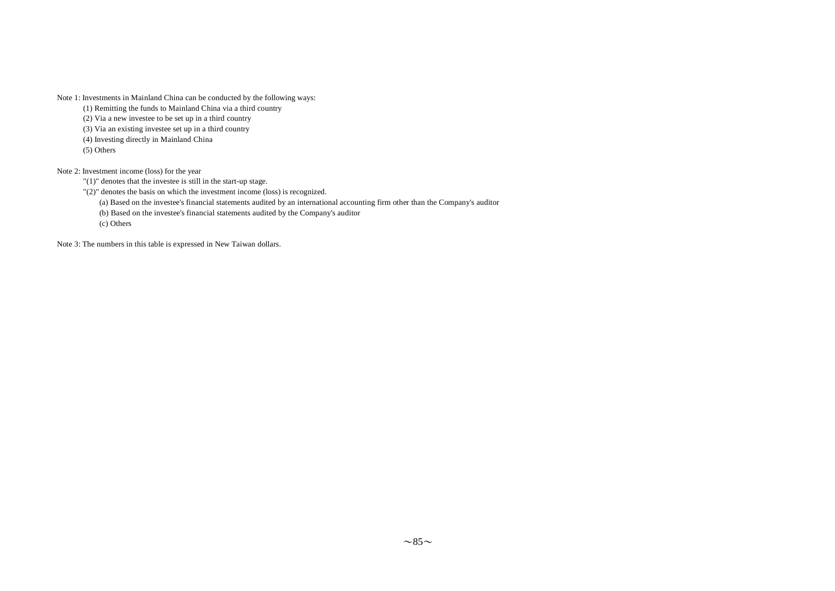Note 1: Investments in Mainland China can be conducted by the following ways:

(1) Remitting the funds to Mainland China via a third country

(2) Via a new investee to be set up in a third country

(3) Via an existing investee set up in a third country

(4) Investing directly in Mainland China

(5) Others

Note 2: Investment income (loss) for the year

"(1)" denotes that the investee is still in the start-up stage.

"(2)" denotes the basis on which the investment income (loss) is recognized.

(a) Based on the investee's financial statements audited by an international accounting firm other than the Company's auditor

(b) Based on the investee's financial statements audited by the Company's auditor

(c) Others

Note 3: The numbers in this table is expressed in New Taiwan dollars.